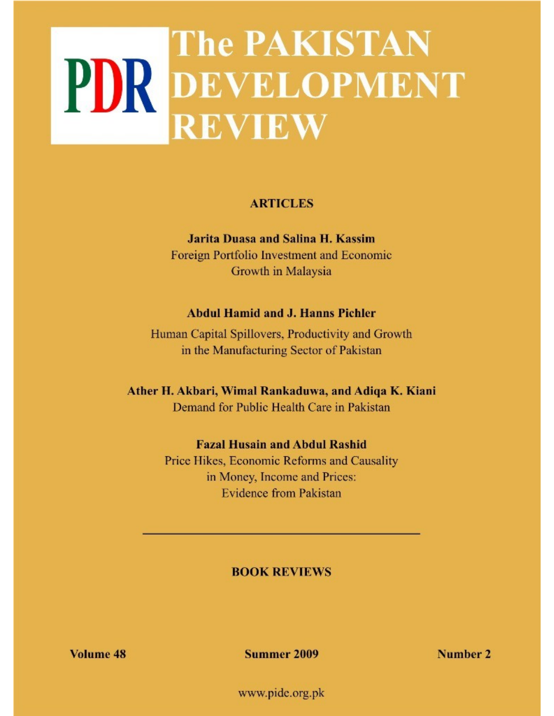# **The PAKISTAN** PDR DEVELOPMENT **REVIEW**

# **ARTICLES**

**Jarita Duasa and Salina H. Kassim** Foreign Portfolio Investment and Economic Growth in Malaysia

# **Abdul Hamid and J. Hanns Pichler**

Human Capital Spillovers, Productivity and Growth in the Manufacturing Sector of Pakistan

Ather H. Akbari, Wimal Rankaduwa, and Adiqa K. Kiani Demand for Public Health Care in Pakistan

# **Fazal Husain and Abdul Rashid**

Price Hikes, Economic Reforms and Causality in Money, Income and Prices: **Evidence from Pakistan** 

# **BOOK REVIEWS**

Volume 48

Summer 2009

Number 2

www.pide.org.pk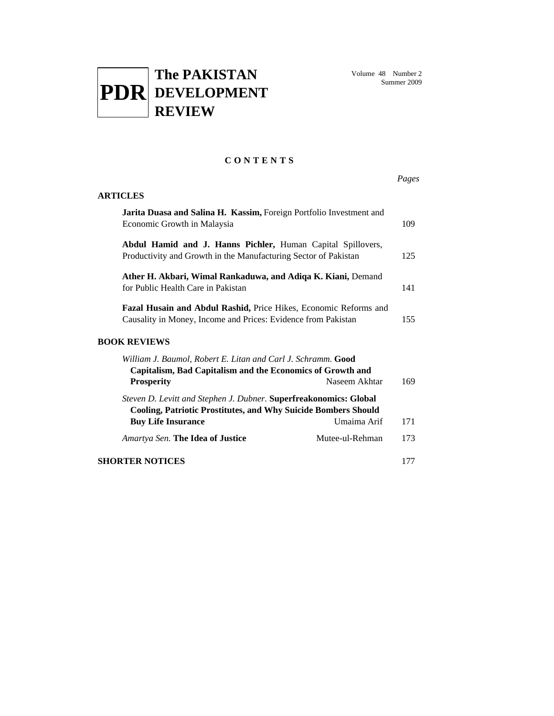

# **C O N T E N T S**

|                                                                                                                                                                  |                 | Pages |
|------------------------------------------------------------------------------------------------------------------------------------------------------------------|-----------------|-------|
| <b>ARTICLES</b>                                                                                                                                                  |                 |       |
| Jarita Duasa and Salina H. Kassim, Foreign Portfolio Investment and<br>Economic Growth in Malaysia                                                               |                 | 109   |
| Abdul Hamid and J. Hanns Pichler, Human Capital Spillovers,<br>Productivity and Growth in the Manufacturing Sector of Pakistan                                   |                 | 125   |
| Ather H. Akbari, Wimal Rankaduwa, and Adiqa K. Kiani, Demand<br>for Public Health Care in Pakistan                                                               |                 | 141   |
| Fazal Husain and Abdul Rashid, Price Hikes, Economic Reforms and<br>Causality in Money, Income and Prices: Evidence from Pakistan                                |                 | 155   |
| <b>BOOK REVIEWS</b>                                                                                                                                              |                 |       |
| William J. Baumol, Robert E. Litan and Carl J. Schramm. Good<br>Capitalism, Bad Capitalism and the Economics of Growth and<br><b>Prosperity</b>                  | Naseem Akhtar   | 169   |
| Steven D. Levitt and Stephen J. Dubner. Superfreakonomics: Global<br>Cooling, Patriotic Prostitutes, and Why Suicide Bombers Should<br><b>Buy Life Insurance</b> | Umaima Arif     | 171   |
| Amartya Sen. The Idea of Justice                                                                                                                                 | Mutee-ul-Rehman | 173   |
| <b>SHORTER NOTICES</b>                                                                                                                                           |                 | 177   |
|                                                                                                                                                                  |                 |       |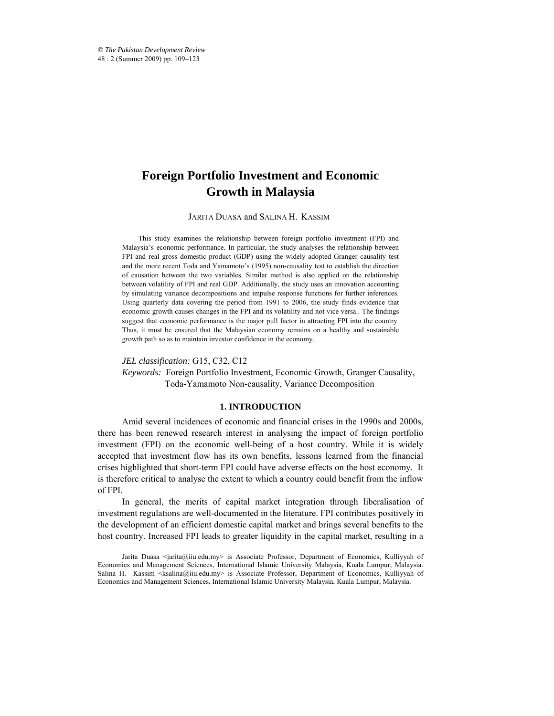# **Foreign Portfolio Investment and Economic Growth in Malaysia**

JARITA DUASA and SALINA H. KASSIM\*

This study examines the relationship between foreign portfolio investment (FPI) and Malaysia's economic performance. In particular, the study analyses the relationship between FPI and real gross domestic product (GDP) using the widely adopted Granger causality test and the more recent Toda and Yamamoto's (1995) non-causality test to establish the direction of causation between the two variables. Similar method is also applied on the relationship between volatility of FPI and real GDP. Additionally, the study uses an innovation accounting by simulating variance decompositions and impulse response functions for further inferences. Using quarterly data covering the period from 1991 to 2006, the study finds evidence that economic growth causes changes in the FPI and its volatility and not vice versa.. The findings suggest that economic performance is the major pull factor in attracting FPI into the country. Thus, it must be ensured that the Malaysian economy remains on a healthy and sustainable growth path so as to maintain investor confidence in the economy.

*JEL classification:* G15, C32, C12

*Keywords:* Foreign Portfolio Investment, Economic Growth, Granger Causality, Toda-Yamamoto Non-causality, Variance Decomposition

#### **1. INTRODUCTION**

Amid several incidences of economic and financial crises in the 1990s and 2000s, there has been renewed research interest in analysing the impact of foreign portfolio investment (FPI) on the economic well-being of a host country. While it is widely accepted that investment flow has its own benefits, lessons learned from the financial crises highlighted that short-term FPI could have adverse effects on the host economy. It is therefore critical to analyse the extent to which a country could benefit from the inflow of FPI.

In general, the merits of capital market integration through liberalisation of investment regulations are well-documented in the literature. FPI contributes positively in the development of an efficient domestic capital market and brings several benefits to the host country. Increased FPI leads to greater liquidity in the capital market, resulting in a

Jarita Duasa <jarita@iiu.edu.my> is Associate Professor, Department of Economics, Kulliyyah of Economics and Management Sciences, International Islamic University Malaysia, Kuala Lumpur, Malaysia. Salina H. Kassim <ksalina@iiu.edu.my> is Associate Professor, Department of Economics, Kulliyyah of Economics and Management Sciences, International Islamic University Malaysia, Kuala Lumpur, Malaysia.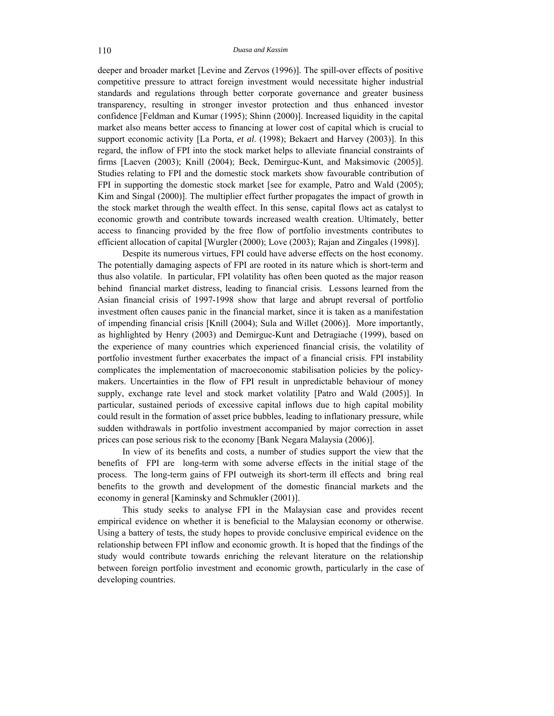deeper and broader market [Levine and Zervos (1996)]. The spill-over effects of positive competitive pressure to attract foreign investment would necessitate higher industrial standards and regulations through better corporate governance and greater business transparency, resulting in stronger investor protection and thus enhanced investor confidence [Feldman and Kumar (1995); Shinn (2000)]. Increased liquidity in the capital market also means better access to financing at lower cost of capital which is crucial to support economic activity [La Porta, *et al*. (1998); Bekaert and Harvey (2003)]. In this regard, the inflow of FPI into the stock market helps to alleviate financial constraints of firms [Laeven (2003); Knill (2004); Beck, Demirguc-Kunt, and Maksimovic (2005)]. Studies relating to FPI and the domestic stock markets show favourable contribution of FPI in supporting the domestic stock market [see for example, Patro and Wald (2005); Kim and Singal (2000)]. The multiplier effect further propagates the impact of growth in the stock market through the wealth effect. In this sense, capital flows act as catalyst to economic growth and contribute towards increased wealth creation. Ultimately, better access to financing provided by the free flow of portfolio investments contributes to efficient allocation of capital [Wurgler (2000); Love (2003); Rajan and Zingales (1998)].

Despite its numerous virtues, FPI could have adverse effects on the host economy. The potentially damaging aspects of FPI are rooted in its nature which is short-term and thus also volatile. In particular, FPI volatility has often been quoted as the major reason behind financial market distress, leading to financial crisis. Lessons learned from the Asian financial crisis of 1997-1998 show that large and abrupt reversal of portfolio investment often causes panic in the financial market, since it is taken as a manifestation of impending financial crisis [Knill (2004); Sula and Willet (2006)]. More importantly, as highlighted by Henry (2003) and Demirguc-Kunt and Detragiache (1999), based on the experience of many countries which experienced financial crisis, the volatility of portfolio investment further exacerbates the impact of a financial crisis. FPI instability complicates the implementation of macroeconomic stabilisation policies by the policymakers. Uncertainties in the flow of FPI result in unpredictable behaviour of money supply, exchange rate level and stock market volatility [Patro and Wald (2005)]. In particular, sustained periods of excessive capital inflows due to high capital mobility could result in the formation of asset price bubbles, leading to inflationary pressure, while sudden withdrawals in portfolio investment accompanied by major correction in asset prices can pose serious risk to the economy [Bank Negara Malaysia (2006)].

In view of its benefits and costs, a number of studies support the view that the benefits of FPI are long-term with some adverse effects in the initial stage of the process. The long-term gains of FPI outweigh its short-term ill effects and bring real benefits to the growth and development of the domestic financial markets and the economy in general [Kaminsky and Schmukler (2001)].

This study seeks to analyse FPI in the Malaysian case and provides recent empirical evidence on whether it is beneficial to the Malaysian economy or otherwise. Using a battery of tests, the study hopes to provide conclusive empirical evidence on the relationship between FPI inflow and economic growth. It is hoped that the findings of the study would contribute towards enriching the relevant literature on the relationship between foreign portfolio investment and economic growth, particularly in the case of developing countries.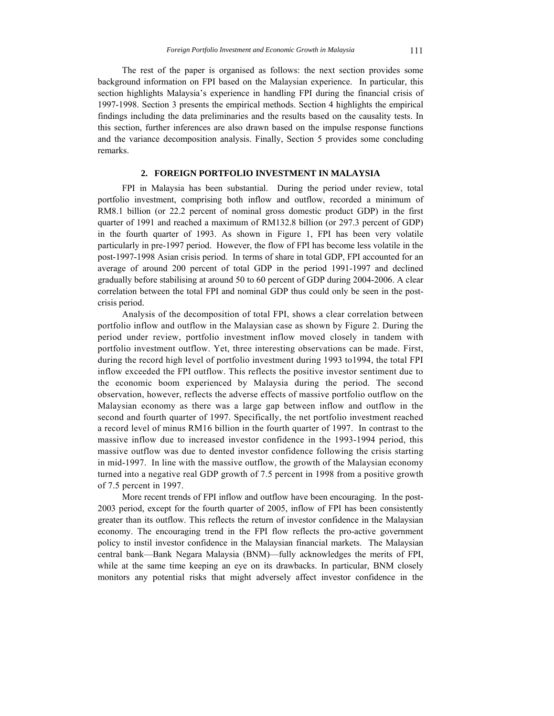The rest of the paper is organised as follows: the next section provides some background information on FPI based on the Malaysian experience. In particular, this section highlights Malaysia's experience in handling FPI during the financial crisis of 1997-1998. Section 3 presents the empirical methods. Section 4 highlights the empirical findings including the data preliminaries and the results based on the causality tests. In this section, further inferences are also drawn based on the impulse response functions and the variance decomposition analysis. Finally, Section 5 provides some concluding remarks.

# **2. FOREIGN PORTFOLIO INVESTMENT IN MALAYSIA**

FPI in Malaysia has been substantial. During the period under review, total portfolio investment, comprising both inflow and outflow, recorded a minimum of RM8.1 billion (or 22.2 percent of nominal gross domestic product GDP) in the first quarter of 1991 and reached a maximum of RM132.8 billion (or 297.3 percent of GDP) in the fourth quarter of 1993. As shown in Figure 1, FPI has been very volatile particularly in pre-1997 period. However, the flow of FPI has become less volatile in the post-1997-1998 Asian crisis period. In terms of share in total GDP, FPI accounted for an average of around 200 percent of total GDP in the period 1991-1997 and declined gradually before stabilising at around 50 to 60 percent of GDP during 2004-2006. A clear correlation between the total FPI and nominal GDP thus could only be seen in the postcrisis period.

Analysis of the decomposition of total FPI, shows a clear correlation between portfolio inflow and outflow in the Malaysian case as shown by Figure 2. During the period under review, portfolio investment inflow moved closely in tandem with portfolio investment outflow. Yet, three interesting observations can be made. First, during the record high level of portfolio investment during 1993 to1994, the total FPI inflow exceeded the FPI outflow. This reflects the positive investor sentiment due to the economic boom experienced by Malaysia during the period. The second observation, however, reflects the adverse effects of massive portfolio outflow on the Malaysian economy as there was a large gap between inflow and outflow in the second and fourth quarter of 1997. Specifically, the net portfolio investment reached a record level of minus RM16 billion in the fourth quarter of 1997. In contrast to the massive inflow due to increased investor confidence in the 1993-1994 period, this massive outflow was due to dented investor confidence following the crisis starting in mid-1997. In line with the massive outflow, the growth of the Malaysian economy turned into a negative real GDP growth of 7.5 percent in 1998 from a positive growth of 7.5 percent in 1997.

More recent trends of FPI inflow and outflow have been encouraging. In the post-2003 period, except for the fourth quarter of 2005, inflow of FPI has been consistently greater than its outflow. This reflects the return of investor confidence in the Malaysian economy. The encouraging trend in the FPI flow reflects the pro-active government policy to instil investor confidence in the Malaysian financial markets. The Malaysian central bank—Bank Negara Malaysia (BNM)—fully acknowledges the merits of FPI, while at the same time keeping an eye on its drawbacks. In particular, BNM closely monitors any potential risks that might adversely affect investor confidence in the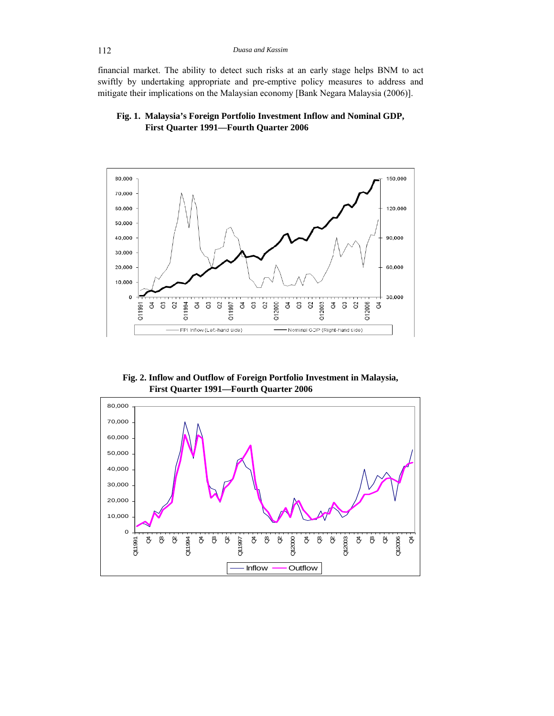financial market. The ability to detect such risks at an early stage helps BNM to act swiftly by undertaking appropriate and pre-emptive policy measures to address and mitigate their implications on the Malaysian economy [Bank Negara Malaysia (2006)].





**Fig. 2. Inflow and Outflow of Foreign Portfolio Investment in Malaysia, First Quarter 1991—Fourth Quarter 2006** 

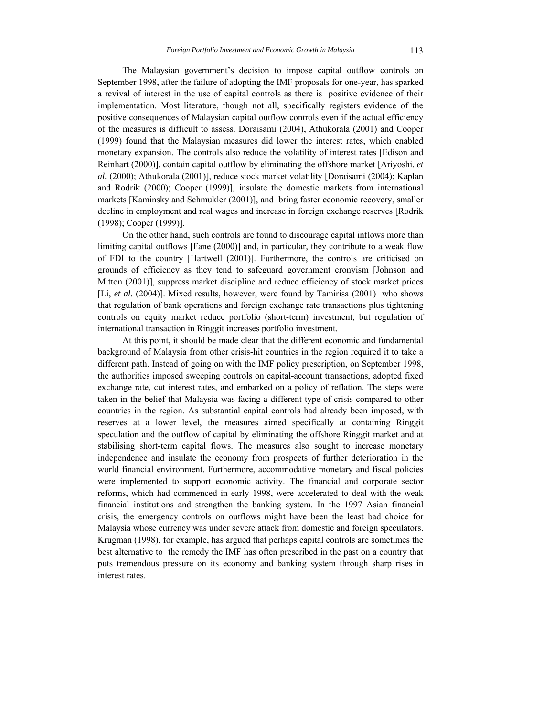The Malaysian government's decision to impose capital outflow controls on September 1998, after the failure of adopting the IMF proposals for one-year, has sparked a revival of interest in the use of capital controls as there is positive evidence of their implementation. Most literature, though not all, specifically registers evidence of the positive consequences of Malaysian capital outflow controls even if the actual efficiency of the measures is difficult to assess. Doraisami (2004), Athukorala (2001) and Cooper (1999) found that the Malaysian measures did lower the interest rates, which enabled monetary expansion. The controls also reduce the volatility of interest rates [Edison and Reinhart (2000)], contain capital outflow by eliminating the offshore market [Ariyoshi, *et al.* (2000); Athukorala (2001)], reduce stock market volatility [Doraisami (2004); Kaplan and Rodrik (2000); Cooper (1999)], insulate the domestic markets from international markets [Kaminsky and Schmukler (2001)], and bring faster economic recovery, smaller decline in employment and real wages and increase in foreign exchange reserves [Rodrik (1998); Cooper (1999)].

On the other hand, such controls are found to discourage capital inflows more than limiting capital outflows [Fane (2000)] and, in particular, they contribute to a weak flow of FDI to the country [Hartwell (2001)]. Furthermore, the controls are criticised on grounds of efficiency as they tend to safeguard government cronyism [Johnson and Mitton (2001)], suppress market discipline and reduce efficiency of stock market prices [Li, et al. (2004)]. Mixed results, however, were found by Tamirisa (2001) who shows that regulation of bank operations and foreign exchange rate transactions plus tightening controls on equity market reduce portfolio (short-term) investment, but regulation of international transaction in Ringgit increases portfolio investment.

At this point, it should be made clear that the different economic and fundamental background of Malaysia from other crisis-hit countries in the region required it to take a different path. Instead of going on with the IMF policy prescription, on September 1998, the authorities imposed sweeping controls on capital-account transactions, adopted fixed exchange rate, cut interest rates, and embarked on a policy of reflation. The steps were taken in the belief that Malaysia was facing a different type of crisis compared to other countries in the region. As substantial capital controls had already been imposed, with reserves at a lower level, the measures aimed specifically at containing Ringgit speculation and the outflow of capital by eliminating the offshore Ringgit market and at stabilising short-term capital flows. The measures also sought to increase monetary independence and insulate the economy from prospects of further deterioration in the world financial environment. Furthermore, accommodative monetary and fiscal policies were implemented to support economic activity. The financial and corporate sector reforms, which had commenced in early 1998, were accelerated to deal with the weak financial institutions and strengthen the banking system. In the 1997 Asian financial crisis, the emergency controls on outflows might have been the least bad choice for Malaysia whose currency was under severe attack from domestic and foreign speculators. Krugman (1998), for example, has argued that perhaps capital controls are sometimes the best alternative to the remedy the IMF has often prescribed in the past on a country that puts tremendous pressure on its economy and banking system through sharp rises in interest rates.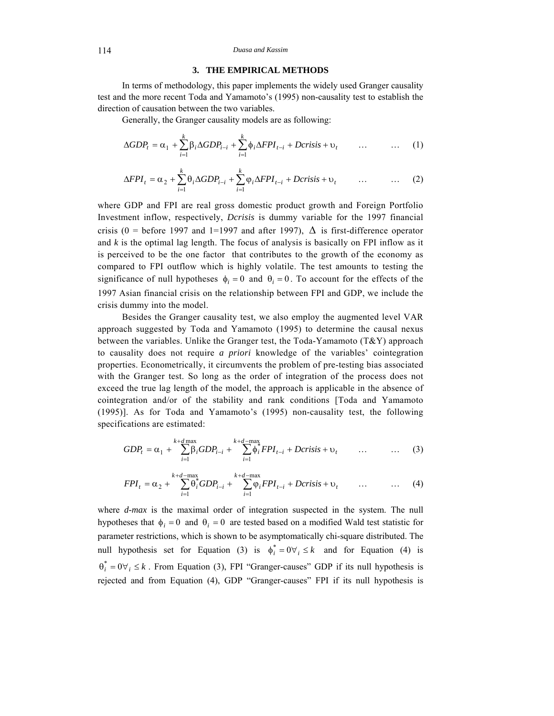#### 114 *Duasa and Kassim*

# **3. THE EMPIRICAL METHODS**

In terms of methodology, this paper implements the widely used Granger causality test and the more recent Toda and Yamamoto's (1995) non-causality test to establish the direction of causation between the two variables.

Generally, the Granger causality models are as following:

$$
\Delta GDP_t = \alpha_1 + \sum_{i=1}^k \beta_i \Delta GDP_{i-i} + \sum_{i=1}^k \phi_i \Delta FPI_{t-i} + Dcrisis + \upsilon_t \qquad \dots \qquad \dots \qquad (1)
$$

$$
\Delta FPI_t = \alpha_2 + \sum_{i=1}^k \theta_i \Delta GDP_{i-i} + \sum_{i=1}^k \varphi_i \Delta FPI_{t-i} + Dcrisis + \upsilon_t \qquad \dots \qquad \dots \qquad (2)
$$

where GDP and FPI are real gross domestic product growth and Foreign Portfolio Investment inflow, respectively, *Dcrisis* is dummy variable for the 1997 financial crisis (0 = before 1997 and 1=1997 and after 1997),  $\Delta$  is first-difference operator and  $k$  is the optimal lag length. The focus of analysis is basically on FPI inflow as it is perceived to be the one factor that contributes to the growth of the economy as compared to FPI outflow which is highly volatile. The test amounts to testing the significance of null hypotheses  $\phi_i = 0$  and  $\theta_i = 0$ . To account for the effects of the 1997 Asian financial crisis on the relationship between FPI and GDP, we include the crisis dummy into the model.

Besides the Granger causality test, we also employ the augmented level VAR approach suggested by Toda and Yamamoto (1995) to determine the causal nexus between the variables. Unlike the Granger test, the Toda-Yamamoto  $(T&Y)$  approach to causality does not require *a priori* knowledge of the variables' cointegration properties. Econometrically, it circumvents the problem of pre-testing bias associated with the Granger test. So long as the order of integration of the process does not exceed the true lag length of the model, the approach is applicable in the absence of cointegration and/or of the stability and rank conditions [Toda and Yamamoto (1995)]. As for Toda and Yamamoto's (1995) non-causality test, the following specifications are estimated:

$$
GDP_t = \alpha_1 + \sum_{i=1}^{k+d} \beta_i GDP_{i-i} + \sum_{i=1}^{k+d-\max} \phi_i^* FPI_{t-i} + Dcrisis + \upsilon_t \qquad \dots \qquad \dots \qquad (3)
$$

$$
FPI_t = \alpha_2 + \sum_{i=1}^{k+d-\max} \theta_i^* GDP_{i-i} + \sum_{i=1}^{k+d-\max} \varphi_i FPI_{t-i} + Dcrisis + \upsilon_t \qquad \dots \qquad \dots \qquad (4)
$$

where *d-max* is the maximal order of integration suspected in the system. The null hypotheses that  $\phi_i = 0$  and  $\theta_i = 0$  are tested based on a modified Wald test statistic for parameter restrictions, which is shown to be asymptomatically chi-square distributed. The null hypothesis set for Equation (3) is  $\phi_i^* = 0 \forall i \leq k$  and for Equation (4) is  $\theta_i^* = 0 \forall i \leq k$ . From Equation (3), FPI "Granger-causes" GDP if its null hypothesis is rejected and from Equation (4), GDP "Granger-causes" FPI if its null hypothesis is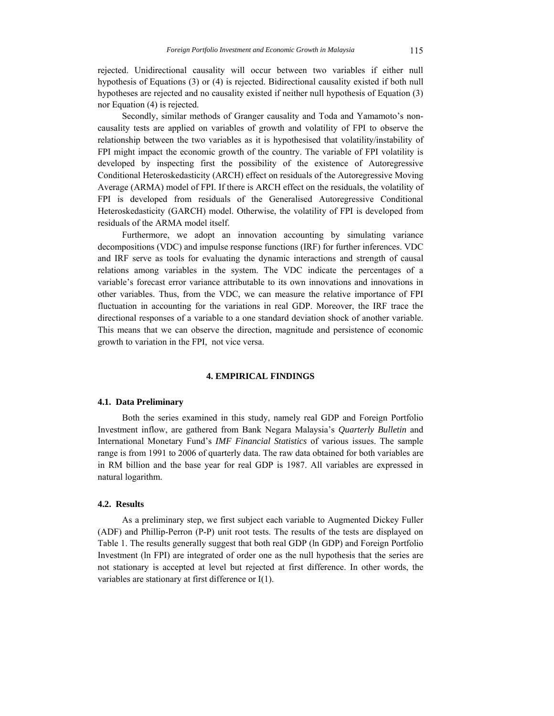rejected. Unidirectional causality will occur between two variables if either null hypothesis of Equations (3) or (4) is rejected. Bidirectional causality existed if both null hypotheses are rejected and no causality existed if neither null hypothesis of Equation (3) nor Equation (4) is rejected.

Secondly, similar methods of Granger causality and Toda and Yamamoto's noncausality tests are applied on variables of growth and volatility of FPI to observe the relationship between the two variables as it is hypothesised that volatility/instability of FPI might impact the economic growth of the country. The variable of FPI volatility is developed by inspecting first the possibility of the existence of Autoregressive Conditional Heteroskedasticity (ARCH) effect on residuals of the Autoregressive Moving Average (ARMA) model of FPI. If there is ARCH effect on the residuals, the volatility of FPI is developed from residuals of the Generalised Autoregressive Conditional Heteroskedasticity (GARCH) model. Otherwise, the volatility of FPI is developed from residuals of the ARMA model itself.

Furthermore, we adopt an innovation accounting by simulating variance decompositions (VDC) and impulse response functions (IRF) for further inferences. VDC and IRF serve as tools for evaluating the dynamic interactions and strength of causal relations among variables in the system. The VDC indicate the percentages of a variable's forecast error variance attributable to its own innovations and innovations in other variables. Thus, from the VDC, we can measure the relative importance of FPI fluctuation in accounting for the variations in real GDP. Moreover, the IRF trace the directional responses of a variable to a one standard deviation shock of another variable. This means that we can observe the direction, magnitude and persistence of economic growth to variation in the FPI, not vice versa.

#### **4. EMPIRICAL FINDINGS**

## **4.1. Data Preliminary**

Both the series examined in this study, namely real GDP and Foreign Portfolio Investment inflow, are gathered from Bank Negara Malaysia's *Quarterly Bulletin* and International Monetary Fund's *IMF Financial Statistics* of various issues. The sample range is from 1991 to 2006 of quarterly data. The raw data obtained for both variables are in RM billion and the base year for real GDP is 1987. All variables are expressed in natural logarithm.

# **4.2. Results**

As a preliminary step, we first subject each variable to Augmented Dickey Fuller (ADF) and Phillip-Perron (P-P) unit root tests. The results of the tests are displayed on Table 1. The results generally suggest that both real GDP (ln GDP) and Foreign Portfolio Investment (ln FPI) are integrated of order one as the null hypothesis that the series are not stationary is accepted at level but rejected at first difference. In other words, the variables are stationary at first difference or I(1).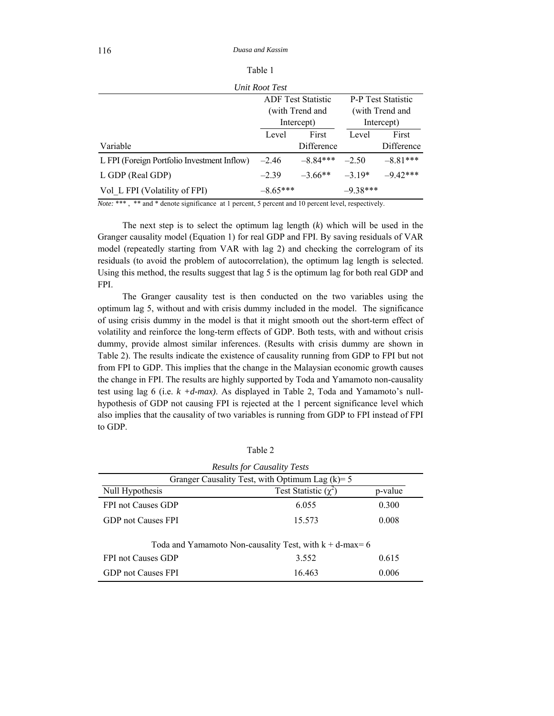| аη |
|----|
|----|

|                                             | Unit Root Test |                           |            |                           |
|---------------------------------------------|----------------|---------------------------|------------|---------------------------|
|                                             |                | <b>ADF</b> Test Statistic |            | <b>P-P</b> Test Statistic |
|                                             |                | (with Trend and           |            | (with Trend and           |
|                                             |                | Intercept)                |            | Intercept)                |
|                                             | Level          | First                     | Level      | First                     |
| Variable                                    |                | Difference                |            | Difference                |
| L FPI (Foreign Portfolio Investment Inflow) | $-2.46$        | $-8.84***$                | $-2.50$    | $-8.81***$                |
| L GDP (Real GDP)                            | $-2.39$        | $-3.66**$                 | $-3.19*$   | $-9.42***$                |
| Vol L FPI (Volatility of FPI)               | $-8.65***$     |                           | $-9.38***$ |                           |

*Note:* \*\*\* , \*\* and \* denote significance at 1 percent, 5 percent and 10 percent level, respectively.

The next step is to select the optimum lag length (*k*) which will be used in the Granger causality model (Equation 1) for real GDP and FPI. By saving residuals of VAR model (repeatedly starting from VAR with lag 2) and checking the correlogram of its residuals (to avoid the problem of autocorrelation), the optimum lag length is selected. Using this method, the results suggest that lag 5 is the optimum lag for both real GDP and FPI.

The Granger causality test is then conducted on the two variables using the optimum lag 5, without and with crisis dummy included in the model. The significance of using crisis dummy in the model is that it might smooth out the short-term effect of volatility and reinforce the long-term effects of GDP. Both tests, with and without crisis dummy, provide almost similar inferences. (Results with crisis dummy are shown in Table 2). The results indicate the existence of causality running from GDP to FPI but not from FPI to GDP. This implies that the change in the Malaysian economic growth causes the change in FPI. The results are highly supported by Toda and Yamamoto non-causality test using lag 6 (i.e. *k +d-max)*. As displayed in Table 2, Toda and Yamamoto's nullhypothesis of GDP not causing FPI is rejected at the 1 percent significance level which also implies that the causality of two variables is running from GDP to FPI instead of FPI to GDP.

| ı.<br>г<br>r. |  |
|---------------|--|
|               |  |

| <b>Results for Causality Tests</b>                         |                             |         |  |  |
|------------------------------------------------------------|-----------------------------|---------|--|--|
| Granger Causality Test, with Optimum Lag $(k)=5$           |                             |         |  |  |
| Null Hypothesis                                            | Test Statistic $(\gamma^2)$ | p-value |  |  |
| <b>FPI not Causes GDP</b>                                  | 6.055                       | 0.300   |  |  |
| GDP not Causes FPI                                         | 15.573                      | 0.008   |  |  |
| Toda and Yamamoto Non-causality Test, with $k + d$ -max= 6 |                             |         |  |  |
| <b>FPI not Causes GDP</b>                                  | 3.552                       | 0.615   |  |  |
| GDP not Causes FPI                                         | 16.463                      | 0.006   |  |  |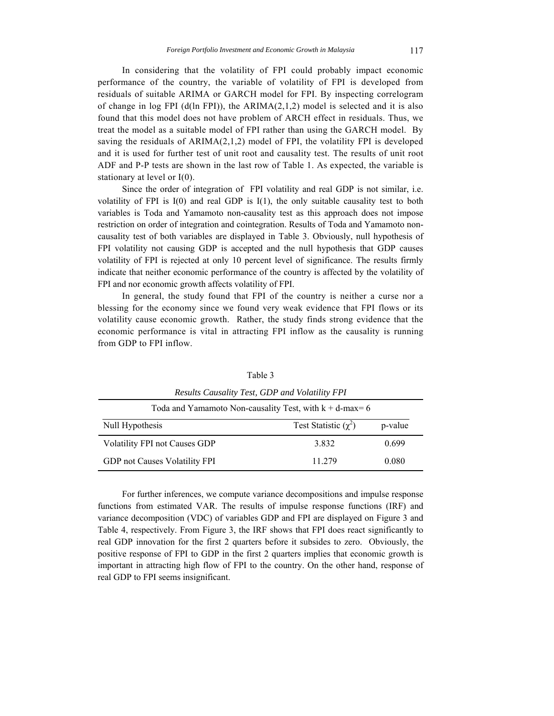In considering that the volatility of FPI could probably impact economic performance of the country, the variable of volatility of FPI is developed from residuals of suitable ARIMA or GARCH model for FPI. By inspecting correlogram of change in log FPI  $(d(\text{ln FPI})),$  the ARIMA $(2,1,2)$  model is selected and it is also found that this model does not have problem of ARCH effect in residuals. Thus, we treat the model as a suitable model of FPI rather than using the GARCH model. By saving the residuals of  $ARIMA(2,1,2)$  model of FPI, the volatility FPI is developed and it is used for further test of unit root and causality test. The results of unit root ADF and P-P tests are shown in the last row of Table 1. As expected, the variable is stationary at level or I(0).

Since the order of integration of FPI volatility and real GDP is not similar, i.e. volatility of FPI is  $I(0)$  and real GDP is  $I(1)$ , the only suitable causality test to both variables is Toda and Yamamoto non-causality test as this approach does not impose restriction on order of integration and cointegration. Results of Toda and Yamamoto noncausality test of both variables are displayed in Table 3. Obviously, null hypothesis of FPI volatility not causing GDP is accepted and the null hypothesis that GDP causes volatility of FPI is rejected at only 10 percent level of significance. The results firmly indicate that neither economic performance of the country is affected by the volatility of FPI and nor economic growth affects volatility of FPI.

In general, the study found that FPI of the country is neither a curse nor a blessing for the economy since we found very weak evidence that FPI flows or its volatility cause economic growth. Rather, the study finds strong evidence that the economic performance is vital in attracting FPI inflow as the causality is running from GDP to FPI inflow.

| Results Causality Test, ODI and Volutility PTT             |                           |         |  |  |
|------------------------------------------------------------|---------------------------|---------|--|--|
| Toda and Yamamoto Non-causality Test, with $k + d$ -max= 6 |                           |         |  |  |
| Null Hypothesis                                            | Test Statistic $(\chi^2)$ | p-value |  |  |
| Volatility FPI not Causes GDP                              | 3.832                     | 0.699   |  |  |
| <b>GDP</b> not Causes Volatility FPI                       | 11 279                    | 0.080   |  |  |

Table 3 *Results Causality Test, GDP and Volatility FPI* 

For further inferences, we compute variance decompositions and impulse response functions from estimated VAR. The results of impulse response functions (IRF) and variance decomposition (VDC) of variables GDP and FPI are displayed on Figure 3 and Table 4, respectively. From Figure 3, the IRF shows that FPI does react significantly to real GDP innovation for the first 2 quarters before it subsides to zero. Obviously, the positive response of FPI to GDP in the first 2 quarters implies that economic growth is important in attracting high flow of FPI to the country. On the other hand, response of real GDP to FPI seems insignificant.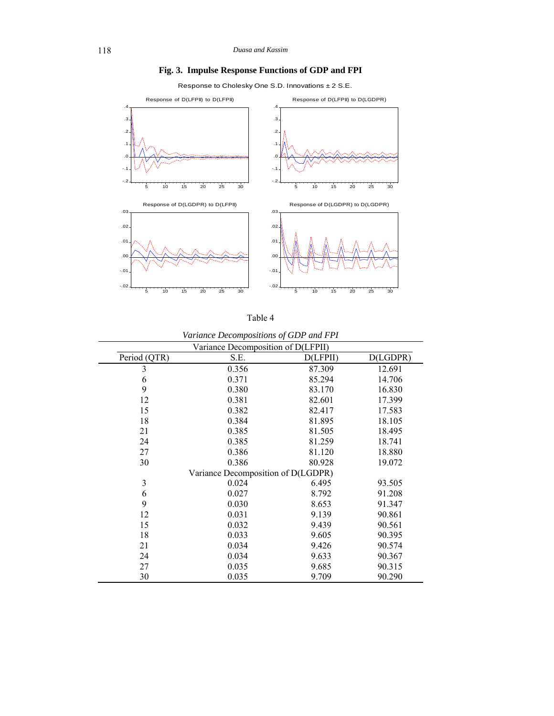**Fig. 3. Impulse Response Functions of GDP and FPI** 

Response to Cholesky One S.D. Innovations ± 2 S.E.



| anie |  |
|------|--|
|------|--|

|              | $\sim$                             |          |          |
|--------------|------------------------------------|----------|----------|
|              | Variance Decomposition of D(LFPII) |          |          |
| Period (QTR) | S.E.                               | D(LFPII) | D(LGDPR) |
| 3            | 0.356                              | 87.309   | 12.691   |
| 6            | 0.371                              | 85.294   | 14.706   |
| 9            | 0.380                              | 83.170   | 16.830   |
| 12           | 0.381                              | 82.601   | 17.399   |
| 15           | 0.382                              | 82.417   | 17.583   |
| 18           | 0.384                              | 81.895   | 18.105   |
| 21           | 0.385                              | 81.505   | 18.495   |
| 24           | 0.385                              | 81.259   | 18.741   |
| 27           | 0.386                              | 81.120   | 18.880   |
| 30           | 0.386                              | 80.928   | 19.072   |
|              | Variance Decomposition of D(LGDPR) |          |          |
| 3            | 0.024                              | 6.495    | 93.505   |
| 6            | 0.027                              | 8.792    | 91.208   |
| 9            | 0.030                              | 8.653    | 91.347   |
| 12           | 0.031                              | 9.139    | 90.861   |
| 15           | 0.032                              | 9.439    | 90.561   |
| 18           | 0.033                              | 9.605    | 90.395   |
| 21           | 0.034                              | 9.426    | 90.574   |
| 24           | 0.034                              | 9.633    | 90.367   |
| 27           | 0.035                              | 9.685    | 90.315   |
| 30           | 0.035                              | 9.709    | 90.290   |

*Variance Decompositions of GDP and FPI*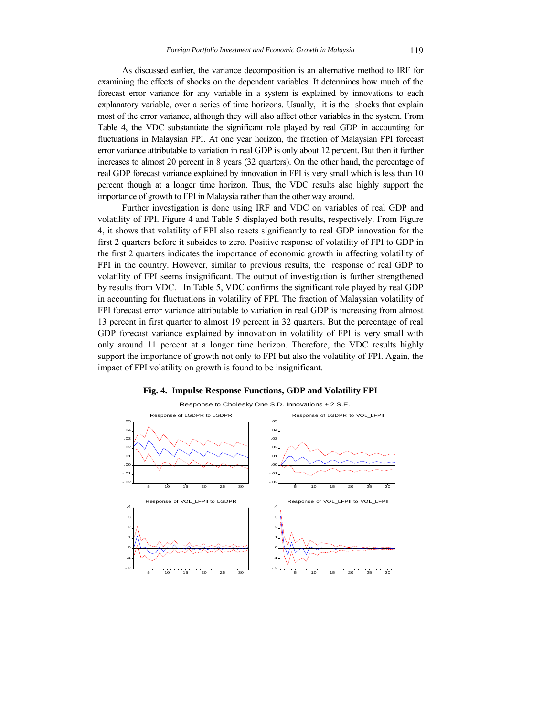As discussed earlier, the variance decomposition is an alternative method to IRF for examining the effects of shocks on the dependent variables. It determines how much of the forecast error variance for any variable in a system is explained by innovations to each explanatory variable, over a series of time horizons. Usually, it is the shocks that explain most of the error variance, although they will also affect other variables in the system. From Table 4, the VDC substantiate the significant role played by real GDP in accounting for fluctuations in Malaysian FPI. At one year horizon, the fraction of Malaysian FPI forecast error variance attributable to variation in real GDP is only about 12 percent. But then it further increases to almost 20 percent in 8 years (32 quarters). On the other hand, the percentage of real GDP forecast variance explained by innovation in FPI is very small which is less than 10 percent though at a longer time horizon. Thus, the VDC results also highly support the importance of growth to FPI in Malaysia rather than the other way around.

Further investigation is done using IRF and VDC on variables of real GDP and volatility of FPI. Figure 4 and Table 5 displayed both results, respectively. From Figure 4, it shows that volatility of FPI also reacts significantly to real GDP innovation for the first 2 quarters before it subsides to zero. Positive response of volatility of FPI to GDP in the first 2 quarters indicates the importance of economic growth in affecting volatility of FPI in the country. However, similar to previous results, the response of real GDP to volatility of FPI seems insignificant. The output of investigation is further strengthened by results from VDC. In Table 5, VDC confirms the significant role played by real GDP in accounting for fluctuations in volatility of FPI. The fraction of Malaysian volatility of FPI forecast error variance attributable to variation in real GDP is increasing from almost 13 percent in first quarter to almost 19 percent in 32 quarters. But the percentage of real GDP forecast variance explained by innovation in volatility of FPI is very small with only around 11 percent at a longer time horizon. Therefore, the VDC results highly support the importance of growth not only to FPI but also the volatility of FPI. Again, the impact of FPI volatility on growth is found to be insignificant.



#### **Fig. 4. Impulse Response Functions, GDP and Volatility FPI**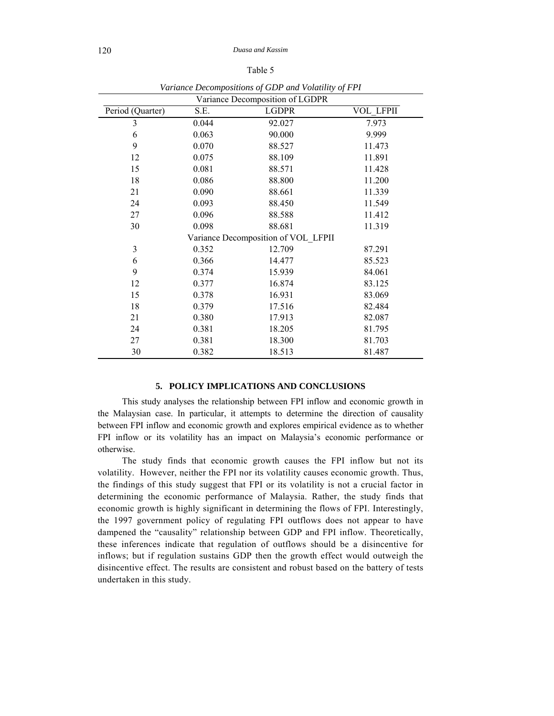| ., | r |  |  |
|----|---|--|--|
|----|---|--|--|

| ranance Becompositions of OB1 and rolanny of 111<br>Variance Decomposition of LGDPR |       |              |                  |  |
|-------------------------------------------------------------------------------------|-------|--------------|------------------|--|
| Period (Quarter)                                                                    | S.E.  | <b>LGDPR</b> | <b>VOL LFPII</b> |  |
| $\mathfrak{Z}$                                                                      | 0.044 | 92.027       | 7.973            |  |
| 6                                                                                   | 0.063 | 90.000       | 9.999            |  |
| 9                                                                                   | 0.070 | 88.527       | 11.473           |  |
| 12                                                                                  | 0.075 | 88.109       | 11.891           |  |
| 15                                                                                  | 0.081 | 88.571       | 11.428           |  |
| 18                                                                                  | 0.086 | 88.800       | 11.200           |  |
| 21                                                                                  | 0.090 | 88.661       | 11.339           |  |
| 24                                                                                  | 0.093 | 88.450       | 11.549           |  |
| 27                                                                                  | 0.096 | 88.588       | 11.412           |  |
| 30                                                                                  | 0.098 | 88.681       | 11.319           |  |
| Variance Decomposition of VOL LFPII                                                 |       |              |                  |  |
| 3                                                                                   | 0.352 | 12.709       | 87.291           |  |
| 6                                                                                   | 0.366 | 14.477       | 85.523           |  |
| 9                                                                                   | 0.374 | 15.939       | 84.061           |  |
| 12                                                                                  | 0.377 | 16.874       | 83.125           |  |
| 15                                                                                  | 0.378 | 16.931       | 83.069           |  |
| 18                                                                                  | 0.379 | 17.516       | 82.484           |  |
| 21                                                                                  | 0.380 | 17.913       | 82.087           |  |
| 24                                                                                  | 0.381 | 18.205       | 81.795           |  |
| 27                                                                                  | 0.381 | 18.300       | 81.703           |  |
| 30                                                                                  | 0.382 | 18.513       | 81.487           |  |

*Variance Decompositions of GDP and Volatility of FPI* 

#### **5. POLICY IMPLICATIONS AND CONCLUSIONS**

This study analyses the relationship between FPI inflow and economic growth in the Malaysian case. In particular, it attempts to determine the direction of causality between FPI inflow and economic growth and explores empirical evidence as to whether FPI inflow or its volatility has an impact on Malaysia's economic performance or otherwise.

The study finds that economic growth causes the FPI inflow but not its volatility. However, neither the FPI nor its volatility causes economic growth. Thus, the findings of this study suggest that FPI or its volatility is not a crucial factor in determining the economic performance of Malaysia. Rather, the study finds that economic growth is highly significant in determining the flows of FPI. Interestingly, the 1997 government policy of regulating FPI outflows does not appear to have dampened the "causality" relationship between GDP and FPI inflow. Theoretically, these inferences indicate that regulation of outflows should be a disincentive for inflows; but if regulation sustains GDP then the growth effect would outweigh the disincentive effect. The results are consistent and robust based on the battery of tests undertaken in this study.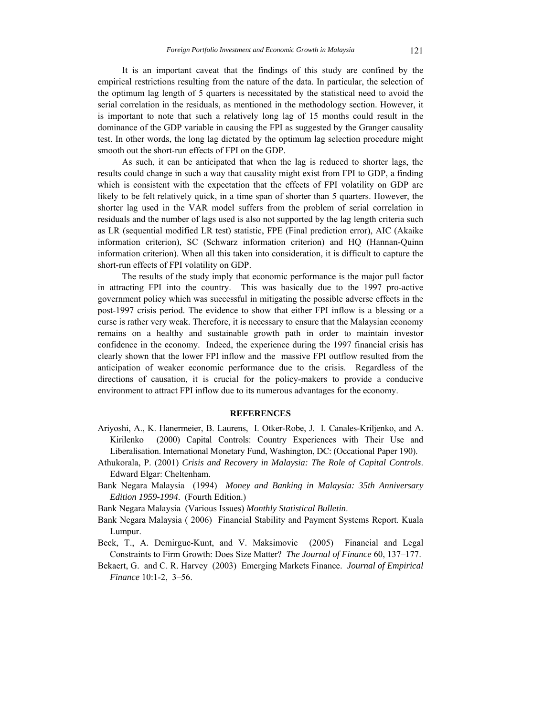It is an important caveat that the findings of this study are confined by the empirical restrictions resulting from the nature of the data. In particular, the selection of the optimum lag length of 5 quarters is necessitated by the statistical need to avoid the serial correlation in the residuals, as mentioned in the methodology section. However, it is important to note that such a relatively long lag of 15 months could result in the dominance of the GDP variable in causing the FPI as suggested by the Granger causality test. In other words, the long lag dictated by the optimum lag selection procedure might smooth out the short-run effects of FPI on the GDP.

As such, it can be anticipated that when the lag is reduced to shorter lags, the results could change in such a way that causality might exist from FPI to GDP, a finding which is consistent with the expectation that the effects of FPI volatility on GDP are likely to be felt relatively quick, in a time span of shorter than 5 quarters. However, the shorter lag used in the VAR model suffers from the problem of serial correlation in residuals and the number of lags used is also not supported by the lag length criteria such as LR (sequential modified LR test) statistic, FPE (Final prediction error), AIC (Akaike information criterion), SC (Schwarz information criterion) and HQ (Hannan-Quinn information criterion). When all this taken into consideration, it is difficult to capture the short-run effects of FPI volatility on GDP.

The results of the study imply that economic performance is the major pull factor in attracting FPI into the country. This was basically due to the 1997 pro-active government policy which was successful in mitigating the possible adverse effects in the post-1997 crisis period. The evidence to show that either FPI inflow is a blessing or a curse is rather very weak. Therefore, it is necessary to ensure that the Malaysian economy remains on a healthy and sustainable growth path in order to maintain investor confidence in the economy. Indeed, the experience during the 1997 financial crisis has clearly shown that the lower FPI inflow and the massive FPI outflow resulted from the anticipation of weaker economic performance due to the crisis. Regardless of the directions of causation, it is crucial for the policy-makers to provide a conducive environment to attract FPI inflow due to its numerous advantages for the economy.

#### **REFERENCES**

- Ariyoshi, A., K. Hanermeier, B. Laurens, I. Otker-Robe, J. I. Canales-Kriljenko, and A. Kirilenko (2000) Capital Controls: Country Experiences with Their Use and Liberalisation. International Monetary Fund, Washington, DC: (Occational Paper 190).
- Athukorala, P. (2001) *Crisis and Recovery in Malaysia: The Role of Capital Controls*. Edward Elgar: Cheltenham.
- Bank Negara Malaysia (1994) *Money and Banking in Malaysia: 35th Anniversary Edition 1959-1994*. (Fourth Edition.)
- Bank Negara Malaysia (Various Issues) *Monthly Statistical Bulletin*.
- Bank Negara Malaysia ( 2006) Financial Stability and Payment Systems Report*.* Kuala Lumpur.
- Beck, T., A. Demirguc-Kunt, and V. Maksimovic (2005) Financial and Legal Constraints to Firm Growth: Does Size Matter? *The Journal of Finance* 60, 137–177.
- Bekaert, G. and C. R. Harvey (2003) Emerging Markets Finance. *Journal of Empirical Finance* 10:1-2, 3–56.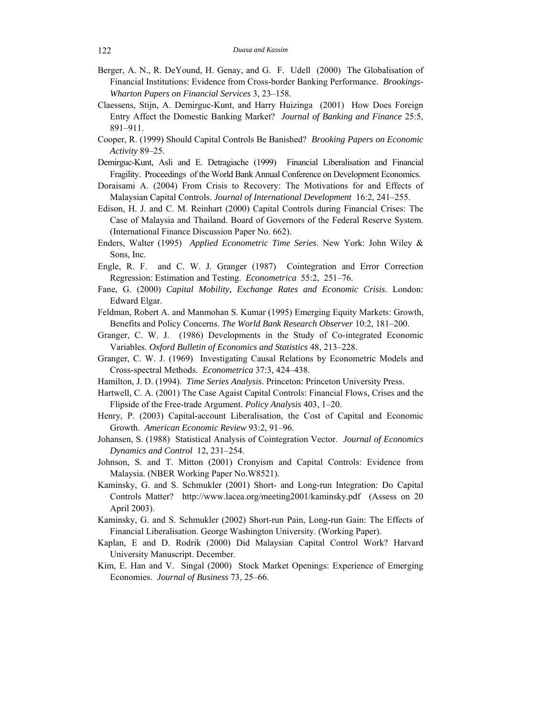- Berger, A. N., R. DeYound, H. Genay, and G. F. Udell (2000) The Globalisation of Financial Institutions: Evidence from Cross-border Banking Performance. *Brookings-Wharton Papers on Financial Services* 3, 23–158.
- Claessens, Stijn, A. Demirguc-Kunt, and Harry Huizinga (2001) How Does Foreign Entry Affect the Domestic Banking Market? *Journal of Banking and Finance* 25:5, 891–911.
- Cooper, R. (1999) Should Capital Controls Be Banished? *Brooking Papers on Economic Activity* 89–25.
- Demirguc-Kunt, Asli and E. Detragiache (1999) Financial Liberalisation and Financial Fragility. Proceedings of the World Bank Annual Conference on Development Economics.
- Doraisami A. (2004) From Crisis to Recovery: The Motivations for and Effects of Malaysian Capital Controls. *Journal of International Development* 16:2, 241–255.
- Edison, H. J. and C. M. Reinhart (2000) Capital Controls during Financial Crises: The Case of Malaysia and Thailand. Board of Governors of the Federal Reserve System. (International Finance Discussion Paper No. 662).
- Enders, Walter (1995) *Applied Econometric Time Series*. New York: John Wiley & Sons, Inc.
- Engle, R. F. and C. W. J. Granger (1987) Cointegration and Error Correction Regression: Estimation and Testing. *Econometrica* 55:2, 251–76.
- Fane, G. (2000) *Capital Mobility, Exchange Rates and Economic Crisis*. London: Edward Elgar.
- Feldman, Robert A. and Manmohan S. Kumar (1995) Emerging Equity Markets: Growth, Benefits and Policy Concerns. *The World Bank Research Observer* 10:2, 181–200.
- Granger, C. W. J. (1986) Developments in the Study of Co-integrated Economic Variables. *Oxford Bulletin of Economics and Statistics* 48, 213–228.
- Granger, C. W. J. (1969) Investigating Causal Relations by Econometric Models and Cross-spectral Methods. *Econometrica* 37:3, 424–438.
- Hamilton, J. D. (1994). *Time Series Analysis*. Princeton: Princeton University Press.
- Hartwell, C. A. (2001) The Case Agaist Capital Controls: Financial Flows, Crises and the Flipside of the Free-trade Argument. *Policy Analysis* 403, 1–20.
- Henry, P. (2003) Capital-account Liberalisation, the Cost of Capital and Economic Growth. *American Economic Review* 93:2, 91–96.
- Johansen, S. (1988) Statistical Analysis of Cointegration Vector. *Journal of Economics Dynamics and Control* 12, 231–254.
- Johnson, S. and T. Mitton (2001) Cronyism and Capital Controls: Evidence from Malaysia. (NBER Working Paper No.W8521).
- Kaminsky, G. and S. Schmukler (2001) Short- and Long-run Integration: Do Capital Controls Matter? http://www.lacea.org/meeting2001/kaminsky.pdf (Assess on 20 April 2003).
- Kaminsky, G. and S. Schmukler (2002) Short-run Pain, Long-run Gain: The Effects of Financial Liberalisation. George Washington University. (Working Paper).
- Kaplan, E and D. Rodrik (2000) Did Malaysian Capital Control Work? Harvard University Manuscript. December.
- Kim, E. Han and V. Singal (2000) Stock Market Openings: Experience of Emerging Economies. *Journal of Business* 73, 25–66.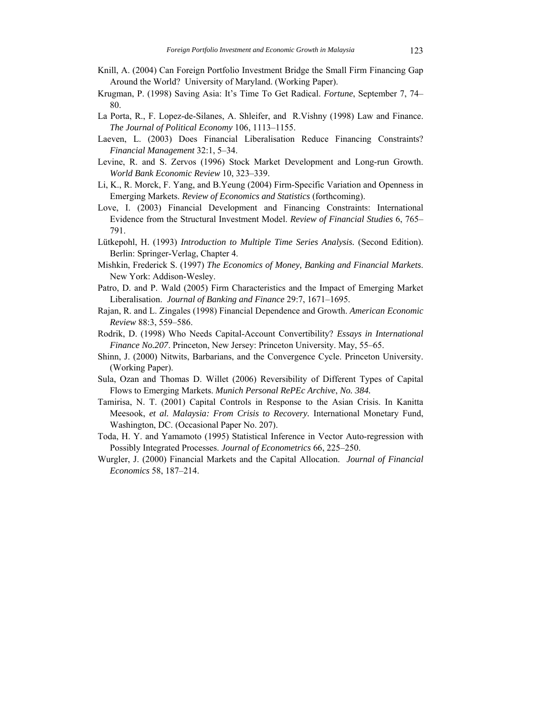- Knill, A. (2004) Can Foreign Portfolio Investment Bridge the Small Firm Financing Gap Around the World? University of Maryland. (Working Paper).
- Krugman, P. (1998) Saving Asia: It's Time To Get Radical. *Fortune*, September 7, 74– 80.
- La Porta, R., F. Lopez-de-Silanes, A. Shleifer, and R.Vishny (1998) Law and Finance. *The Journal of Political Economy* 106, 1113–1155.
- Laeven, L. (2003) Does Financial Liberalisation Reduce Financing Constraints? *Financial Management* 32:1, 5–34.
- Levine, R. and S. Zervos (1996) Stock Market Development and Long-run Growth. *World Bank Economic Review* 10, 323–339.
- Li, K., R. Morck, F. Yang, and B.Yeung (2004) Firm-Specific Variation and Openness in Emerging Markets. *Review of Economics and Statistics* (forthcoming).
- Love, I. (2003) Financial Development and Financing Constraints: International Evidence from the Structural Investment Model. *Review of Financial Studies* 6, 765– 791.
- Lütkepohl, H. (1993) *Introduction to Multiple Time Series Analysis.* (Second Edition). Berlin: Springer-Verlag, Chapter 4.
- Mishkin, Frederick S. (1997) *The Economics of Money, Banking and Financial Markets*. New York: Addison-Wesley.
- Patro, D. and P. Wald (2005) Firm Characteristics and the Impact of Emerging Market Liberalisation. *Journal of Banking and Finance* 29:7, 1671–1695.
- Rajan, R. and L. Zingales (1998) Financial Dependence and Growth. *American Economic Review* 88:3, 559–586.
- Rodrik, D. (1998) Who Needs Capital-Account Convertibility? *Essays in International Finance No.207*. Princeton, New Jersey: Princeton University. May, 55–65.
- Shinn, J. (2000) Nitwits, Barbarians, and the Convergence Cycle. Princeton University. (Working Paper).
- Sula, Ozan and Thomas D. Willet (2006) Reversibility of Different Types of Capital Flows to Emerging Markets. *Munich Personal RePEc Archive*, *No. 384.*
- Tamirisa, N. T. (2001) Capital Controls in Response to the Asian Crisis. In Kanitta Meesook, *et al. Malaysia: From Crisis to Recovery.* International Monetary Fund, Washington, DC. (Occasional Paper No. 207).
- Toda, H. Y. and Yamamoto (1995) Statistical Inference in Vector Auto-regression with Possibly Integrated Processes. *Journal of Econometrics* 66, 225–250.
- Wurgler, J. (2000) Financial Markets and the Capital Allocation. *Journal of Financial Economics* 58, 187–214.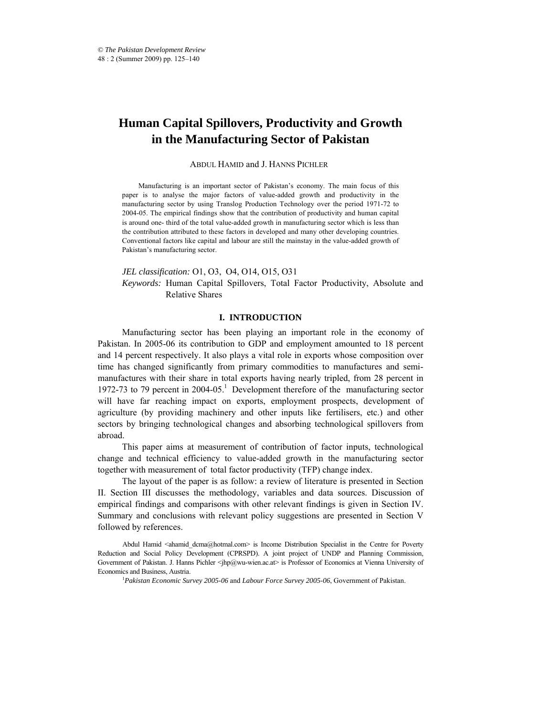# **Human Capital Spillovers, Productivity and Growth in the Manufacturing Sector of Pakistan**

#### ABDUL HAMID and J. HANNS PICHLER\*

Manufacturing is an important sector of Pakistan's economy. The main focus of this paper is to analyse the major factors of value-added growth and productivity in the manufacturing sector by using Translog Production Technology over the period 1971-72 to 2004-05. The empirical findings show that the contribution of productivity and human capital is around one- third of the total value-added growth in manufacturing sector which is less than the contribution attributed to these factors in developed and many other developing countries. Conventional factors like capital and labour are still the mainstay in the value-added growth of Pakistan's manufacturing sector.

# *JEL classification:* O1, O3, O4, O14, O15, O31 *Keywords:* Human Capital Spillovers, Total Factor Productivity, Absolute and Relative Shares

# **I. INTRODUCTION**

Manufacturing sector has been playing an important role in the economy of Pakistan. In 2005-06 its contribution to GDP and employment amounted to 18 percent and 14 percent respectively. It also plays a vital role in exports whose composition over time has changed significantly from primary commodities to manufactures and semimanufactures with their share in total exports having nearly tripled, from 28 percent in 1972-73 to 79 percent in  $2004-05$ .<sup>1</sup> Development therefore of the manufacturing sector will have far reaching impact on exports, employment prospects, development of agriculture (by providing machinery and other inputs like fertilisers, etc.) and other sectors by bringing technological changes and absorbing technological spillovers from abroad.

This paper aims at measurement of contribution of factor inputs, technological change and technical efficiency to value-added growth in the manufacturing sector together with measurement of total factor productivity (TFP) change index.

The layout of the paper is as follow: a review of literature is presented in Section II. Section III discusses the methodology, variables and data sources. Discussion of empirical findings and comparisons with other relevant findings is given in Section IV. Summary and conclusions with relevant policy suggestions are presented in Section V followed by references.

Abdul Hamid <ahamid dcma@hotmal.com> is Income Distribution Specialist in the Centre for Poverty Reduction and Social Policy Development (CPRSPD). A joint project of UNDP and Planning Commission, Government of Pakistan. J. Hanns Pichler <jhp@wu-wien.ac.at> is Professor of Economics at Vienna University of Economics and Business, Austria.

*Pakistan Economic Survey 2005-06* and *Labour Force Survey 2005-06*, Government of Pakistan.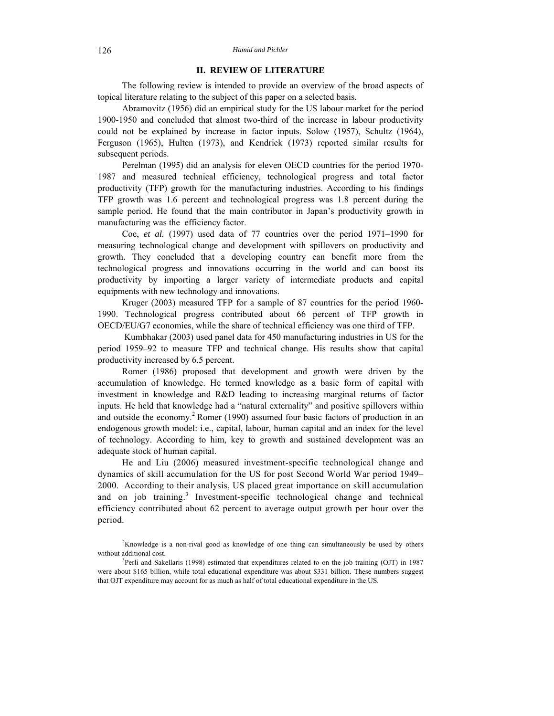#### 126 *Hamid and Pichler*

# **II. REVIEW OF LITERATURE**

The following review is intended to provide an overview of the broad aspects of topical literature relating to the subject of this paper on a selected basis.

Abramovitz (1956) did an empirical study for the US labour market for the period 1900-1950 and concluded that almost two-third of the increase in labour productivity could not be explained by increase in factor inputs. Solow (1957), Schultz (1964), Ferguson (1965), Hulten (1973), and Kendrick (1973) reported similar results for subsequent periods.

Perelman (1995) did an analysis for eleven OECD countries for the period 1970- 1987 and measured technical efficiency, technological progress and total factor productivity (TFP) growth for the manufacturing industries. According to his findings TFP growth was 1.6 percent and technological progress was 1.8 percent during the sample period. He found that the main contributor in Japan's productivity growth in manufacturing was the efficiency factor.

Coe, *et al.* (1997) used data of 77 countries over the period 1971–1990 for measuring technological change and development with spillovers on productivity and growth. They concluded that a developing country can benefit more from the technological progress and innovations occurring in the world and can boost its productivity by importing a larger variety of intermediate products and capital equipments with new technology and innovations.

Kruger (2003) measured TFP for a sample of 87 countries for the period 1960- 1990. Technological progress contributed about 66 percent of TFP growth in OECD/EU/G7 economies, while the share of technical efficiency was one third of TFP.

 Kumbhakar (2003) used panel data for 450 manufacturing industries in US for the period 1959–92 to measure TFP and technical change. His results show that capital productivity increased by 6.5 percent.

Romer (1986) proposed that development and growth were driven by the accumulation of knowledge. He termed knowledge as a basic form of capital with investment in knowledge and R&D leading to increasing marginal returns of factor inputs. He held that knowledge had a "natural externality" and positive spillovers within and outside the economy.<sup>2</sup> Romer (1990) assumed four basic factors of production in an endogenous growth model: i.e., capital, labour, human capital and an index for the level of technology. According to him, key to growth and sustained development was an adequate stock of human capital.

He and Liu (2006) measured investment-specific technological change and dynamics of skill accumulation for the US for post Second World War period 1949– 2000. According to their analysis, US placed great importance on skill accumulation and on job training.<sup>3</sup> Investment-specific technological change and technical efficiency contributed about 62 percent to average output growth per hour over the period.

2 Knowledge is a non-rival good as knowledge of one thing can simultaneously be used by others without additional cost.

<sup>&</sup>lt;sup>3</sup>Perli and Sakellaris (1998) estimated that expenditures related to on the job training (OJT) in 1987 were about \$165 billion, while total educational expenditure was about \$331 billion. These numbers suggest that OJT expenditure may account for as much as half of total educational expenditure in the US.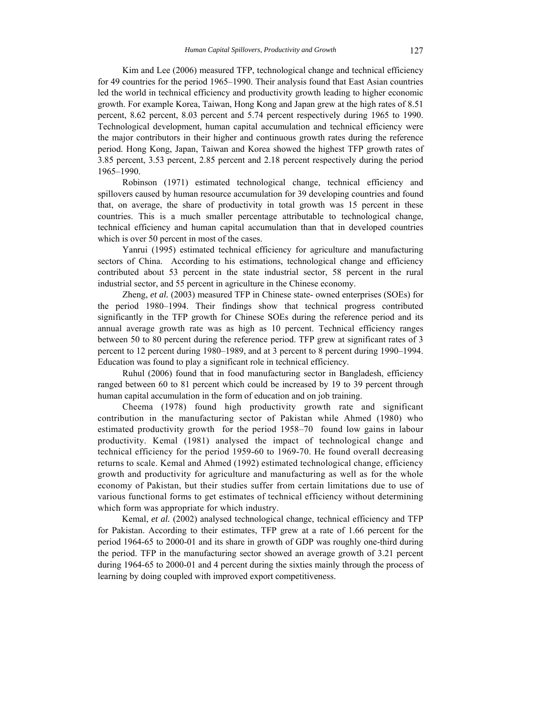Kim and Lee (2006) measured TFP, technological change and technical efficiency for 49 countries for the period 1965–1990. Their analysis found that East Asian countries led the world in technical efficiency and productivity growth leading to higher economic growth. For example Korea, Taiwan, Hong Kong and Japan grew at the high rates of 8.51 percent, 8.62 percent, 8.03 percent and 5.74 percent respectively during 1965 to 1990. Technological development, human capital accumulation and technical efficiency were the major contributors in their higher and continuous growth rates during the reference period. Hong Kong, Japan, Taiwan and Korea showed the highest TFP growth rates of 3.85 percent, 3.53 percent, 2.85 percent and 2.18 percent respectively during the period 1965–1990.

Robinson (1971) estimated technological change, technical efficiency and spillovers caused by human resource accumulation for 39 developing countries and found that, on average, the share of productivity in total growth was 15 percent in these countries. This is a much smaller percentage attributable to technological change, technical efficiency and human capital accumulation than that in developed countries which is over 50 percent in most of the cases.

Yanrui (1995) estimated technical efficiency for agriculture and manufacturing sectors of China. According to his estimations, technological change and efficiency contributed about 53 percent in the state industrial sector, 58 percent in the rural industrial sector, and 55 percent in agriculture in the Chinese economy.

Zheng, *et al.* (2003) measured TFP in Chinese state- owned enterprises (SOEs) for the period 1980–1994. Their findings show that technical progress contributed significantly in the TFP growth for Chinese SOEs during the reference period and its annual average growth rate was as high as 10 percent. Technical efficiency ranges between 50 to 80 percent during the reference period. TFP grew at significant rates of 3 percent to 12 percent during 1980–1989, and at 3 percent to 8 percent during 1990–1994. Education was found to play a significant role in technical efficiency.

Ruhul (2006) found that in food manufacturing sector in Bangladesh, efficiency ranged between 60 to 81 percent which could be increased by 19 to 39 percent through human capital accumulation in the form of education and on job training.

Cheema (1978) found high productivity growth rate and significant contribution in the manufacturing sector of Pakistan while Ahmed (1980) who estimated productivity growth for the period 1958–70 found low gains in labour productivity. Kemal (1981) analysed the impact of technological change and technical efficiency for the period 1959-60 to 1969-70. He found overall decreasing returns to scale. Kemal and Ahmed (1992) estimated technological change, efficiency growth and productivity for agriculture and manufacturing as well as for the whole economy of Pakistan, but their studies suffer from certain limitations due to use of various functional forms to get estimates of technical efficiency without determining which form was appropriate for which industry.

Kemal, et al. (2002) analysed technological change, technical efficiency and TFP for Pakistan. According to their estimates, TFP grew at a rate of 1.66 percent for the period 1964-65 to 2000-01 and its share in growth of GDP was roughly one-third during the period. TFP in the manufacturing sector showed an average growth of 3.21 percent during 1964-65 to 2000-01 and 4 percent during the sixties mainly through the process of learning by doing coupled with improved export competitiveness.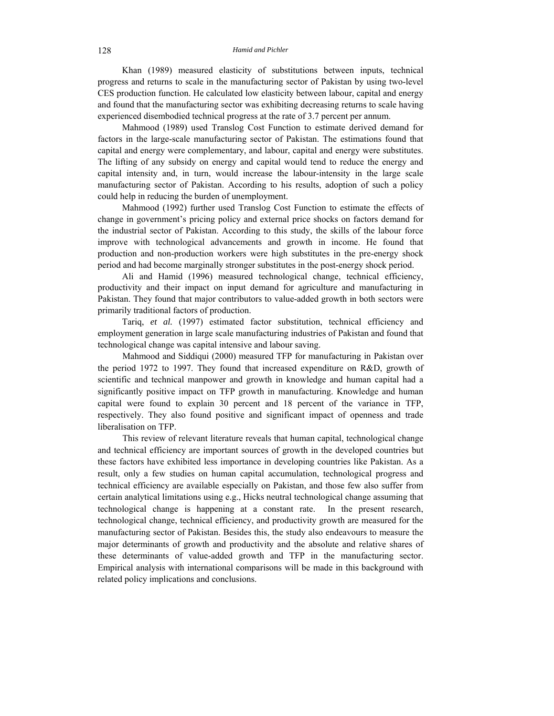Khan (1989) measured elasticity of substitutions between inputs, technical progress and returns to scale in the manufacturing sector of Pakistan by using two-level CES production function. He calculated low elasticity between labour, capital and energy and found that the manufacturing sector was exhibiting decreasing returns to scale having experienced disembodied technical progress at the rate of 3.7 percent per annum.

Mahmood (1989) used Translog Cost Function to estimate derived demand for factors in the large-scale manufacturing sector of Pakistan. The estimations found that capital and energy were complementary, and labour, capital and energy were substitutes. The lifting of any subsidy on energy and capital would tend to reduce the energy and capital intensity and, in turn, would increase the labour-intensity in the large scale manufacturing sector of Pakistan. According to his results, adoption of such a policy could help in reducing the burden of unemployment.

Mahmood (1992) further used Translog Cost Function to estimate the effects of change in government's pricing policy and external price shocks on factors demand for the industrial sector of Pakistan. According to this study, the skills of the labour force improve with technological advancements and growth in income. He found that production and non-production workers were high substitutes in the pre-energy shock period and had become marginally stronger substitutes in the post-energy shock period.

Ali and Hamid (1996) measured technological change, technical efficiency, productivity and their impact on input demand for agriculture and manufacturing in Pakistan. They found that major contributors to value-added growth in both sectors were primarily traditional factors of production.

Tariq, *et al.* (1997) estimated factor substitution, technical efficiency and employment generation in large scale manufacturing industries of Pakistan and found that technological change was capital intensive and labour saving.

Mahmood and Siddiqui (2000) measured TFP for manufacturing in Pakistan over the period 1972 to 1997. They found that increased expenditure on R&D, growth of scientific and technical manpower and growth in knowledge and human capital had a significantly positive impact on TFP growth in manufacturing. Knowledge and human capital were found to explain 30 percent and 18 percent of the variance in TFP, respectively. They also found positive and significant impact of openness and trade liberalisation on TFP.

This review of relevant literature reveals that human capital, technological change and technical efficiency are important sources of growth in the developed countries but these factors have exhibited less importance in developing countries like Pakistan. As a result, only a few studies on human capital accumulation, technological progress and technical efficiency are available especially on Pakistan, and those few also suffer from certain analytical limitations using e.g., Hicks neutral technological change assuming that technological change is happening at a constant rate. In the present research, technological change, technical efficiency, and productivity growth are measured for the manufacturing sector of Pakistan. Besides this, the study also endeavours to measure the major determinants of growth and productivity and the absolute and relative shares of these determinants of value-added growth and TFP in the manufacturing sector. Empirical analysis with international comparisons will be made in this background with related policy implications and conclusions.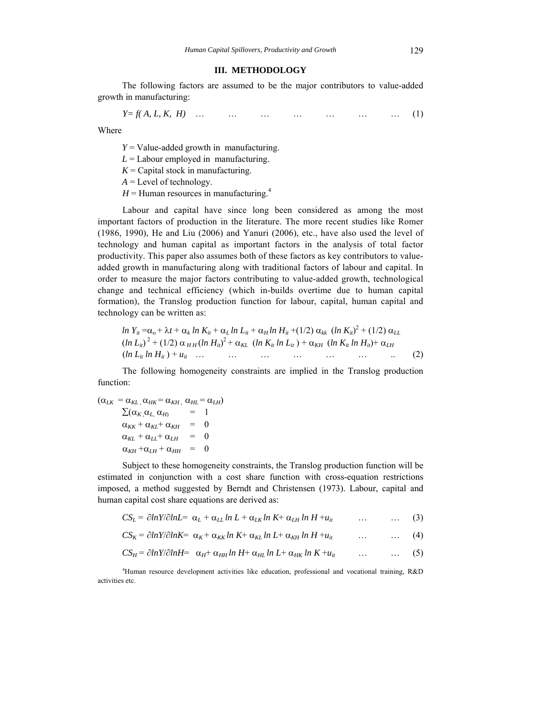#### **III. METHODOLOGY**

The following factors are assumed to be the major contributors to value-added growth in manufacturing:

$$
Y = f(A, L, K, H) \quad \dots \quad \dots \quad \dots \quad \dots \quad \dots \quad \dots \quad (1)
$$

Where

 $Y =$  Value-added growth in manufacturing.

 $L =$  Labour employed in manufacturing.

 $K =$  Capital stock in manufacturing.

 $A =$  Level of technology.

 $H =$  Human resources in manufacturing.<sup>4</sup>

Labour and capital have since long been considered as among the most important factors of production in the literature. The more recent studies like Romer (1986, 1990), He and Liu (2006) and Yanuri (2006), etc., have also used the level of technology and human capital as important factors in the analysis of total factor productivity. This paper also assumes both of these factors as key contributors to valueadded growth in manufacturing along with traditional factors of labour and capital. In order to measure the major factors contributing to value-added growth, technological change and technical efficiency (which in-builds overtime due to human capital formation), the Translog production function for labour, capital, human capital and technology can be written as:

*ln Yit* =o + *t* + *<sup>k</sup> ln Kit* + *<sup>L</sup> ln Lit* + *<sup>H</sup> ln Hit* +(1/2) *kk* (*ln Kit*) 2 + (1/2) *LL* (*ln Lit*) 2 + (1/2) *H H* (*ln Hit*) 2 + *KL* (*ln Kit ln Lit* ) + *KH* (*ln Kit ln Hit*)+ *LH* (*ln Lit ln Hit* ) + *uit* … … … … … … .. (2)

The following homogeneity constraints are implied in the Translog production function:

$$
(\alpha_{LK} = \alpha_{KL}, \alpha_{HK} = \alpha_{KH}, \alpha_{HL} = \alpha_{LH})
$$
  
\n
$$
\sum (\alpha_K, \alpha_L, \alpha_H) = 1
$$
  
\n
$$
\alpha_{KK} + \alpha_{KL} + \alpha_{KH} = 0
$$
  
\n
$$
\alpha_{KL} + \alpha_{LL} + \alpha_{LH} = 0
$$
  
\n
$$
\alpha_{KH} + \alpha_{LH} + \alpha_{HH} = 0
$$

Subject to these homogeneity constraints, the Translog production function will be estimated in conjunction with a cost share function with cross-equation restrictions imposed, a method suggested by Berndt and Christensen (1973). Labour, capital and human capital cost share equations are derived as:

 $CS_L = \partial ln Y / \partial lnL = \alpha_L + \alpha_{LL} ln L + \alpha_{LK} ln K + \alpha_{LH} ln H + u_{it}$  … … (3)

$$
CS_K = \partial ln Y / \partial lnK = \alpha_K + \alpha_{KK} ln K + \alpha_{KL} ln L + \alpha_{KH} ln H + u_{it} \qquad \dots \qquad \dots \qquad (4)
$$

$$
CS_H = \partial ln Y / \partial ln H = \alpha_H + \alpha_{HH} ln H + \alpha_{HL} ln L + \alpha_{HK} ln K + u_{it} \qquad \dots \qquad \dots \qquad (5)
$$

4 Human resource development activities like education, professional and vocational training, R&D activities etc.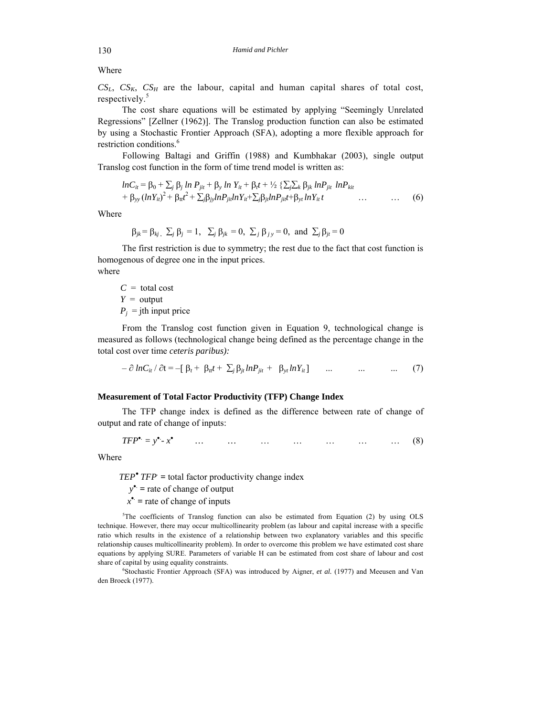# Where

 $CS_L$ ,  $CS_K$ ,  $CS_H$  are the labour, capital and human capital shares of total cost, respectively.<sup>5</sup>

The cost share equations will be estimated by applying "Seemingly Unrelated Regressions" [Zellner (1962)]. The Translog production function can also be estimated by using a Stochastic Frontier Approach (SFA), adopting a more flexible approach for restriction conditions.<sup>6</sup>

Following Baltagi and Griffin (1988) and Kumbhakar (2003), single output Translog cost function in the form of time trend model is written as:

$$
lnC_{it} = \beta_0 + \sum_j \beta_j ln P_{jit} + \beta_y ln Y_{it} + \beta_t t + \frac{1}{2} \sum_j \sum_k \beta_{jk} ln P_{jit} ln P_{kit}
$$
  
+ 
$$
\beta_{yy} (lnY_{it})^2 + \beta_{it} t^2 + \sum_j \beta_{jj} ln P_{jit} lnY_{it} + \sum_j \beta_{jt} ln P_{jit} t + \beta_{yt} ln Y_{it} t \qquad \dots \qquad \dots \qquad (6)
$$

Where

$$
\beta_{jk} = \beta_{kj}, \ \Sigma_j \beta_j = 1, \ \Sigma_j \beta_{jk} = 0, \ \Sigma_j \beta_{jy} = 0, \text{ and } \Sigma_j \beta_{ji} = 0
$$

The first restriction is due to symmetry; the rest due to the fact that cost function is homogenous of degree one in the input prices.

where

 $C =$  total cost *Y* = output  $P_i$  = jth input price

From the Translog cost function given in Equation 9, technological change is measured as follows (technological change being defined as the percentage change in the total cost over time *ceteris paribus):* 

$$
-\partial \ln C_{it} / \partial t = -[\beta_t + \beta_{it}t + \sum_j \beta_{jt} \ln P_{jit} + \beta_{yt} \ln Y_{it}] \qquad ... \qquad ... \qquad ... \qquad (7)
$$

# **Measurement of Total Factor Productivity (TFP) Change Index**

The TFP change index is defined as the difference between rate of change of output and rate of change of inputs:

$$
TFP^{\bullet} = y^{\bullet} - x^{\bullet} \qquad \dots \qquad \dots \qquad \dots \qquad \dots \qquad \dots \qquad \dots \qquad (8)
$$

Where

*TEP* $^{\bullet}$ *TFP* = total factor productivity change index

*y .*  **=** rate of change of output

 $x^{\bullet}$  = rate of change of inputs

 $5$ The coefficients of Translog function can also be estimated from Equation (2) by using OLS technique. However, there may occur multicollinearity problem (as labour and capital increase with a specific ratio which results in the existence of a relationship between two explanatory variables and this specific relationship causes multicollinearity problem). In order to overcome this problem we have estimated cost share equations by applying SURE. Parameters of variable H can be estimated from cost share of labour and cost share of capital by using equality constraints.

<sup>6</sup>Stochastic Frontier Approach (SFA) was introduced by Aigner, et al. (1977) and Meeusen and Van den Broeck (1977).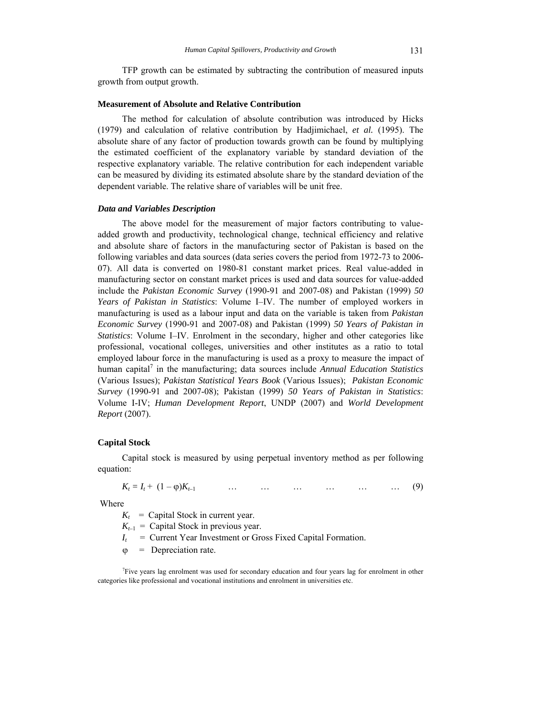## **Measurement of Absolute and Relative Contribution**

The method for calculation of absolute contribution was introduced by Hicks (1979) and calculation of relative contribution by Hadjimichael, *et al.* (1995). The absolute share of any factor of production towards growth can be found by multiplying the estimated coefficient of the explanatory variable by standard deviation of the respective explanatory variable. The relative contribution for each independent variable can be measured by dividing its estimated absolute share by the standard deviation of the dependent variable. The relative share of variables will be unit free.

#### *Data and Variables Description*

The above model for the measurement of major factors contributing to valueadded growth and productivity, technological change, technical efficiency and relative and absolute share of factors in the manufacturing sector of Pakistan is based on the following variables and data sources (data series covers the period from 1972-73 to 2006- 07). All data is converted on 1980-81 constant market prices. Real value-added in manufacturing sector on constant market prices is used and data sources for value-added include the *Pakistan Economic Survey* (1990-91 and 2007-08) and Pakistan (1999) *50 Years of Pakistan in Statistics*: Volume I–IV. The number of employed workers in manufacturing is used as a labour input and data on the variable is taken from *Pakistan Economic Survey* (1990-91 and 2007-08) and Pakistan (1999) *50 Years of Pakistan in Statistics*: Volume I–IV. Enrolment in the secondary, higher and other categories like professional, vocational colleges, universities and other institutes as a ratio to total employed labour force in the manufacturing is used as a proxy to measure the impact of human capital<sup>7</sup> in the manufacturing; data sources include *Annual Education Statistics* (Various Issues); *Pakistan Statistical Years Book* (Various Issues); *Pakistan Economic Survey* (1990-91 and 2007-08); Pakistan (1999) *50 Years of Pakistan in Statistics*: Volume I-IV; *Human Development Report*, UNDP (2007) and *World Development Report* (2007).

#### **Capital Stock**

Capital stock is measured by using perpetual inventory method as per following equation:

 $K_t = I_t + (1 - \varphi)K_{t-1}$  … … … … … … … (9)

Where

 $K_t$  = Capital Stock in current year.

 $K_{t-1}$  = Capital Stock in previous year.

 $I_t$  = Current Year Investment or Gross Fixed Capital Formation.

 $\varphi$  = Depreciation rate.

7 Five years lag enrolment was used for secondary education and four years lag for enrolment in other categories like professional and vocational institutions and enrolment in universities etc.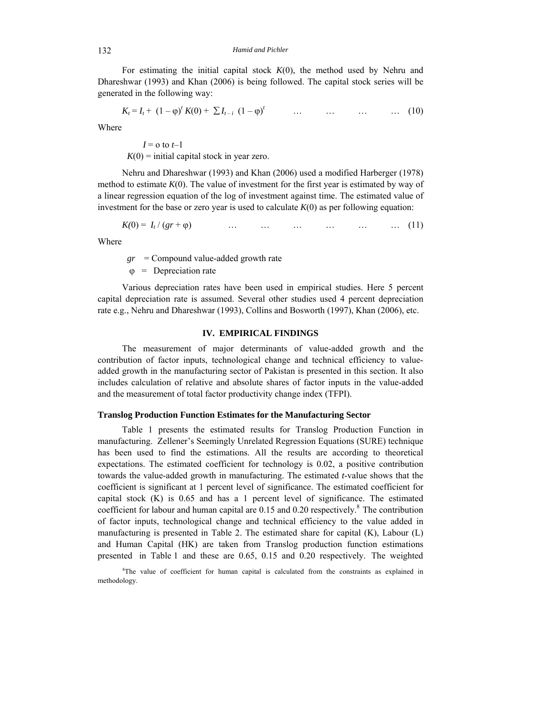For estimating the initial capital stock  $K(0)$ , the method used by Nehru and Dhareshwar (1993) and Khan (2006) is being followed. The capital stock series will be generated in the following way:

$$
K_{t} = I_{t} + (1 - \varphi)^{t} K(0) + \sum I_{t-i} (1 - \varphi)^{t} \qquad \dots \qquad \dots \qquad \dots \qquad \dots \qquad (10)
$$

Where

 $I = o$  to  $t-1$  $K(0)$  = initial capital stock in year zero.

Nehru and Dhareshwar (1993) and Khan (2006) used a modified Harberger (1978) method to estimate  $K(0)$ . The value of investment for the first year is estimated by way of a linear regression equation of the log of investment against time. The estimated value of investment for the base or zero year is used to calculate  $K(0)$  as per following equation:

$$
K(0) = I_t / (gr + \varphi) \qquad \dots \qquad \dots \qquad \dots \qquad \dots \qquad \dots \qquad \dots \qquad (11)
$$

Where

*gr* = Compound value-added growth rate

 $\varphi$  = Depreciation rate

Various depreciation rates have been used in empirical studies. Here 5 percent capital depreciation rate is assumed. Several other studies used 4 percent depreciation rate e.g., Nehru and Dhareshwar (1993), Collins and Bosworth (1997), Khan (2006), etc.

# **IV. EMPIRICAL FINDINGS**

The measurement of major determinants of value-added growth and the contribution of factor inputs, technological change and technical efficiency to valueadded growth in the manufacturing sector of Pakistan is presented in this section. It also includes calculation of relative and absolute shares of factor inputs in the value-added and the measurement of total factor productivity change index (TFPI).

## **Translog Production Function Estimates for the Manufacturing Sector**

Table 1 presents the estimated results for Translog Production Function in manufacturing. Zellener's Seemingly Unrelated Regression Equations (SURE) technique has been used to find the estimations. All the results are according to theoretical expectations. The estimated coefficient for technology is 0.02, a positive contribution towards the value-added growth in manufacturing. The estimated *t*-value shows that the coefficient is significant at 1 percent level of significance. The estimated coefficient for capital stock  $(K)$  is 0.65 and has a 1 percent level of significance. The estimated coefficient for labour and human capital are  $0.15$  and  $0.20$  respectively.<sup>8</sup> The contribution of factor inputs, technological change and technical efficiency to the value added in manufacturing is presented in Table 2. The estimated share for capital (K), Labour (L) and Human Capital (HK) are taken from Translog production function estimations presented in Table 1 and these are 0.65, 0.15 and 0.20 respectively. The weighted

<sup>8</sup>The value of coefficient for human capital is calculated from the constraints as explained in methodology.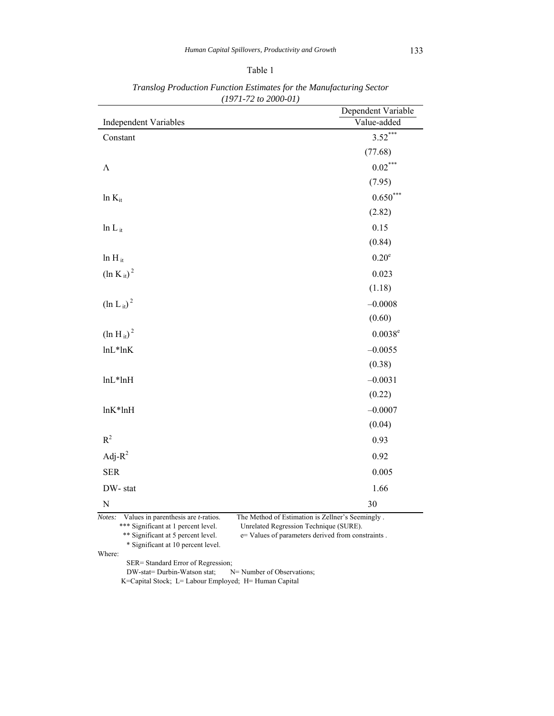|                               | Dependent Variable |
|-------------------------------|--------------------|
| <b>Independent Variables</b>  | Value-added        |
| Constant                      | $3.52***$          |
|                               | (77.68)            |
| $\Lambda$                     | $0.02***$          |
|                               | (7.95)             |
| $ln K_{it}$                   | $0.650***$         |
|                               | (2.82)             |
| $ln L_{it}$                   | 0.15               |
|                               | (0.84)             |
| $ln H_{it}$                   | $0.20^e$           |
| $\left( \ln K_{it} \right)^2$ | 0.023              |
|                               | (1.18)             |
| $(\ln L_{it})^2$              | $-0.0008$          |
|                               | (0.60)             |
| $(\ln H_{it})^2$              | $0.0038^{\rm e}$   |
| $lnL*lnK$                     | $-0.0055$          |
|                               | (0.38)             |
| $lnL*lnH$                     | $-0.0031$          |
|                               | (0.22)             |
| $lnK*lnH$                     | $-0.0007$          |
|                               | (0.04)             |
| $R^2$                         | 0.93               |
| Adj- $R^2$                    | 0.92               |
| <b>SER</b>                    | 0.005              |
| DW-stat                       | 1.66               |
| $\mathbf N$                   | 30                 |

*Translog Production Function Estimates for the Manufacturing Sector (1971-72 to 2000-01)* 

\*\*\* Significant at 1 percent level. Unrelated Regression Technique (SURE).

\*\* Significant at 5 percent level.  $e=$  Values of parameters derived from constraints .

\* Significant at 10 percent level.

Where:

 SER= Standard Error of Regression; DW-stat= Durbin-Watson stat; N= Number of Observations; K=Capital Stock; L= Labour Employed; H= Human Capital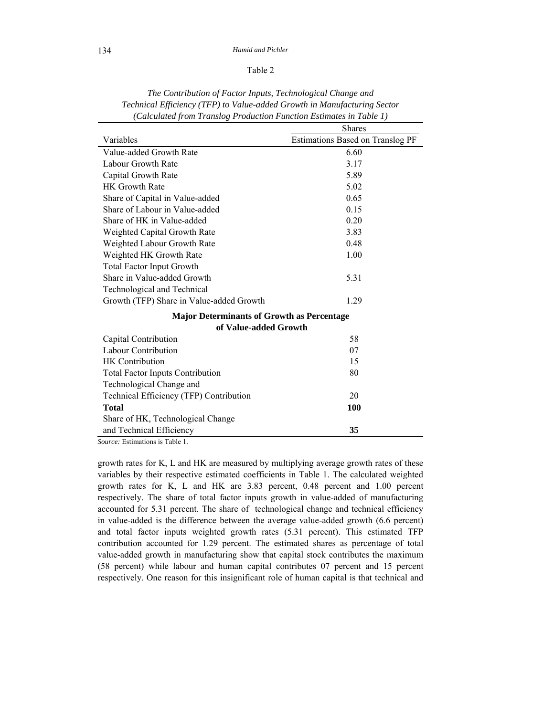## 134 *Hamid and Pichler*

# Table 2

|                                                           | <b>Shares</b>                           |
|-----------------------------------------------------------|-----------------------------------------|
| Variables                                                 | <b>Estimations Based on Translog PF</b> |
| Value-added Growth Rate                                   | 6.60                                    |
| Labour Growth Rate                                        | 3.17                                    |
| Capital Growth Rate                                       | 5.89                                    |
| <b>HK Growth Rate</b>                                     | 5.02                                    |
| Share of Capital in Value-added                           | 0.65                                    |
| Share of Labour in Value-added                            | 0.15                                    |
| Share of HK in Value-added                                | 0.20                                    |
| Weighted Capital Growth Rate                              | 3.83                                    |
| Weighted Labour Growth Rate                               | 0.48                                    |
| Weighted HK Growth Rate                                   | 1.00                                    |
| <b>Total Factor Input Growth</b>                          |                                         |
| Share in Value-added Growth                               | 5.31                                    |
| Technological and Technical                               |                                         |
| Growth (TFP) Share in Value-added Growth                  | 1.29                                    |
| <b>Major Determinants of Growth as Percentage</b>         |                                         |
| of Value-added Growth                                     |                                         |
| Capital Contribution                                      | 58                                      |
| Labour Contribution                                       | 07                                      |
| <b>HK</b> Contribution                                    | 15                                      |
| <b>Total Factor Inputs Contribution</b>                   | 80                                      |
| Technological Change and                                  |                                         |
| Technical Efficiency (TFP) Contribution                   | 20                                      |
| Total                                                     | 100                                     |
| Share of HK, Technological Change                         |                                         |
| and Technical Efficiency<br>Course Letimotions is Table 1 | 35                                      |

*The Contribution of Factor Inputs, Technological Change and Technical Efficiency (TFP) to Value-added Growth in Manufacturing Sector (Calculated from Translog Production Function Estimates in Table 1)*

*Source:* Estimations is Table 1.

growth rates for K, L and HK are measured by multiplying average growth rates of these variables by their respective estimated coefficients in Table 1. The calculated weighted growth rates for K, L and HK are 3.83 percent, 0.48 percent and 1.00 percent respectively. The share of total factor inputs growth in value-added of manufacturing accounted for 5.31 percent. The share of technological change and technical efficiency in value-added is the difference between the average value-added growth (6.6 percent) and total factor inputs weighted growth rates (5.31 percent). This estimated TFP contribution accounted for 1.29 percent. The estimated shares as percentage of total value-added growth in manufacturing show that capital stock contributes the maximum (58 percent) while labour and human capital contributes 07 percent and 15 percent respectively. One reason for this insignificant role of human capital is that technical and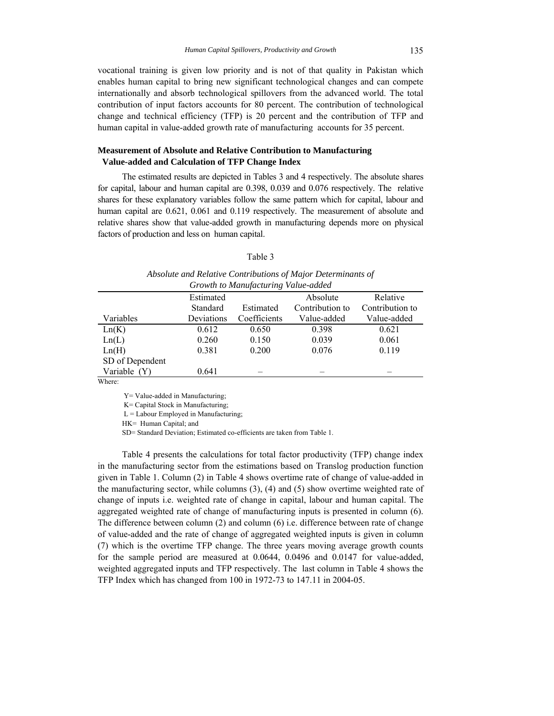vocational training is given low priority and is not of that quality in Pakistan which enables human capital to bring new significant technological changes and can compete internationally and absorb technological spillovers from the advanced world. The total contribution of input factors accounts for 80 percent. The contribution of technological change and technical efficiency (TFP) is 20 percent and the contribution of TFP and human capital in value-added growth rate of manufacturing accounts for 35 percent.

# **Measurement of Absolute and Relative Contribution to Manufacturing Value-added and Calculation of TFP Change Index**

The estimated results are depicted in Tables 3 and 4 respectively. The absolute shares for capital, labour and human capital are 0.398, 0.039 and 0.076 respectively. The relative shares for these explanatory variables follow the same pattern which for capital, labour and human capital are  $0.621$ ,  $0.061$  and  $0.119$  respectively. The measurement of absolute and relative shares show that value-added growth in manufacturing depends more on physical factors of production and less on human capital.

#### Table 3

| Absolute and Relative Contributions of Major Determinants of |          |     |
|--------------------------------------------------------------|----------|-----|
| Growth to Manufacturing Value-added                          |          |     |
| Estimated                                                    | Absolute | Rel |

|                 |            | $\cdot$      |                 |                 |
|-----------------|------------|--------------|-----------------|-----------------|
|                 | Estimated  |              | Absolute        | Relative        |
|                 | Standard   | Estimated    | Contribution to | Contribution to |
| Variables       | Deviations | Coefficients | Value-added     | Value-added     |
| Ln(K)           | 0.612      | 0.650        | 0.398           | 0.621           |
| Ln(L)           | 0.260      | 0.150        | 0.039           | 0.061           |
| Ln(H)           | 0.381      | 0.200        | 0.076           | 0.119           |
| SD of Dependent |            |              |                 |                 |
| Variable (Y)    | 0.641      |              |                 |                 |
| <b>XX71</b>     |            |              |                 |                 |

Where:

Y= Value-added in Manufacturing;

K= Capital Stock in Manufacturing;

 $L =$  Labour Employed in Manufacturing;

HK= Human Capital; and

SD= Standard Deviation; Estimated co-efficients are taken from Table 1.

Table 4 presents the calculations for total factor productivity (TFP) change index in the manufacturing sector from the estimations based on Translog production function given in Table 1. Column (2) in Table 4 shows overtime rate of change of value-added in the manufacturing sector, while columns  $(3)$ ,  $(4)$  and  $(5)$  show overtime weighted rate of change of inputs i.e. weighted rate of change in capital, labour and human capital. The aggregated weighted rate of change of manufacturing inputs is presented in column (6). The difference between column (2) and column (6) i.e. difference between rate of change of value-added and the rate of change of aggregated weighted inputs is given in column (7) which is the overtime TFP change. The three years moving average growth counts for the sample period are measured at 0.0644, 0.0496 and 0.0147 for value-added, weighted aggregated inputs and TFP respectively. The last column in Table 4 shows the TFP Index which has changed from 100 in 1972-73 to 147.11 in 2004-05.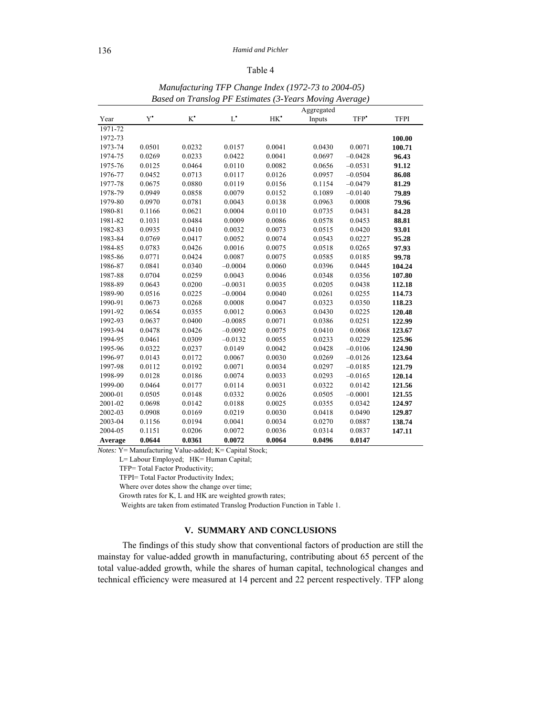## Table 4

|         |               |               |               |                 | o<br>Aggregated |                  |             |
|---------|---------------|---------------|---------------|-----------------|-----------------|------------------|-------------|
| Year    | $Y^{\bullet}$ | $K^{\bullet}$ | $L^{\bullet}$ | HK <sup>*</sup> | Inputs          | TFP <sup>*</sup> | <b>TFPI</b> |
| 1971-72 |               |               |               |                 |                 |                  |             |
| 1972-73 |               |               |               |                 |                 |                  | 100.00      |
| 1973-74 | 0.0501        | 0.0232        | 0.0157        | 0.0041          | 0.0430          | 0.0071           | 100.71      |
| 1974-75 | 0.0269        | 0.0233        | 0.0422        | 0.0041          | 0.0697          | $-0.0428$        | 96.43       |
| 1975-76 | 0.0125        | 0.0464        | 0.0110        | 0.0082          | 0.0656          | $-0.0531$        | 91.12       |
| 1976-77 | 0.0452        | 0.0713        | 0.0117        | 0.0126          | 0.0957          | $-0.0504$        | 86.08       |
| 1977-78 | 0.0675        | 0.0880        | 0.0119        | 0.0156          | 0.1154          | $-0.0479$        | 81.29       |
| 1978-79 | 0.0949        | 0.0858        | 0.0079        | 0.0152          | 0.1089          | $-0.0140$        | 79.89       |
| 1979-80 | 0.0970        | 0.0781        | 0.0043        | 0.0138          | 0.0963          | 0.0008           | 79.96       |
| 1980-81 | 0.1166        | 0.0621        | 0.0004        | 0.0110          | 0.0735          | 0.0431           | 84.28       |
| 1981-82 | 0.1031        | 0.0484        | 0.0009        | 0.0086          | 0.0578          | 0.0453           | 88.81       |
| 1982-83 | 0.0935        | 0.0410        | 0.0032        | 0.0073          | 0.0515          | 0.0420           | 93.01       |
| 1983-84 | 0.0769        | 0.0417        | 0.0052        | 0.0074          | 0.0543          | 0.0227           | 95.28       |
| 1984-85 | 0.0783        | 0.0426        | 0.0016        | 0.0075          | 0.0518          | 0.0265           | 97.93       |
| 1985-86 | 0.0771        | 0.0424        | 0.0087        | 0.0075          | 0.0585          | 0.0185           | 99.78       |
| 1986-87 | 0.0841        | 0.0340        | $-0.0004$     | 0.0060          | 0.0396          | 0.0445           | 104.24      |
| 1987-88 | 0.0704        | 0.0259        | 0.0043        | 0.0046          | 0.0348          | 0.0356           | 107.80      |
| 1988-89 | 0.0643        | 0.0200        | $-0.0031$     | 0.0035          | 0.0205          | 0.0438           | 112.18      |
| 1989-90 | 0.0516        | 0.0225        | $-0.0004$     | 0.0040          | 0.0261          | 0.0255           | 114.73      |
| 1990-91 | 0.0673        | 0.0268        | 0.0008        | 0.0047          | 0.0323          | 0.0350           | 118.23      |
| 1991-92 | 0.0654        | 0.0355        | 0.0012        | 0.0063          | 0.0430          | 0.0225           | 120.48      |
| 1992-93 | 0.0637        | 0.0400        | $-0.0085$     | 0.0071          | 0.0386          | 0.0251           | 122.99      |
| 1993-94 | 0.0478        | 0.0426        | $-0.0092$     | 0.0075          | 0.0410          | 0.0068           | 123.67      |
| 1994-95 | 0.0461        | 0.0309        | $-0.0132$     | 0.0055          | 0.0233          | 0.0229           | 125.96      |
| 1995-96 | 0.0322        | 0.0237        | 0.0149        | 0.0042          | 0.0428          | $-0.0106$        | 124.90      |
| 1996-97 | 0.0143        | 0.0172        | 0.0067        | 0.0030          | 0.0269          | $-0.0126$        | 123.64      |
| 1997-98 | 0.0112        | 0.0192        | 0.0071        | 0.0034          | 0.0297          | $-0.0185$        | 121.79      |
| 1998-99 | 0.0128        | 0.0186        | 0.0074        | 0.0033          | 0.0293          | $-0.0165$        | 120.14      |
| 1999-00 | 0.0464        | 0.0177        | 0.0114        | 0.0031          | 0.0322          | 0.0142           | 121.56      |
| 2000-01 | 0.0505        | 0.0148        | 0.0332        | 0.0026          | 0.0505          | $-0.0001$        | 121.55      |
| 2001-02 | 0.0698        | 0.0142        | 0.0188        | 0.0025          | 0.0355          | 0.0342           | 124.97      |
| 2002-03 | 0.0908        | 0.0169        | 0.0219        | 0.0030          | 0.0418          | 0.0490           | 129.87      |
| 2003-04 | 0.1156        | 0.0194        | 0.0041        | 0.0034          | 0.0270          | 0.0887           | 138.74      |
| 2004-05 | 0.1151        | 0.0206        | 0.0072        | 0.0036          | 0.0314          | 0.0837           | 147.11      |
| Average | 0.0644        | 0.0361        | 0.0072        | 0.0064          | 0.0496          | 0.0147           |             |

 *Manufacturing TFP Change Index (1972-73 to 2004-05) Based on Translog PF Estimates (3-Years Moving Average)*

*Notes:* Y= Manufacturing Value-added; K= Capital Stock;

L= Labour Employed; HK= Human Capital;

TFP= Total Factor Productivity;

TFPI= Total Factor Productivity Index;

Where over dotes show the change over time;

Growth rates for K, L and HK are weighted growth rates;

Weights are taken from estimated Translog Production Function in Table 1.

# **V. SUMMARY AND CONCLUSIONS**

The findings of this study show that conventional factors of production are still the mainstay for value-added growth in manufacturing, contributing about 65 percent of the total value-added growth, while the shares of human capital, technological changes and technical efficiency were measured at 14 percent and 22 percent respectively. TFP along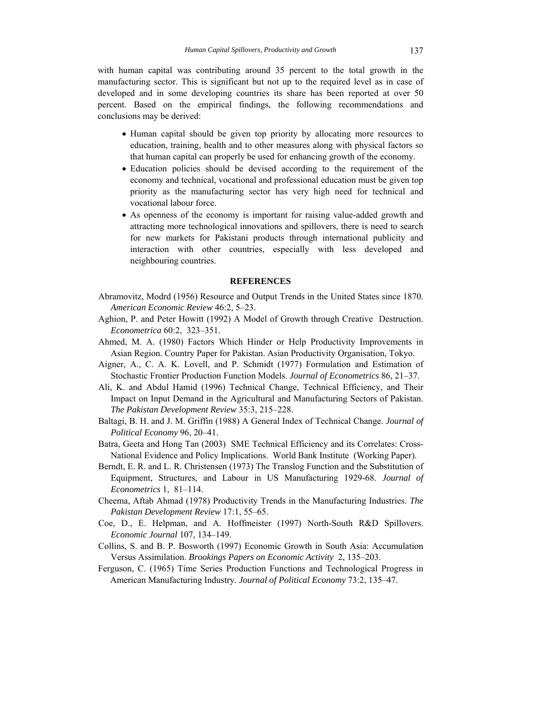with human capital was contributing around 35 percent to the total growth in the manufacturing sector. This is significant but not up to the required level as in case of developed and in some developing countries its share has been reported at over 50 percent. Based on the empirical findings, the following recommendations and conclusions may be derived:

- Human capital should be given top priority by allocating more resources to education, training, health and to other measures along with physical factors so that human capital can properly be used for enhancing growth of the economy.
- Education policies should be devised according to the requirement of the economy and technical, vocational and professional education must be given top priority as the manufacturing sector has very high need for technical and vocational labour force.
- As openness of the economy is important for raising value-added growth and attracting more technological innovations and spillovers, there is need to search for new markets for Pakistani products through international publicity and interaction with other countries, especially with less developed and neighbouring countries.

#### **REFERENCES**

- Abramovitz, Modrd (1956) Resource and Output Trends in the United States since 1870. *American Economic Review* 46:2, 5–23.
- Aghion, P. and Peter Howitt (1992) A Model of Growth through Creative Destruction. *Econometrica* 60:2, 323–351.
- Ahmed, M. A. (1980) Factors Which Hinder or Help Productivity Improvements in Asian Region. Country Paper for Pakistan. Asian Productivity Organisation, Tokyo.
- Aigner, A., C. A. K. Lovell, and P. Schmidt (1977) Formulation and Estimation of Stochastic Frontier Production Function Models. *Journal of Econometrics* 86, 21–37.
- Ali, K. and Abdul Hamid (1996) Technical Change, Technical Efficiency, and Their Impact on Input Demand in the Agricultural and Manufacturing Sectors of Pakistan. *The Pakistan Development Review* 35:3, 215–228.
- Baltagi, B. H. and J. M. Griffin (1988) A General Index of Technical Change. *Journal of Political Economy* 96, 20–41.
- Batra, Geeta and Hong Tan (2003) SME Technical Efficiency and its Correlates: Cross-National Evidence and Policy Implications. World Bank Institute (Working Paper).
- Berndt, E. R. and L. R. Christensen (1973) The Translog Function and the Substitution of Equipment, Structures, and Labour in US Manufacturing 1929-68. *Journal of Econometrics* 1, 81–114.
- Cheema, Aftab Ahmad (1978) Productivity Trends in the Manufacturing Industries. *The Pakistan Development Review* 17:1, 55–65.
- Coe, D., E. Helpman, and A. Hoffmeister (1997) North-South R&D Spillovers. *Economic Journal* 107, 134–149.
- Collins, S. and B. P. Bosworth (1997) Economic Growth in South Asia: Accumulation Versus Assimilation. *Brookings Papers on Economic Activity* 2, 135–203.
- Ferguson, C. (1965) Time Series Production Functions and Technological Progress in American Manufacturing Industry. *Journal of Political Economy* 73:2, 135–47.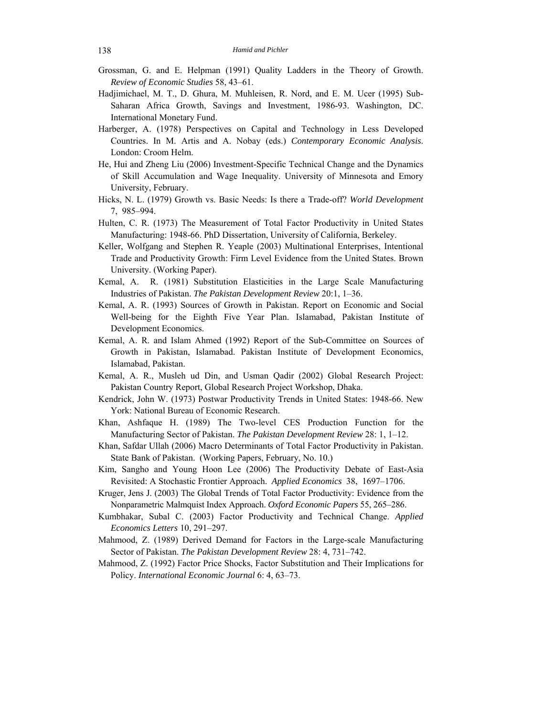- Grossman, G. and E. Helpman (1991) Quality Ladders in the Theory of Growth. *Review of Economic Studies* 58, 43–61.
- Hadjimichael, M. T., D. Ghura, M. Muhleisen, R. Nord, and E. M. Ucer (1995) Sub-Saharan Africa Growth, Savings and Investment, 1986-93. Washington, DC. International Monetary Fund.
- Harberger, A. (1978) Perspectives on Capital and Technology in Less Developed Countries. In M. Artis and A. Nobay (eds.) *Contemporary Economic Analysis*. London: Croom Helm.
- He, Hui and Zheng Liu (2006) Investment-Specific Technical Change and the Dynamics of Skill Accumulation and Wage Inequality. University of Minnesota and Emory University, February.
- Hicks, N. L. (1979) Growth vs. Basic Needs: Is there a Trade-off? *World Development*  7, 985–994.
- Hulten, C. R. (1973) The Measurement of Total Factor Productivity in United States Manufacturing: 1948-66. PhD Dissertation, University of California, Berkeley.
- Keller, Wolfgang and Stephen R. Yeaple (2003) Multinational Enterprises, Intentional Trade and Productivity Growth: Firm Level Evidence from the United States. Brown University. (Working Paper).
- Kemal, A. R. (1981) Substitution Elasticities in the Large Scale Manufacturing Industries of Pakistan. *The Pakistan Development Review* 20:1, 1–36.
- Kemal, A. R. (1993) Sources of Growth in Pakistan. Report on Economic and Social Well-being for the Eighth Five Year Plan. Islamabad, Pakistan Institute of Development Economics.
- Kemal, A. R. and Islam Ahmed (1992) Report of the Sub-Committee on Sources of Growth in Pakistan, Islamabad. Pakistan Institute of Development Economics, Islamabad, Pakistan.
- Kemal, A. R., Musleh ud Din, and Usman Qadir (2002) Global Research Project: Pakistan Country Report, Global Research Project Workshop, Dhaka.
- Kendrick, John W. (1973) Postwar Productivity Trends in United States: 1948-66. New York: National Bureau of Economic Research.
- Khan, Ashfaque H. (1989) The Two-level CES Production Function for the Manufacturing Sector of Pakistan. *The Pakistan Development Review* 28: 1, 1–12.
- Khan, Safdar Ullah (2006) Macro Determinants of Total Factor Productivity in Pakistan. State Bank of Pakistan. (Working Papers, February, No. 10.)
- Kim, Sangho and Young Hoon Lee (2006) The Productivity Debate of East-Asia Revisited: A Stochastic Frontier Approach. *Applied Economics* 38, 1697–1706.
- Kruger, Jens J. (2003) The Global Trends of Total Factor Productivity: Evidence from the Nonparametric Malmquist Index Approach. *Oxford Economic Papers* 55, 265–286.
- Kumbhakar, Subal C. (2003) Factor Productivity and Technical Change. *Applied Economics Letters* 10, 291–297.
- Mahmood, Z. (1989) Derived Demand for Factors in the Large-scale Manufacturing Sector of Pakistan. *The Pakistan Development Review* 28: 4, 731–742.
- Mahmood, Z. (1992) Factor Price Shocks, Factor Substitution and Their Implications for Policy. *International Economic Journal* 6: 4, 63–73.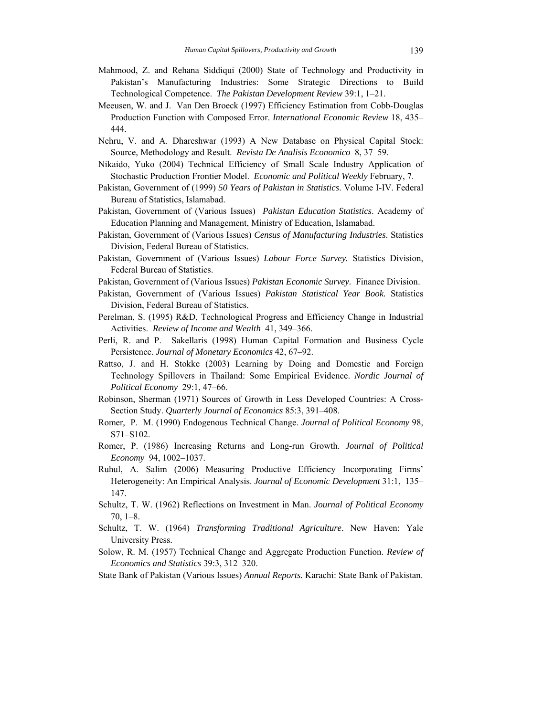- Mahmood, Z. and Rehana Siddiqui (2000) State of Technology and Productivity in Pakistan's Manufacturing Industries: Some Strategic Directions to Build Technological Competence. *The Pakistan Development Review* 39:1, 1–21.
- Meeusen, W. and J. Van Den Broeck (1997) Efficiency Estimation from Cobb-Douglas Production Function with Composed Error. *International Economic Review* 18, 435– 444.
- Nehru, V. and A. Dhareshwar (1993) A New Database on Physical Capital Stock: Source, Methodology and Result. *Revista De Analisis Economico* 8, 37–59.
- Nikaido, Yuko (2004) Technical Efficiency of Small Scale Industry Application of Stochastic Production Frontier Model. *Economic and Political Weekly* February, 7.
- Pakistan, Government of (1999) *50 Years of Pakistan in Statistics*. Volume I-IV. Federal Bureau of Statistics, Islamabad.
- Pakistan, Government of (Various Issues) *Pakistan Education Statistics*. Academy of Education Planning and Management, Ministry of Education, Islamabad.
- Pakistan, Government of (Various Issues) *Census of Manufacturing Industries*. Statistics Division, Federal Bureau of Statistics.
- Pakistan, Government of (Various Issues) *Labour Force Survey.* Statistics Division, Federal Bureau of Statistics.
- Pakistan, Government of (Various Issues) *Pakistan Economic Survey.* Finance Division.
- Pakistan, Government of (Various Issues) *Pakistan Statistical Year Book.* Statistics Division, Federal Bureau of Statistics.
- Perelman, S. (1995) R&D, Technological Progress and Efficiency Change in Industrial Activities. *Review of Income and Wealth* 41, 349–366.
- Perli, R. and P. Sakellaris (1998) Human Capital Formation and Business Cycle Persistence. *Journal of Monetary Economics* 42, 67–92.
- Rattso, J. and H. Stokke (2003) Learning by Doing and Domestic and Foreign Technology Spillovers in Thailand: Some Empirical Evidence. *Nordic Journal of Political Economy* 29:1, 47–66.
- Robinson, Sherman (1971) Sources of Growth in Less Developed Countries: A Cross-Section Study. *Quarterly Journal of Economics* 85:3, 391–408.
- Romer, P. M. (1990) Endogenous Technical Change. *Journal of Political Economy* 98, S71–S102.
- Romer, P. (1986) Increasing Returns and Long-run Growth. *Journal of Political Economy* 94, 1002–1037.
- Ruhul, A. Salim (2006) Measuring Productive Efficiency Incorporating Firms' Heterogeneity: An Empirical Analysis. *Journal of Economic Development* 31:1, 135– 147.
- Schultz, T. W. (1962) Reflections on Investment in Man. *Journal of Political Economy* 70, 1–8.
- Schultz, T. W. (1964) *Transforming Traditional Agriculture*. New Haven: Yale University Press.
- Solow, R. M. (1957) Technical Change and Aggregate Production Function. *Review of Economics and Statistics* 39:3, 312–320.
- State Bank of Pakistan (Various Issues) *Annual Reports.* Karachi: State Bank of Pakistan.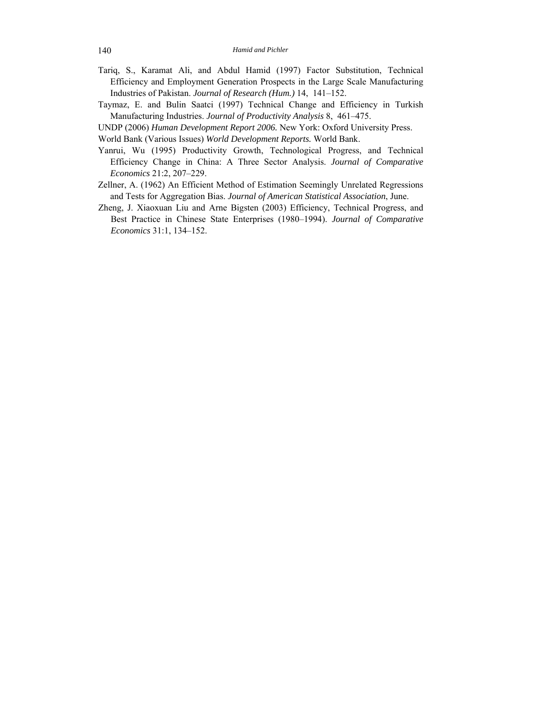- Tariq, S., Karamat Ali, and Abdul Hamid (1997) Factor Substitution, Technical Efficiency and Employment Generation Prospects in the Large Scale Manufacturing Industries of Pakistan. *Journal of Research (Hum.)* 14, 141–152.
- Taymaz, E. and Bulin Saatci (1997) Technical Change and Efficiency in Turkish Manufacturing Industries. *Journal of Productivity Analysis* 8, 461–475.
- UNDP (2006) *Human Development Report 2006.* New York: Oxford University Press.

World Bank (Various Issues) *World Development Reports.* World Bank.

- Yanrui, Wu (1995) Productivity Growth, Technological Progress, and Technical Efficiency Change in China: A Three Sector Analysis. *Journal of Comparative Economics* 21:2, 207–229.
- Zellner, A. (1962) An Efficient Method of Estimation Seemingly Unrelated Regressions and Tests for Aggregation Bias. *Journal of American Statistical Association*, June.
- Zheng, J. Xiaoxuan Liu and Arne Bigsten (2003) Efficiency, Technical Progress, and Best Practice in Chinese State Enterprises (1980–1994). *Journal of Comparative Economics* 31:1, 134–152.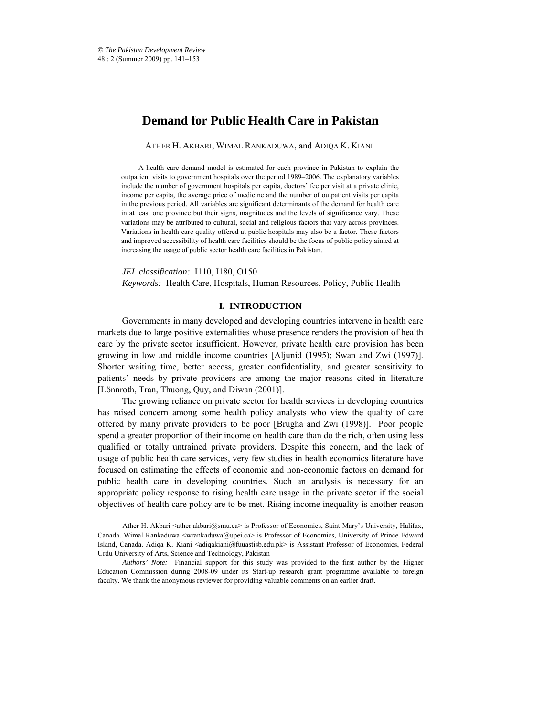# **Demand for Public Health Care in Pakistan**

ATHER H. AKBARI, WIMAL RANKADUWA, and ADIQA K. KIANI\*

A health care demand model is estimated for each province in Pakistan to explain the outpatient visits to government hospitals over the period 1989–2006. The explanatory variables include the number of government hospitals per capita, doctors' fee per visit at a private clinic, income per capita, the average price of medicine and the number of outpatient visits per capita in the previous period. All variables are significant determinants of the demand for health care in at least one province but their signs, magnitudes and the levels of significance vary. These variations may be attributed to cultural, social and religious factors that vary across provinces. Variations in health care quality offered at public hospitals may also be a factor. These factors and improved accessibility of health care facilities should be the focus of public policy aimed at increasing the usage of public sector health care facilities in Pakistan.

*JEL classification:* I110, I180, O150 *Keywords:* Health Care, Hospitals, Human Resources, Policy, Public Health

# **I. INTRODUCTION**

Governments in many developed and developing countries intervene in health care markets due to large positive externalities whose presence renders the provision of health care by the private sector insufficient. However, private health care provision has been growing in low and middle income countries [Aljunid (1995); Swan and Zwi (1997)]. Shorter waiting time, better access, greater confidentiality, and greater sensitivity to patients' needs by private providers are among the major reasons cited in literature [Lönnroth, Tran, Thuong, Quy, and Diwan (2001)].

The growing reliance on private sector for health services in developing countries has raised concern among some health policy analysts who view the quality of care offered by many private providers to be poor [Brugha and Zwi (1998)]. Poor people spend a greater proportion of their income on health care than do the rich, often using less qualified or totally untrained private providers. Despite this concern, and the lack of usage of public health care services, very few studies in health economics literature have focused on estimating the effects of economic and non-economic factors on demand for public health care in developing countries. Such an analysis is necessary for an appropriate policy response to rising health care usage in the private sector if the social objectives of health care policy are to be met. Rising income inequality is another reason

Ather H. Akbari <ather.akbari@smu.ca> is Professor of Economics, Saint Mary's University, Halifax, Canada. Wimal Rankaduwa <wrankaduwa@upei.ca> is Professor of Economics, University of Prince Edward Island, Canada. Adiqa K. Kiani <adiqakiani@fuuastisb.edu.pk> is Assistant Professor of Economics, Federal Urdu University of Arts, Science and Technology, Pakistan

*Authors' Note:* Financial support for this study was provided to the first author by the Higher Education Commission during 2008-09 under its Start-up research grant programme available to foreign faculty. We thank the anonymous reviewer for providing valuable comments on an earlier draft.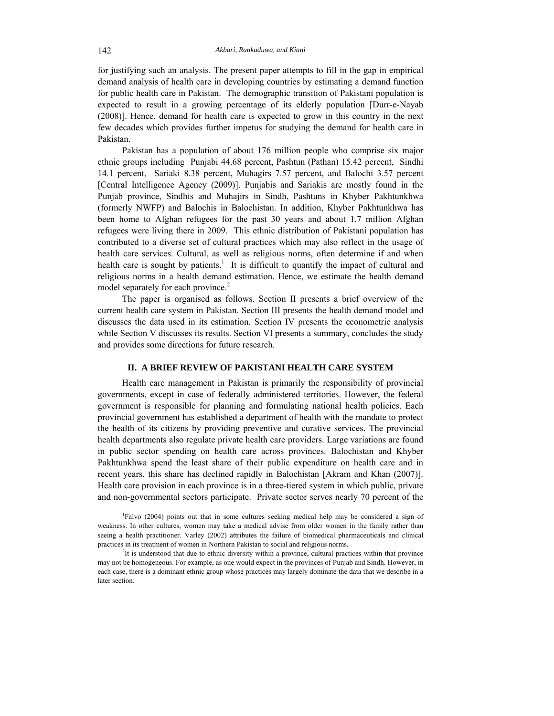for justifying such an analysis. The present paper attempts to fill in the gap in empirical demand analysis of health care in developing countries by estimating a demand function for public health care in Pakistan. The demographic transition of Pakistani population is expected to result in a growing percentage of its elderly population [Durr-e-Nayab (2008)]. Hence, demand for health care is expected to grow in this country in the next few decades which provides further impetus for studying the demand for health care in Pakistan.

Pakistan has a population of about 176 million people who comprise six major ethnic groups including Punjabi 44.68 percent, Pashtun (Pathan) 15.42 percent, Sindhi 14.1 percent, Sariaki 8.38 percent, Muhagirs 7.57 percent, and Balochi 3.57 percent [Central Intelligence Agency (2009)]. Punjabis and Sariakis are mostly found in the Punjab province, Sindhis and Muhajirs in Sindh, Pashtuns in Khyber Pakhtunkhwa (formerly NWFP) and Balochis in Balochistan. In addition, Khyber Pakhtunkhwa has been home to Afghan refugees for the past 30 years and about 1.7 million Afghan refugees were living there in 2009. This ethnic distribution of Pakistani population has contributed to a diverse set of cultural practices which may also reflect in the usage of health care services. Cultural, as well as religious norms, often determine if and when health care is sought by patients.<sup>1</sup> It is difficult to quantify the impact of cultural and religious norms in a health demand estimation. Hence, we estimate the health demand model separately for each province.<sup>2</sup>

The paper is organised as follows. Section II presents a brief overview of the current health care system in Pakistan. Section III presents the health demand model and discusses the data used in its estimation. Section IV presents the econometric analysis while Section V discusses its results. Section VI presents a summary, concludes the study and provides some directions for future research.

# **II. A BRIEF REVIEW OF PAKISTANI HEALTH CARE SYSTEM**

Health care management in Pakistan is primarily the responsibility of provincial governments, except in case of federally administered territories. However, the federal government is responsible for planning and formulating national health policies. Each provincial government has established a department of health with the mandate to protect the health of its citizens by providing preventive and curative services. The provincial health departments also regulate private health care providers. Large variations are found in public sector spending on health care across provinces. Balochistan and Khyber Pakhtunkhwa spend the least share of their public expenditure on health care and in recent years, this share has declined rapidly in Balochistan [Akram and Khan (2007)]. Health care provision in each province is in a three-tiered system in which public, private and non-governmental sectors participate. Private sector serves nearly 70 percent of the

<sup>1</sup> Falvo (2004) points out that in some cultures seeking medical help may be considered a sign of weakness. In other cultures, women may take a medical advise from older women in the family rather than seeing a health practitioner. Varley (2002) attributes the failure of biomedical pharmaceuticals and clinical practices in its treatment of women in Northern Pakistan to social and religious norms. 2

<sup>&</sup>lt;sup>2</sup>It is understood that due to ethnic diversity within a province, cultural practices within that province may not be homogeneous. For example, as one would expect in the provinces of Punjab and Sindh. However, in each case, there is a dominant ethnic group whose practices may largely dominate the data that we describe in a later section.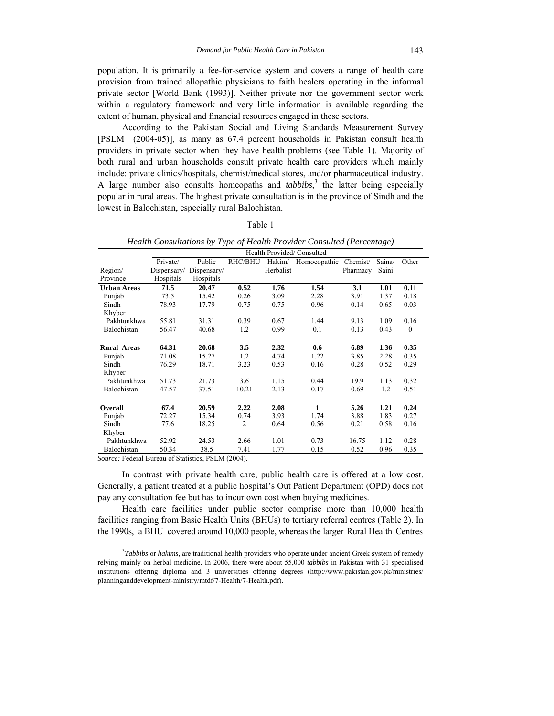population. It is primarily a fee-for-service system and covers a range of health care provision from trained allopathic physicians to faith healers operating in the informal private sector [World Bank (1993)]. Neither private nor the government sector work within a regulatory framework and very little information is available regarding the extent of human, physical and financial resources engaged in these sectors.

According to the Pakistan Social and Living Standards Measurement Survey [PSLM (2004-05)], as many as 67.4 percent households in Pakistan consult health providers in private sector when they have health problems (see Table 1). Majority of both rural and urban households consult private health care providers which mainly include: private clinics/hospitals, chemist/medical stores, and/or pharmaceutical industry. A large number also consults homeopaths and *tabbibs*, 3 the latter being especially popular in rural areas. The highest private consultation is in the province of Sindh and the lowest in Balochistan, especially rural Balochistan.

| ч. |  |
|----|--|
|    |  |

|                    |             |             |                |           | Health Provided/Consulted |          |        |              |
|--------------------|-------------|-------------|----------------|-----------|---------------------------|----------|--------|--------------|
|                    | Private/    | Public      | RHC/BHU        |           | Hakim/ Homoeopathic       | Chemist/ | Saina/ | Other        |
| Region/            | Dispensary/ | Dispensary/ |                | Herbalist |                           | Pharmacy | Saini  |              |
| Province           | Hospitals   | Hospitals   |                |           |                           |          |        |              |
| <b>Urban Areas</b> | 71.5        | 20.47       | 0.52           | 1.76      | 1.54                      | 3.1      | 1.01   | 0.11         |
| Punjab             | 73.5        | 15.42       | 0.26           | 3.09      | 2.28                      | 3.91     | 1.37   | 0.18         |
| Sindh              | 78.93       | 17.79       | 0.75           | 0.75      | 0.96                      | 0.14     | 0.65   | 0.03         |
| Khyber             |             |             |                |           |                           |          |        |              |
| Pakhtunkhwa        | 55.81       | 31.31       | 0.39           | 0.67      | 1.44                      | 9.13     | 1.09   | 0.16         |
| Balochistan        | 56.47       | 40.68       | 1.2            | 0.99      | 0.1                       | 0.13     | 0.43   | $\mathbf{0}$ |
|                    |             |             |                |           |                           |          |        |              |
| <b>Rural Areas</b> | 64.31       | 20.68       | 3.5            | 2.32      | 0.6                       | 6.89     | 1.36   | 0.35         |
| Punjab             | 71.08       | 15.27       | 1.2            | 4.74      | 1.22                      | 3.85     | 2.28   | 0.35         |
| Sindh              | 76.29       | 18.71       | 3.23           | 0.53      | 0.16                      | 0.28     | 0.52   | 0.29         |
| Khyber             |             |             |                |           |                           |          |        |              |
| Pakhtunkhwa        | 51.73       | 21.73       | 3.6            | 1.15      | 0.44                      | 19.9     | 1.13   | 0.32         |
| Balochistan        | 47.57       | 37.51       | 10.21          | 2.13      | 0.17                      | 0.69     | 1.2    | 0.51         |
|                    |             |             |                |           |                           |          |        |              |
| Overall            | 67.4        | 20.59       | 2.22           | 2.08      | 1                         | 5.26     | 1.21   | 0.24         |
| Punjab             | 72.27       | 15.34       | 0.74           | 3.93      | 1.74                      | 3.88     | 1.83   | 0.27         |
| Sindh              | 77.6        | 18.25       | $\overline{c}$ | 0.64      | 0.56                      | 0.21     | 0.58   | 0.16         |
| Khyber             |             |             |                |           |                           |          |        |              |
| Pakhtunkhwa        | 52.92       | 24.53       | 2.66           | 1.01      | 0.73                      | 16.75    | 1.12   | 0.28         |
| Balochistan        | 50.34       | 38.5        | 7.41           | 1.77      | 0.15                      | 0.52     | 0.96   | 0.35         |

*Health Consultations by Type of Health Provider Consulted (Percentage)* 

*Source:* Federal Bureau of Statistics, PSLM (2004).

In contrast with private health care, public health care is offered at a low cost. Generally, a patient treated at a public hospital's Out Patient Department (OPD) does not pay any consultation fee but has to incur own cost when buying medicines.

Health care facilities under public sector comprise more than 10,000 health facilities ranging from Basic Health Units (BHUs) to tertiary referral centres (Table 2). In the 1990s, a BHU covered around 10,000 people, whereas the larger Rural Health Centres

3 *Tabbibs* or *hakims*, are traditional health providers who operate under ancient Greek system of remedy relying mainly on herbal medicine. In 2006, there were about 55,000 *tabbibs* in Pakistan with 31 specialised institutions offering diploma and 3 universities offering degrees (http://www.pakistan.gov.pk/ministries/ planninganddevelopment-ministry/mtdf/7-Health/7-Health.pdf).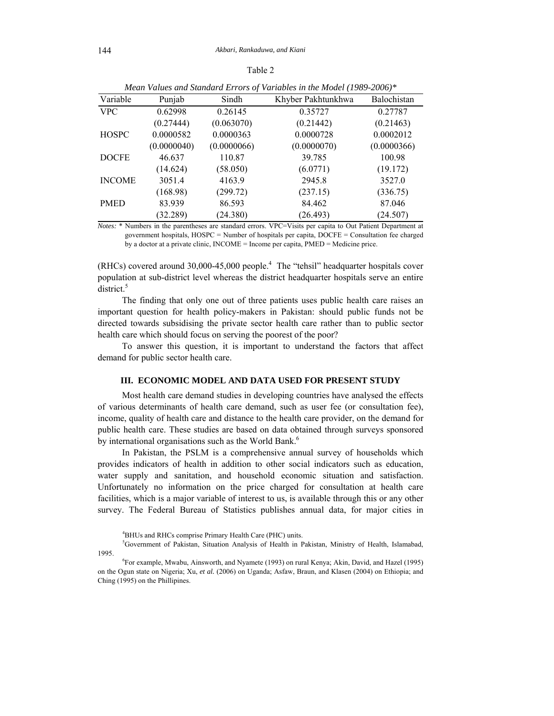| ٦<br>г | ı٣ |  |
|--------|----|--|
|        |    |  |

|               |             |             | $m$ ean Values and Standard Errors of Variables in the Model (1969-2000). |             |
|---------------|-------------|-------------|---------------------------------------------------------------------------|-------------|
| Variable      | Punjab      | Sindh       | Khyber Pakhtunkhwa                                                        | Balochistan |
| <b>VPC</b>    | 0.62998     | 0.26145     | 0.35727                                                                   | 0.27787     |
|               | (0.27444)   | (0.063070)  | (0.21442)                                                                 | (0.21463)   |
| <b>HOSPC</b>  | 0.0000582   | 0.0000363   | 0.0000728                                                                 | 0.0002012   |
|               | (0.0000040) | (0.0000066) | (0.0000070)                                                               | (0.0000366) |
| <b>DOCFE</b>  | 46.637      | 110.87      | 39.785                                                                    | 100.98      |
|               | (14.624)    | (58.050)    | (6.0771)                                                                  | (19.172)    |
| <b>INCOME</b> | 3051.4      | 4163.9      | 2945.8                                                                    | 3527.0      |
|               | (168.98)    | (299.72)    | (237.15)                                                                  | (336.75)    |
| <b>PMED</b>   | 83.939      | 86.593      | 84.462                                                                    | 87.046      |
|               | (32.289)    | (24.380)    | (26.493)                                                                  | (24.507)    |

*Mean Values and Standard Errors of Variables in the Model (1989-2006)\** 

*Notes:* \* Numbers in the parentheses are standard errors. VPC=Visits per capita to Out Patient Department at government hospitals, HOSPC = Number of hospitals per capita, DOCFE = Consultation fee charged by a doctor at a private clinic, INCOME = Income per capita, PMED = Medicine price.

 $(RHCs)$  covered around 30,000-45,000 people.<sup>4</sup> The "tehsil" headquarter hospitals cover population at sub-district level whereas the district headquarter hospitals serve an entire district.<sup>5</sup>

The finding that only one out of three patients uses public health care raises an important question for health policy-makers in Pakistan: should public funds not be directed towards subsidising the private sector health care rather than to public sector health care which should focus on serving the poorest of the poor?

To answer this question, it is important to understand the factors that affect demand for public sector health care.

# **III. ECONOMIC MODEL AND DATA USED FOR PRESENT STUDY**

Most health care demand studies in developing countries have analysed the effects of various determinants of health care demand, such as user fee (or consultation fee), income, quality of health care and distance to the health care provider, on the demand for public health care. These studies are based on data obtained through surveys sponsored by international organisations such as the World Bank.<sup>6</sup>

In Pakistan, the PSLM is a comprehensive annual survey of households which provides indicators of health in addition to other social indicators such as education, water supply and sanitation, and household economic situation and satisfaction. Unfortunately no information on the price charged for consultation at health care facilities, which is a major variable of interest to us, is available through this or any other survey. The Federal Bureau of Statistics publishes annual data, for major cities in

<sup>4</sup> BHUs and RHCs comprise Primary Health Care (PHC) units.

<sup>5</sup> Government of Pakistan, Situation Analysis of Health in Pakistan, Ministry of Health, Islamabad, 1995.

For example, Mwabu, Ainsworth, and Nyamete (1993) on rural Kenya; Akin, David, and Hazel (1995) on the Ogun state on Nigeria; Xu, *et al.* (2006) on Uganda; Asfaw, Braun, and Klasen (2004) on Ethiopia; and Ching (1995) on the Phillipines.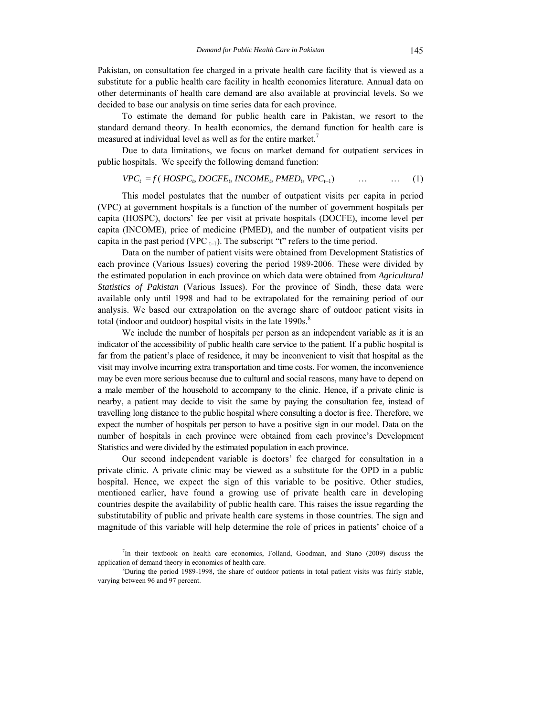Pakistan, on consultation fee charged in a private health care facility that is viewed as a substitute for a public health care facility in health economics literature. Annual data on other determinants of health care demand are also available at provincial levels. So we decided to base our analysis on time series data for each province.

To estimate the demand for public health care in Pakistan, we resort to the standard demand theory. In health economics, the demand function for health care is measured at individual level as well as for the entire market.<sup>7</sup>

Due to data limitations, we focus on market demand for outpatient services in public hospitals. We specify the following demand function:

$$
VPC_t = f(HOSPC_t, DOCFE_t, INCOME_t, PMED_t, VPC_{t-1}) \qquad \dots \qquad \dots \qquad (1)
$$

This model postulates that the number of outpatient visits per capita in period (VPC) at government hospitals is a function of the number of government hospitals per capita (HOSPC), doctors' fee per visit at private hospitals (DOCFE), income level per capita (INCOME), price of medicine (PMED), and the number of outpatient visits per capita in the past period (VPC  $_{t-1}$ ). The subscript "t" refers to the time period.

Data on the number of patient visits were obtained from Development Statistics of each province (Various Issues) covering the period 1989-2006. These were divided by the estimated population in each province on which data were obtained from *Agricultural Statistics of Pakistan* (Various Issues). For the province of Sindh, these data were available only until 1998 and had to be extrapolated for the remaining period of our analysis. We based our extrapolation on the average share of outdoor patient visits in total (indoor and outdoor) hospital visits in the late  $1990s$ .<sup>8</sup>

We include the number of hospitals per person as an independent variable as it is an indicator of the accessibility of public health care service to the patient. If a public hospital is far from the patient's place of residence, it may be inconvenient to visit that hospital as the visit may involve incurring extra transportation and time costs. For women, the inconvenience may be even more serious because due to cultural and social reasons, many have to depend on a male member of the household to accompany to the clinic. Hence, if a private clinic is nearby, a patient may decide to visit the same by paying the consultation fee, instead of travelling long distance to the public hospital where consulting a doctor is free. Therefore, we expect the number of hospitals per person to have a positive sign in our model. Data on the number of hospitals in each province were obtained from each province's Development Statistics and were divided by the estimated population in each province.

Our second independent variable is doctors' fee charged for consultation in a private clinic. A private clinic may be viewed as a substitute for the OPD in a public hospital. Hence, we expect the sign of this variable to be positive. Other studies, mentioned earlier, have found a growing use of private health care in developing countries despite the availability of public health care. This raises the issue regarding the substitutability of public and private health care systems in those countries. The sign and magnitude of this variable will help determine the role of prices in patients' choice of a

<sup>7</sup> In their textbook on health care economics, Folland, Goodman, and Stano (2009) discuss the application of demand theory in economics of health care.

 ${}^{8}$ During the period 1989-1998, the share of outdoor patients in total patient visits was fairly stable, varying between 96 and 97 percent.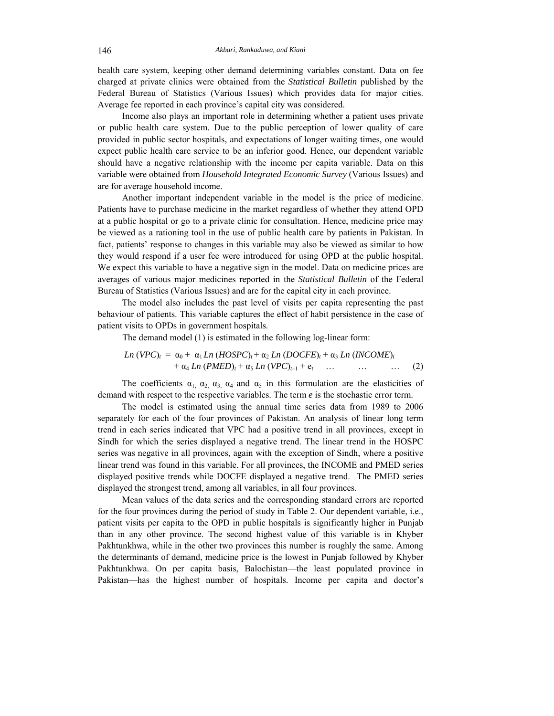health care system, keeping other demand determining variables constant. Data on fee charged at private clinics were obtained from the *Statistical Bulletin* published by the Federal Bureau of Statistics (Various Issues) which provides data for major cities. Average fee reported in each province's capital city was considered.

Income also plays an important role in determining whether a patient uses private or public health care system. Due to the public perception of lower quality of care provided in public sector hospitals, and expectations of longer waiting times, one would expect public health care service to be an inferior good. Hence, our dependent variable should have a negative relationship with the income per capita variable. Data on this variable were obtained from *Household Integrated Economic Survey* (Various Issues) and are for average household income.

Another important independent variable in the model is the price of medicine. Patients have to purchase medicine in the market regardless of whether they attend OPD at a public hospital or go to a private clinic for consultation. Hence, medicine price may be viewed as a rationing tool in the use of public health care by patients in Pakistan. In fact, patients' response to changes in this variable may also be viewed as similar to how they would respond if a user fee were introduced for using OPD at the public hospital. We expect this variable to have a negative sign in the model. Data on medicine prices are averages of various major medicines reported in the *Statistical Bulletin* of the Federal Bureau of Statistics (Various Issues) and are for the capital city in each province.

The model also includes the past level of visits per capita representing the past behaviour of patients. This variable captures the effect of habit persistence in the case of patient visits to OPDs in government hospitals.

The demand model (1) is estimated in the following log-linear form:

$$
Ln (VPC)t = \alpha_0 + \alpha_1 Ln (HOSPC)t + \alpha_2 Ln (DOCFE)t + \alpha_3 Ln (INCOME)t + \alpha_4 Ln (PMED)t + \alpha_5 Ln (VPC)t-1 + et ... ... ... ...
$$
 (2)

The coefficients  $\alpha_1$ ,  $\alpha_2$ ,  $\alpha_3$ ,  $\alpha_4$  and  $\alpha_5$  in this formulation are the elasticities of demand with respect to the respective variables. The term *e* is the stochastic error term.

The model is estimated using the annual time series data from 1989 to 2006 separately for each of the four provinces of Pakistan. An analysis of linear long term trend in each series indicated that VPC had a positive trend in all provinces, except in Sindh for which the series displayed a negative trend. The linear trend in the HOSPC series was negative in all provinces, again with the exception of Sindh, where a positive linear trend was found in this variable. For all provinces, the INCOME and PMED series displayed positive trends while DOCFE displayed a negative trend. The PMED series displayed the strongest trend, among all variables, in all four provinces.

Mean values of the data series and the corresponding standard errors are reported for the four provinces during the period of study in Table 2. Our dependent variable, i.e., patient visits per capita to the OPD in public hospitals is significantly higher in Punjab than in any other province. The second highest value of this variable is in Khyber Pakhtunkhwa, while in the other two provinces this number is roughly the same. Among the determinants of demand, medicine price is the lowest in Punjab followed by Khyber Pakhtunkhwa. On per capita basis, Balochistan—the least populated province in Pakistan—has the highest number of hospitals. Income per capita and doctor's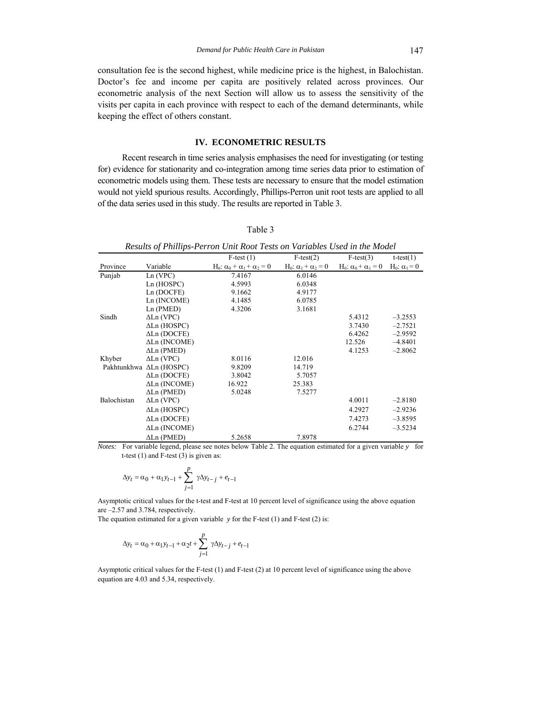consultation fee is the second highest, while medicine price is the highest, in Balochistan. Doctor's fee and income per capita are positively related across provinces. Our econometric analysis of the next Section will allow us to assess the sensitivity of the visits per capita in each province with respect to each of the demand determinants, while keeping the effect of others constant.

#### **IV. ECONOMETRIC RESULTS**

Recent research in time series analysis emphasises the need for investigating (or testing for) evidence for stationarity and co-integration among time series data prior to estimation of econometric models using them. These tests are necessary to ensure that the model estimation would not yield spurious results. Accordingly, Phillips-Perron unit root tests are applied to all of the data series used in this study. The results are reported in Table 3.

| ٠ |  |
|---|--|
|   |  |

|             |                         | Results of Phillips-Perron Unit Root Tests on Variables Used in the Model |                                                      |                                                      |                                 |
|-------------|-------------------------|---------------------------------------------------------------------------|------------------------------------------------------|------------------------------------------------------|---------------------------------|
|             |                         | $F-test(1)$                                                               | $F-test(2)$                                          | $F-test(3)$                                          | $t-test(1)$                     |
| Province    | Variable                | H <sub>0</sub> : $\alpha_0 + \alpha_1 + \alpha_2 = 0$                     | H <sub>0</sub> : α <sub>1</sub> + α <sub>2</sub> = 0 | H <sub>0</sub> : α <sub>0</sub> + α <sub>1</sub> = 0 | H <sub>0</sub> : $\alpha_1$ = 0 |
| Punjab      | Ln (VPC)                | 7.4167                                                                    | 6.0146                                               |                                                      |                                 |
|             | Ln(HOSPC)               | 4.5993                                                                    | 6.0348                                               |                                                      |                                 |
|             | Ln(DOCFE)               | 9.1662                                                                    | 4.9177                                               |                                                      |                                 |
|             | Ln (INCOME)             | 4.1485                                                                    | 6.0785                                               |                                                      |                                 |
|             | Ln(PMED)                | 4.3206                                                                    | 3.1681                                               |                                                      |                                 |
| Sindh       | $\Delta$ Ln (VPC)       |                                                                           |                                                      | 5.4312                                               | $-3.2553$                       |
|             | $\Delta$ Ln (HOSPC)     |                                                                           |                                                      | 3.7430                                               | $-2.7521$                       |
|             | $\Delta$ Ln (DOCFE)     |                                                                           |                                                      | 6.4262                                               | $-2.9592$                       |
|             | $\Delta$ Ln (INCOME)    |                                                                           |                                                      | 12.526                                               | $-4.8401$                       |
|             | $\Delta$ Ln (PMED)      |                                                                           |                                                      | 4.1253                                               | $-2.8062$                       |
| Khyber      | $\Delta$ Ln (VPC)       | 8.0116                                                                    | 12.016                                               |                                                      |                                 |
|             | Pakhtunkhwa ALn (HOSPC) | 9.8209                                                                    | 14.719                                               |                                                      |                                 |
|             | $\Delta$ Ln (DOCFE)     | 3.8042                                                                    | 5.7057                                               |                                                      |                                 |
|             | $\Delta$ Ln (INCOME)    | 16.922                                                                    | 25.383                                               |                                                      |                                 |
|             | $\Delta$ Ln (PMED)      | 5.0248                                                                    | 7.5277                                               |                                                      |                                 |
| Balochistan | $\Delta$ Ln (VPC)       |                                                                           |                                                      | 4.0011                                               | $-2.8180$                       |
|             | $\Delta$ Ln (HOSPC)     |                                                                           |                                                      | 4.2927                                               | $-2.9236$                       |
|             | $\Delta$ Ln (DOCFE)     |                                                                           |                                                      | 7.4273                                               | $-3.8595$                       |
|             | $\Delta$ Ln (INCOME)    |                                                                           |                                                      | 6.2744                                               | $-3.5234$                       |
|             | $\Delta$ Ln (PMED)      | 5.2658                                                                    | 7.8978                                               |                                                      |                                 |

*Notes:* For variable legend, please see notes below Table 2. The equation estimated for a given variable *y* for t-test  $(1)$  and F-test  $(3)$  is given as:

$$
\Delta y_t = \alpha_0 + \alpha_1 y_{t-1} + \sum_{j=1}^p \gamma \Delta y_{t-j} + e_{t-1}
$$

Asymptotic critical values for the t-test and F-test at 10 percent level of significance using the above equation are –2.57 and 3.784, respectively.

The equation estimated for a given variable *y* for the F-test (1) and F-test (2) is:

$$
\Delta y_t = \alpha_0 + \alpha_1 y_{t-1} + \alpha_2 t + \sum_{j=1}^p \ \gamma \Delta y_{t-j} + e_{t-1}
$$

Asymptotic critical values for the F-test (1) and F-test (2) at 10 percent level of significance using the above equation are 4.03 and 5.34, respectively.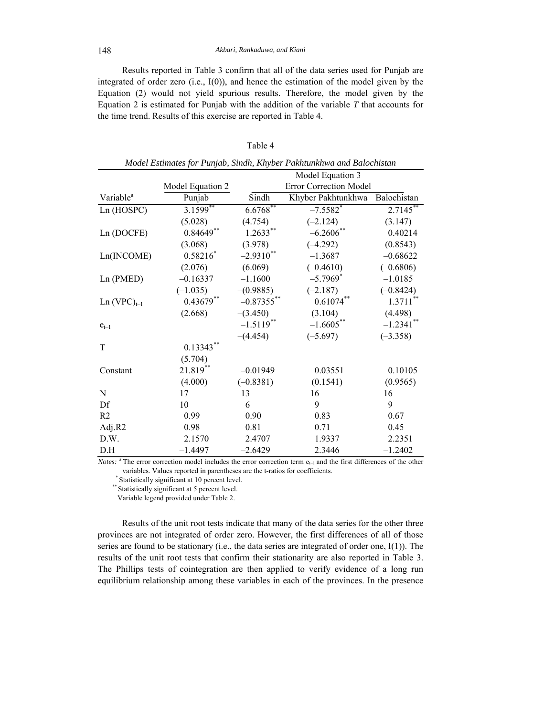Results reported in Table 3 confirm that all of the data series used for Punjab are integrated of order zero (i.e., I(0)), and hence the estimation of the model given by the Equation (2) would not yield spurious results. Therefore, the model given by the Equation 2 is estimated for Punjab with the addition of the variable *T* that accounts for the time trend. Results of this exercise are reported in Table 4.

|                       |                  |               | Model Estimates for Punjab, Sindh, Khyber Pakhtunkhwa and Balochistan |              |
|-----------------------|------------------|---------------|-----------------------------------------------------------------------|--------------|
|                       |                  |               | Model Equation 3                                                      |              |
|                       | Model Equation 2 |               | Error Correction Model                                                |              |
| Variable <sup>a</sup> | Punjab           | Sindh         | Khyber Pakhtunkhwa                                                    | Balochistan  |
| Ln (HOSPC)            | $3.1599**$       | $6.6768**$    | $-7.5582$ <sup>*</sup>                                                | $2.7145$ **  |
|                       | (5.028)          | (4.754)       | $(-2.124)$                                                            | (3.147)      |
| Ln (DOCFE)            | $0.84649**$      | $1.2633**$    | $-6.2606$ **                                                          | 0.40214      |
|                       | (3.068)          | (3.978)       | $(-4.292)$                                                            | (0.8543)     |
| Ln(INCOME)            | $0.58216*$       | $-2.9310$ **  | $-1.3687$                                                             | $-0.68622$   |
|                       | (2.076)          | $-(6.069)$    | $(-0.4610)$                                                           | $(-0.6806)$  |
| Ln (PMED)             | $-0.16337$       | $-1.1600$     | $-5.7969$ <sup>*</sup>                                                | $-1.0185$    |
|                       | $(-1.035)$       | $-(0.9885)$   | $(-2.187)$                                                            | $(-0.8424)$  |
| $Ln (VPC)_{t-1}$      | $0.43679**$      | $-0.87355$ ** | $0.61074***$                                                          | $1.3711***$  |
|                       | (2.668)          | $-(3.450)$    | (3.104)                                                               | (4.498)      |
| $e_{t-1}$             |                  | $-1.5119$ **  | $-1.6605***$                                                          | $-1.2341$ ** |
|                       |                  | $-(4.454)$    | $(-5.697)$                                                            | $(-3.358)$   |
| T                     | $0.13343***$     |               |                                                                       |              |
|                       | (5.704)          |               |                                                                       |              |
| Constant              | 21.819**         | $-0.01949$    | 0.03551                                                               | 0.10105      |
|                       | (4.000)          | $(-0.8381)$   | (0.1541)                                                              | (0.9565)     |
| ${\bf N}$             | 17               | 13            | 16                                                                    | 16           |
| Df                    | 10               | 6             | 9                                                                     | 9            |
| R <sub>2</sub>        | 0.99             | 0.90          | 0.83                                                                  | 0.67         |
| Adj.R2                | 0.98             | 0.81          | 0.71                                                                  | 0.45         |
| D.W.                  | 2.1570           | 2.4707        | 1.9337                                                                | 2.2351       |
| D.H                   | $-1.4497$        | $-2.6429$     | 2.3446                                                                | $-1.2402$    |

Table 4

*Notes*: <sup>a</sup> The error correction model includes the error correction term  $e_{t-1}$  and the first differences of the other variables. Values reported in parentheses are the t-ratios for coefficients.<br>\* Statistically significant at 10 percent level.<br>\*\* Statistically significant at 5 percent level.

Variable legend provided under Table 2.

Results of the unit root tests indicate that many of the data series for the other three provinces are not integrated of order zero. However, the first differences of all of those series are found to be stationary (i.e., the data series are integrated of order one, I(1)). The results of the unit root tests that confirm their stationarity are also reported in Table 3. The Phillips tests of cointegration are then applied to verify evidence of a long run equilibrium relationship among these variables in each of the provinces. In the presence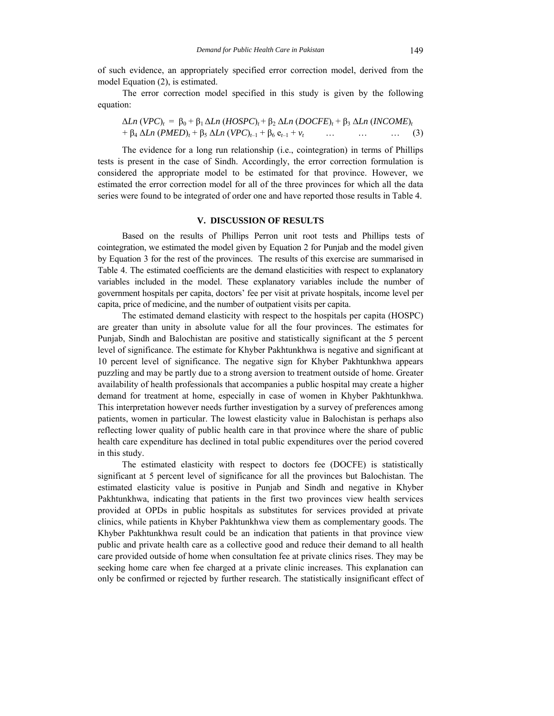of such evidence, an appropriately specified error correction model, derived from the model Equation (2), is estimated.

The error correction model specified in this study is given by the following equation:

$$
\Delta Ln (VPC)_t = \beta_0 + \beta_1 \Delta Ln (HOSPC)_t + \beta_2 \Delta Ln (DOCFE)_t + \beta_3 \Delta Ln (INCOME)_t + \beta_4 \Delta Ln (PMED)_t + \beta_5 \Delta Ln (VPC)_{t-1} + \beta_6 e_{t-1} + \nu_t \qquad \dots \qquad \dots \qquad \dots \qquad (3)
$$

The evidence for a long run relationship (i.e., cointegration) in terms of Phillips tests is present in the case of Sindh. Accordingly, the error correction formulation is considered the appropriate model to be estimated for that province. However, we estimated the error correction model for all of the three provinces for which all the data series were found to be integrated of order one and have reported those results in Table 4.

# **V. DISCUSSION OF RESULTS**

Based on the results of Phillips Perron unit root tests and Phillips tests of cointegration, we estimated the model given by Equation 2 for Punjab and the model given by Equation 3 for the rest of the provinces. The results of this exercise are summarised in Table 4. The estimated coefficients are the demand elasticities with respect to explanatory variables included in the model. These explanatory variables include the number of government hospitals per capita, doctors' fee per visit at private hospitals, income level per capita, price of medicine, and the number of outpatient visits per capita.

The estimated demand elasticity with respect to the hospitals per capita (HOSPC) are greater than unity in absolute value for all the four provinces. The estimates for Punjab, Sindh and Balochistan are positive and statistically significant at the 5 percent level of significance. The estimate for Khyber Pakhtunkhwa is negative and significant at 10 percent level of significance. The negative sign for Khyber Pakhtunkhwa appears puzzling and may be partly due to a strong aversion to treatment outside of home. Greater availability of health professionals that accompanies a public hospital may create a higher demand for treatment at home, especially in case of women in Khyber Pakhtunkhwa. This interpretation however needs further investigation by a survey of preferences among patients, women in particular. The lowest elasticity value in Balochistan is perhaps also reflecting lower quality of public health care in that province where the share of public health care expenditure has declined in total public expenditures over the period covered in this study.

The estimated elasticity with respect to doctors fee (DOCFE) is statistically significant at 5 percent level of significance for all the provinces but Balochistan. The estimated elasticity value is positive in Punjab and Sindh and negative in Khyber Pakhtunkhwa, indicating that patients in the first two provinces view health services provided at OPDs in public hospitals as substitutes for services provided at private clinics, while patients in Khyber Pakhtunkhwa view them as complementary goods. The Khyber Pakhtunkhwa result could be an indication that patients in that province view public and private health care as a collective good and reduce their demand to all health care provided outside of home when consultation fee at private clinics rises. They may be seeking home care when fee charged at a private clinic increases. This explanation can only be confirmed or rejected by further research. The statistically insignificant effect of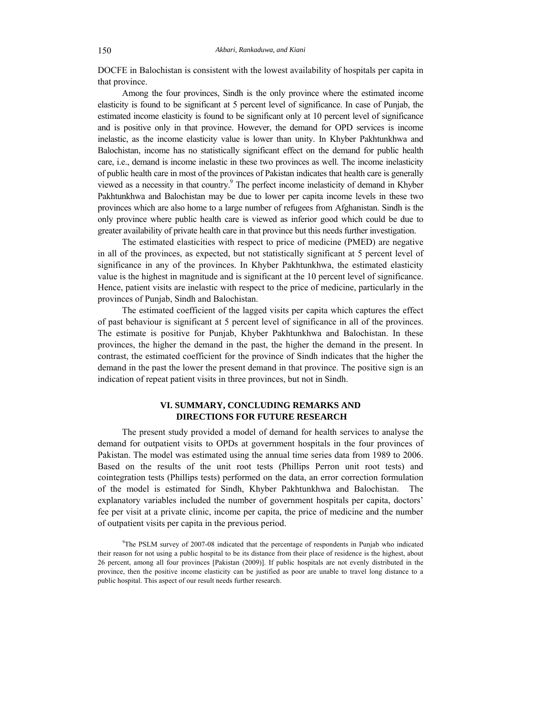DOCFE in Balochistan is consistent with the lowest availability of hospitals per capita in that province.

Among the four provinces, Sindh is the only province where the estimated income elasticity is found to be significant at 5 percent level of significance. In case of Punjab, the estimated income elasticity is found to be significant only at 10 percent level of significance and is positive only in that province. However, the demand for OPD services is income inelastic, as the income elasticity value is lower than unity. In Khyber Pakhtunkhwa and Balochistan, income has no statistically significant effect on the demand for public health care, i.e., demand is income inelastic in these two provinces as well. The income inelasticity of public health care in most of the provinces of Pakistan indicates that health care is generally viewed as a necessity in that country.<sup>9</sup> The perfect income inelasticity of demand in Khyber Pakhtunkhwa and Balochistan may be due to lower per capita income levels in these two provinces which are also home to a large number of refugees from Afghanistan. Sindh is the only province where public health care is viewed as inferior good which could be due to greater availability of private health care in that province but this needs further investigation.

The estimated elasticities with respect to price of medicine (PMED) are negative in all of the provinces, as expected, but not statistically significant at 5 percent level of significance in any of the provinces. In Khyber Pakhtunkhwa, the estimated elasticity value is the highest in magnitude and is significant at the 10 percent level of significance. Hence, patient visits are inelastic with respect to the price of medicine, particularly in the provinces of Punjab, Sindh and Balochistan.

The estimated coefficient of the lagged visits per capita which captures the effect of past behaviour is significant at 5 percent level of significance in all of the provinces. The estimate is positive for Punjab, Khyber Pakhtunkhwa and Balochistan. In these provinces, the higher the demand in the past, the higher the demand in the present. In contrast, the estimated coefficient for the province of Sindh indicates that the higher the demand in the past the lower the present demand in that province. The positive sign is an indication of repeat patient visits in three provinces, but not in Sindh.

# **VI. SUMMARY, CONCLUDING REMARKS AND DIRECTIONS FOR FUTURE RESEARCH**

The present study provided a model of demand for health services to analyse the demand for outpatient visits to OPDs at government hospitals in the four provinces of Pakistan. The model was estimated using the annual time series data from 1989 to 2006. Based on the results of the unit root tests (Phillips Perron unit root tests) and cointegration tests (Phillips tests) performed on the data, an error correction formulation of the model is estimated for Sindh, Khyber Pakhtunkhwa and Balochistan. The explanatory variables included the number of government hospitals per capita, doctors' fee per visit at a private clinic, income per capita, the price of medicine and the number of outpatient visits per capita in the previous period.

<sup>9</sup> The PSLM survey of 2007-08 indicated that the percentage of respondents in Punjab who indicated their reason for not using a public hospital to be its distance from their place of residence is the highest, about 26 percent, among all four provinces [Pakistan (2009)]. If public hospitals are not evenly distributed in the province, then the positive income elasticity can be justified as poor are unable to travel long distance to a public hospital. This aspect of our result needs further research.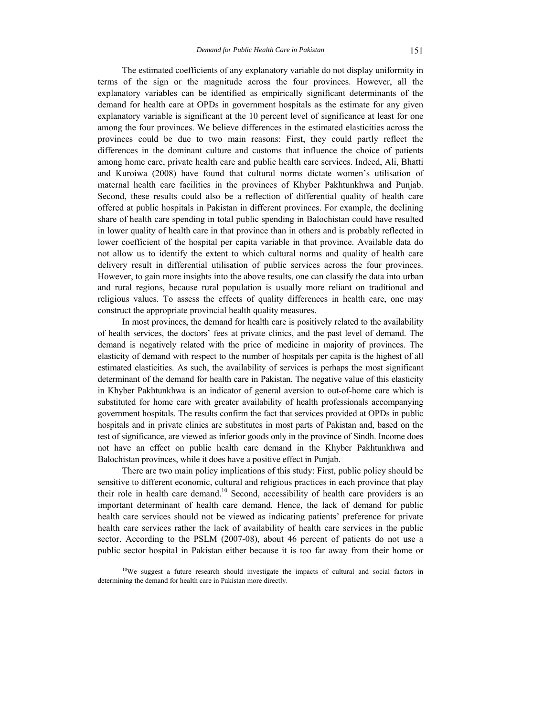The estimated coefficients of any explanatory variable do not display uniformity in terms of the sign or the magnitude across the four provinces. However, all the explanatory variables can be identified as empirically significant determinants of the demand for health care at OPDs in government hospitals as the estimate for any given explanatory variable is significant at the 10 percent level of significance at least for one among the four provinces. We believe differences in the estimated elasticities across the provinces could be due to two main reasons: First, they could partly reflect the differences in the dominant culture and customs that influence the choice of patients among home care, private health care and public health care services. Indeed, Ali, Bhatti and Kuroiwa (2008) have found that cultural norms dictate women's utilisation of maternal health care facilities in the provinces of Khyber Pakhtunkhwa and Punjab. Second, these results could also be a reflection of differential quality of health care offered at public hospitals in Pakistan in different provinces. For example, the declining share of health care spending in total public spending in Balochistan could have resulted in lower quality of health care in that province than in others and is probably reflected in lower coefficient of the hospital per capita variable in that province. Available data do not allow us to identify the extent to which cultural norms and quality of health care delivery result in differential utilisation of public services across the four provinces. However, to gain more insights into the above results, one can classify the data into urban and rural regions, because rural population is usually more reliant on traditional and religious values. To assess the effects of quality differences in health care, one may construct the appropriate provincial health quality measures.

In most provinces, the demand for health care is positively related to the availability of health services, the doctors' fees at private clinics, and the past level of demand. The demand is negatively related with the price of medicine in majority of provinces. The elasticity of demand with respect to the number of hospitals per capita is the highest of all estimated elasticities. As such, the availability of services is perhaps the most significant determinant of the demand for health care in Pakistan. The negative value of this elasticity in Khyber Pakhtunkhwa is an indicator of general aversion to out-of-home care which is substituted for home care with greater availability of health professionals accompanying government hospitals. The results confirm the fact that services provided at OPDs in public hospitals and in private clinics are substitutes in most parts of Pakistan and, based on the test of significance, are viewed as inferior goods only in the province of Sindh. Income does not have an effect on public health care demand in the Khyber Pakhtunkhwa and Balochistan provinces, while it does have a positive effect in Punjab.

There are two main policy implications of this study: First, public policy should be sensitive to different economic, cultural and religious practices in each province that play their role in health care demand.<sup>10</sup> Second, accessibility of health care providers is an important determinant of health care demand. Hence, the lack of demand for public health care services should not be viewed as indicating patients' preference for private health care services rather the lack of availability of health care services in the public sector. According to the PSLM (2007-08), about 46 percent of patients do not use a public sector hospital in Pakistan either because it is too far away from their home or

<sup>&</sup>lt;sup>10</sup>We suggest a future research should investigate the impacts of cultural and social factors in determining the demand for health care in Pakistan more directly.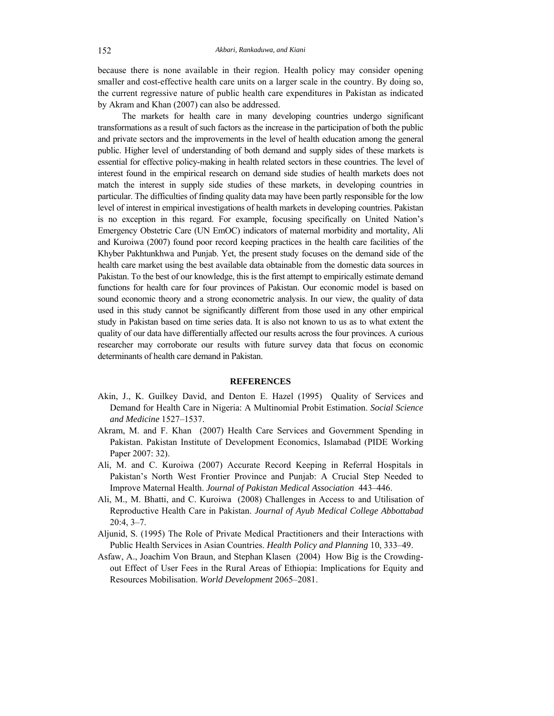because there is none available in their region. Health policy may consider opening smaller and cost-effective health care units on a larger scale in the country. By doing so, the current regressive nature of public health care expenditures in Pakistan as indicated by Akram and Khan (2007) can also be addressed.

The markets for health care in many developing countries undergo significant transformations as a result of such factors as the increase in the participation of both the public and private sectors and the improvements in the level of health education among the general public. Higher level of understanding of both demand and supply sides of these markets is essential for effective policy-making in health related sectors in these countries. The level of interest found in the empirical research on demand side studies of health markets does not match the interest in supply side studies of these markets, in developing countries in particular. The difficulties of finding quality data may have been partly responsible for the low level of interest in empirical investigations of health markets in developing countries. Pakistan is no exception in this regard. For example, focusing specifically on United Nation's Emergency Obstetric Care (UN EmOC) indicators of maternal morbidity and mortality, Ali and Kuroiwa (2007) found poor record keeping practices in the health care facilities of the Khyber Pakhtunkhwa and Punjab. Yet, the present study focuses on the demand side of the health care market using the best available data obtainable from the domestic data sources in Pakistan. To the best of our knowledge, this is the first attempt to empirically estimate demand functions for health care for four provinces of Pakistan. Our economic model is based on sound economic theory and a strong econometric analysis. In our view, the quality of data used in this study cannot be significantly different from those used in any other empirical study in Pakistan based on time series data. It is also not known to us as to what extent the quality of our data have differentially affected our results across the four provinces. A curious researcher may corroborate our results with future survey data that focus on economic determinants of health care demand in Pakistan.

#### **REFERENCES**

- Akin, J., K. Guilkey David, and Denton E. Hazel (1995) Quality of Services and Demand for Health Care in Nigeria: A Multinomial Probit Estimation. *Social Science and Medicine* 1527–1537.
- Akram, M. and F. Khan (2007) Health Care Services and Government Spending in Pakistan. Pakistan Institute of Development Economics, Islamabad (PIDE Working Paper 2007: 32).
- Ali, M. and C. Kuroiwa (2007) Accurate Record Keeping in Referral Hospitals in Pakistan's North West Frontier Province and Punjab: A Crucial Step Needed to Improve Maternal Health. *Journal of Pakistan Medical Association* 443–446.
- Ali, M., M. Bhatti, and C. Kuroiwa (2008) Challenges in Access to and Utilisation of Reproductive Health Care in Pakistan. *Journal of Ayub Medical College Abbottabad* 20:4, 3–7.
- Aljunid, S. (1995) The Role of Private Medical Practitioners and their Interactions with Public Health Services in Asian Countries. *Health Policy and Planning* 10, 333–49.
- Asfaw, A., Joachim Von Braun, and Stephan Klasen (2004) How Big is the Crowdingout Effect of User Fees in the Rural Areas of Ethiopia: Implications for Equity and Resources Mobilisation. *World Development* 2065–2081.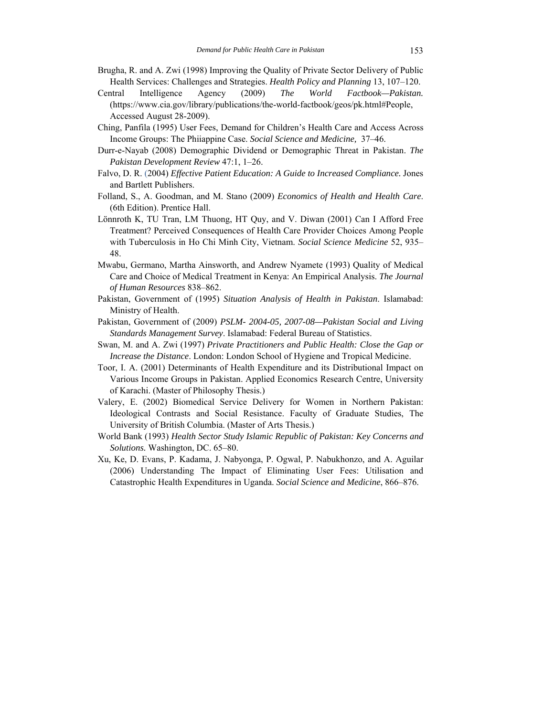- Brugha, R. and A. Zwi (1998) Improving the Quality of Private Sector Delivery of Public Health Services: Challenges and Strategies. *Health Policy and Planning* 13, 107–120.
- Central Intelligence Agency (2009) *The World Factbook—Pakistan.* (https://www.cia.gov/library/publications/the-world-factbook/geos/pk.html#People, Accessed August 28-2009).
- Ching, Panfila (1995) User Fees, Demand for Children's Health Care and Access Across Income Groups: The Phiiappine Case. *Social Science and Medicine,* 37–46.
- Durr-e-Nayab (2008) Demographic Dividend or Demographic Threat in Pakistan. *The Pakistan Development Review* 47:1, 1–26.
- Falvo, D. R. (2004) *Effective Patient Education: A Guide to Increased Compliance.* Jones and Bartlett Publishers.
- Folland, S., A. Goodman, and M. Stano (2009) *Economics of Health and Health Care*. (6th Edition). Prentice Hall.
- Lönnroth K, TU Tran, LM Thuong, HT Quy, and V. Diwan (2001) Can I Afford Free Treatment? Perceived Consequences of Health Care Provider Choices Among People with Tuberculosis in Ho Chi Minh City, Vietnam. *Social Science Medicine* 52, 935– 48.
- Mwabu, Germano, Martha Ainsworth, and Andrew Nyamete (1993) Quality of Medical Care and Choice of Medical Treatment in Kenya: An Empirical Analysis. *The Journal of Human Resources* 838–862.
- Pakistan, Government of (1995) *Situation Analysis of Health in Pakistan*. Islamabad: Ministry of Health.
- Pakistan, Government of (2009) *PSLM- 2004-05, 2007-08—Pakistan Social and Living Standards Management Survey*. Islamabad: Federal Bureau of Statistics.
- Swan, M. and A. Zwi (1997) *Private Practitioners and Public Health: Close the Gap or Increase the Distance*. London: London School of Hygiene and Tropical Medicine.
- Toor, I. A. (2001) Determinants of Health Expenditure and its Distributional Impact on Various Income Groups in Pakistan. Applied Economics Research Centre, University of Karachi. (Master of Philosophy Thesis.)
- Valery, E. (2002) Biomedical Service Delivery for Women in Northern Pakistan: Ideological Contrasts and Social Resistance. Faculty of Graduate Studies, The University of British Columbia. (Master of Arts Thesis.)
- World Bank (1993) *Health Sector Study Islamic Republic of Pakistan: Key Concerns and Solutions.* Washington, DC. 65–80.
- Xu, Ke, D. Evans, P. Kadama, J. Nabyonga, P. Ogwal, P. Nabukhonzo, and A. Aguilar (2006) Understanding The Impact of Eliminating User Fees: Utilisation and Catastrophic Health Expenditures in Uganda. *Social Science and Medicine*, 866–876.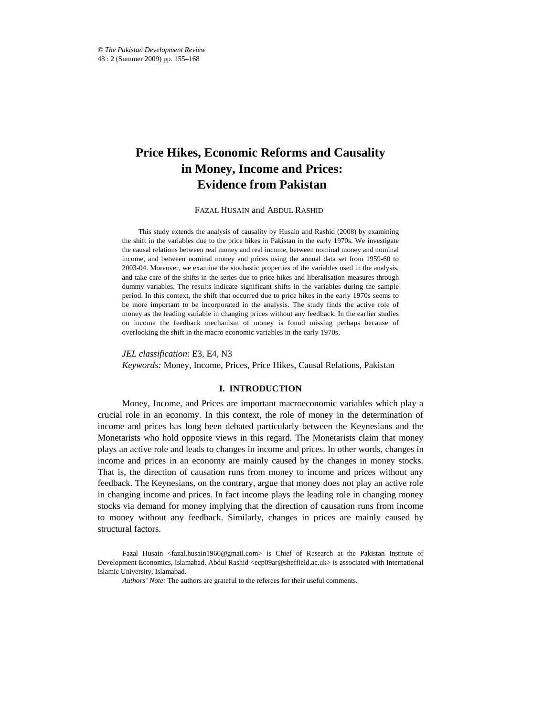# **Price Hikes, Economic Reforms and Causality in Money, Income and Prices: Evidence from Pakistan**

FAZAL HUSAIN and ABDUL RASHID\*

This study extends the analysis of causality by Husain and Rashid (2008) by examining the shift in the variables due to the price hikes in Pakistan in the early 1970s. We investigate the causal relations between real money and real income, between nominal money and nominal income, and between nominal money and prices using the annual data set from 1959-60 to 2003-04. Moreover, we examine the stochastic properties of the variables used in the analysis, and take care of the shifts in the series due to price hikes and liberalisation measures through dummy variables. The results indicate significant shifts in the variables during the sample period. In this context, the shift that occurred due to price hikes in the early 1970s seems to be more important to be incorporated in the analysis. The study finds the active role of money as the leading variable in changing prices without any feedback. In the earlier studies on income the feedback mechanism of money is found missing perhaps because of overlooking the shift in the macro economic variables in the early 1970s.

*JEL classification*: E3, E4, N3 *Keywords:* Money, Income, Prices, Price Hikes, Causal Relations, Pakistan

# **I. INTRODUCTION**

Money, Income, and Prices are important macroeconomic variables which play a crucial role in an economy. In this context, the role of money in the determination of income and prices has long been debated particularly between the Keynesians and the Monetarists who hold opposite views in this regard. The Monetarists claim that money plays an active role and leads to changes in income and prices. In other words, changes in income and prices in an economy are mainly caused by the changes in money stocks. That is, the direction of causation runs from money to income and prices without any feedback. The Keynesians, on the contrary, argue that money does not play an active role in changing income and prices. In fact income plays the leading role in changing money stocks via demand for money implying that the direction of causation runs from income to money without any feedback. Similarly, changes in prices are mainly caused by structural factors.

Fazal Husain <fazal.husain1960@gmail.com> is Chief of Research at the Pakistan Institute of Development Economics, Islamabad. Abdul Rashid <ecp09ar@sheffield.ac.uk> is associated with International Islamic University, Islamabad.

*Authors' Note:* The authors are grateful to the referees for their useful comments.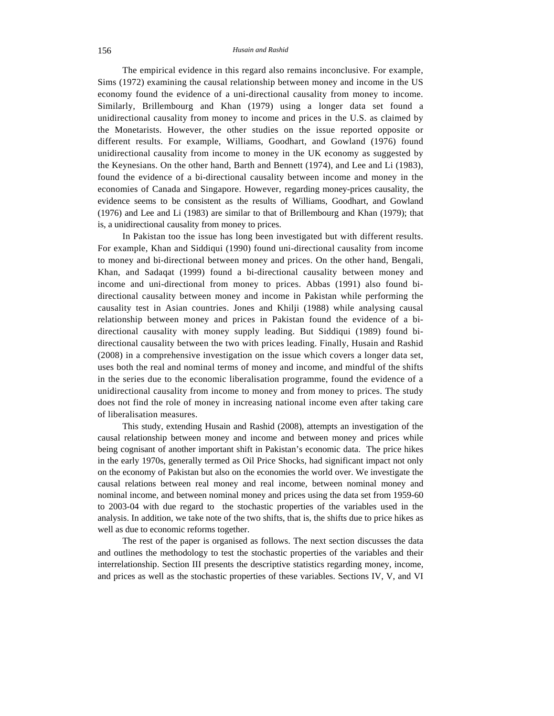The empirical evidence in this regard also remains inconclusive. For example, Sims (1972) examining the causal relationship between money and income in the US economy found the evidence of a uni-directional causality from money to income. Similarly, Brillembourg and Khan (1979) using a longer data set found a unidirectional causality from money to income and prices in the U.S. as claimed by the Monetarists. However, the other studies on the issue reported opposite or different results. For example, Williams, Goodhart, and Gowland (1976) found unidirectional causality from income to money in the UK economy as suggested by the Keynesians. On the other hand, Barth and Bennett (1974), and Lee and Li (1983), found the evidence of a bi-directional causality between income and money in the economies of Canada and Singapore. However, regarding money-prices causality, the evidence seems to be consistent as the results of Williams, Goodhart, and Gowland (1976) and Lee and Li (1983) are similar to that of Brillembourg and Khan (1979); that is, a unidirectional causality from money to prices.

In Pakistan too the issue has long been investigated but with different results. For example, Khan and Siddiqui (1990) found uni-directional causality from income to money and bi-directional between money and prices. On the other hand, Bengali, Khan, and Sadaqat (1999) found a bi-directional causality between money and income and uni-directional from money to prices. Abbas (1991) also found bidirectional causality between money and income in Pakistan while performing the causality test in Asian countries. Jones and Khilji (1988) while analysing causal relationship between money and prices in Pakistan found the evidence of a bidirectional causality with money supply leading. But Siddiqui (1989) found bidirectional causality between the two with prices leading. Finally, Husain and Rashid (2008) in a comprehensive investigation on the issue which covers a longer data set, uses both the real and nominal terms of money and income, and mindful of the shifts in the series due to the economic liberalisation programme, found the evidence of a unidirectional causality from income to money and from money to prices. The study does not find the role of money in increasing national income even after taking care of liberalisation measures.

This study, extending Husain and Rashid (2008), attempts an investigation of the causal relationship between money and income and between money and prices while being cognisant of another important shift in Pakistan's economic data. The price hikes in the early 1970s, generally termed as Oil Price Shocks, had significant impact not only on the economy of Pakistan but also on the economies the world over. We investigate the causal relations between real money and real income, between nominal money and nominal income, and between nominal money and prices using the data set from 1959-60 to 2003-04 with due regard to the stochastic properties of the variables used in the analysis. In addition, we take note of the two shifts, that is, the shifts due to price hikes as well as due to economic reforms together.

The rest of the paper is organised as follows. The next section discusses the data and outlines the methodology to test the stochastic properties of the variables and their interrelationship. Section III presents the descriptive statistics regarding money, income, and prices as well as the stochastic properties of these variables. Sections IV, V, and VI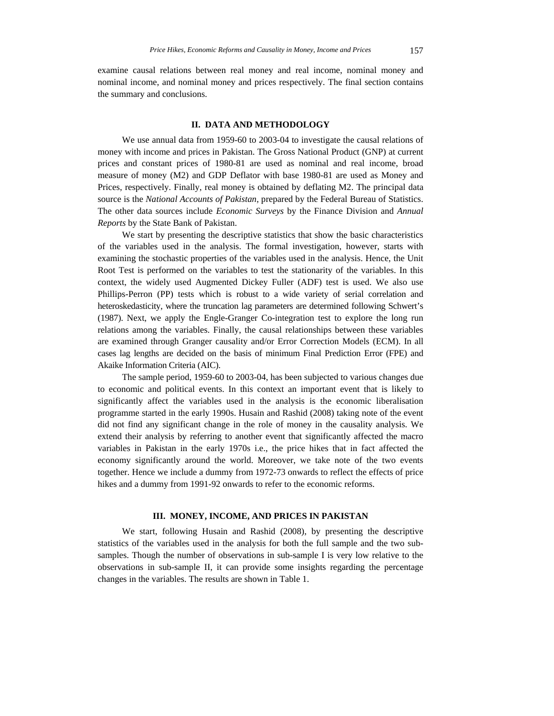examine causal relations between real money and real income, nominal money and nominal income, and nominal money and prices respectively. The final section contains the summary and conclusions.

#### **II. DATA AND METHODOLOGY**

We use annual data from 1959-60 to 2003-04 to investigate the causal relations of money with income and prices in Pakistan. The Gross National Product (GNP) at current prices and constant prices of 1980-81 are used as nominal and real income, broad measure of money (M2) and GDP Deflator with base 1980-81 are used as Money and Prices, respectively. Finally, real money is obtained by deflating M2. The principal data source is the *National Accounts of Pakistan*, prepared by the Federal Bureau of Statistics. The other data sources include *Economic Surveys* by the Finance Division and *Annual Reports* by the State Bank of Pakistan.

We start by presenting the descriptive statistics that show the basic characteristics of the variables used in the analysis. The formal investigation, however, starts with examining the stochastic properties of the variables used in the analysis. Hence, the Unit Root Test is performed on the variables to test the stationarity of the variables. In this context, the widely used Augmented Dickey Fuller (ADF) test is used. We also use Phillips-Perron (PP) tests which is robust to a wide variety of serial correlation and heteroskedasticity, where the truncation lag parameters are determined following Schwert's (1987). Next, we apply the Engle-Granger Co-integration test to explore the long run relations among the variables. Finally, the causal relationships between these variables are examined through Granger causality and/or Error Correction Models (ECM). In all cases lag lengths are decided on the basis of minimum Final Prediction Error (FPE) and Akaike Information Criteria (AIC).

The sample period, 1959-60 to 2003-04, has been subjected to various changes due to economic and political events. In this context an important event that is likely to significantly affect the variables used in the analysis is the economic liberalisation programme started in the early 1990s. Husain and Rashid (2008) taking note of the event did not find any significant change in the role of money in the causality analysis. We extend their analysis by referring to another event that significantly affected the macro variables in Pakistan in the early 1970s i.e., the price hikes that in fact affected the economy significantly around the world. Moreover, we take note of the two events together. Hence we include a dummy from 1972-73 onwards to reflect the effects of price hikes and a dummy from 1991-92 onwards to refer to the economic reforms.

# **III. MONEY, INCOME, AND PRICES IN PAKISTAN**

We start, following Husain and Rashid (2008), by presenting the descriptive statistics of the variables used in the analysis for both the full sample and the two subsamples. Though the number of observations in sub-sample I is very low relative to the observations in sub-sample II, it can provide some insights regarding the percentage changes in the variables. The results are shown in Table 1.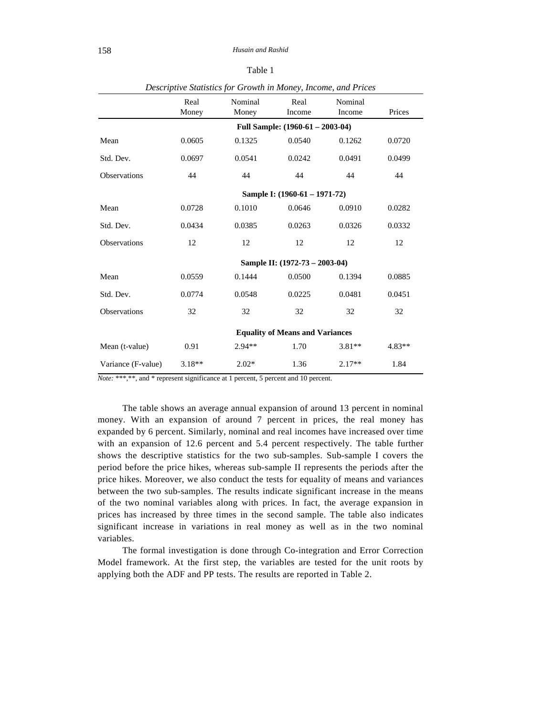| ٧ |
|---|
|---|

|                     | Real<br>Money | Nominal  | Real<br>Money Income                   | Nominal<br>Income | Prices   |
|---------------------|---------------|----------|----------------------------------------|-------------------|----------|
|                     |               |          | Full Sample: $(1960-61 - 2003-04)$     |                   |          |
| Mean                | 0.0605        | 0.1325   | 0.0540                                 | 0.1262            | 0.0720   |
| Std. Dev.           | 0.0697        | 0.0541   | 0.0242                                 | 0.0491            | 0.0499   |
| <b>Observations</b> | 44            | 44       | 44                                     | 44                | 44       |
|                     |               |          | Sample I: (1960-61 – 1971-72)          |                   |          |
| Mean                | 0.0728        | 0.1010   | 0.0646                                 | 0.0910            | 0.0282   |
| Std. Dev.           | 0.0434        | 0.0385   | 0.0263                                 | 0.0326            | 0.0332   |
| <b>Observations</b> | 12            | 12       | 12                                     | 12                | 12       |
|                     |               |          | Sample II: (1972-73 – 2003-04)         |                   |          |
| Mean                | 0.0559        | 0.1444   | 0.0500                                 | 0.1394            | 0.0885   |
| Std. Dev.           | 0.0774        | 0.0548   | 0.0225                                 | 0.0481            | 0.0451   |
| <b>Observations</b> | 32            | 32       | 32                                     | 32                | 32       |
|                     |               |          | <b>Equality of Means and Variances</b> |                   |          |
| Mean (t-value)      | 0.91          | $2.94**$ | 1.70                                   | $3.81**$          | $4.83**$ |
| Variance (F-value)  | $3.18**$      | $2.02*$  | 1.36                                   | $2.17**$          | 1.84     |

*Descriptive Statistics for Growth in Money, Income, and Prices*

*Note:* \*\*\*,\*\*, and \* represent significance at 1 percent, 5 percent and 10 percent.

The table shows an average annual expansion of around 13 percent in nominal money. With an expansion of around 7 percent in prices, the real money has expanded by 6 percent. Similarly, nominal and real incomes have increased over time with an expansion of 12.6 percent and 5.4 percent respectively. The table further shows the descriptive statistics for the two sub-samples. Sub-sample I covers the period before the price hikes, whereas sub-sample II represents the periods after the price hikes. Moreover, we also conduct the tests for equality of means and variances between the two sub-samples. The results indicate significant increase in the means of the two nominal variables along with prices. In fact, the average expansion in prices has increased by three times in the second sample. The table also indicates significant increase in variations in real money as well as in the two nominal variables.

The formal investigation is done through Co-integration and Error Correction Model framework. At the first step, the variables are tested for the unit roots by applying both the ADF and PP tests. The results are reported in Table 2.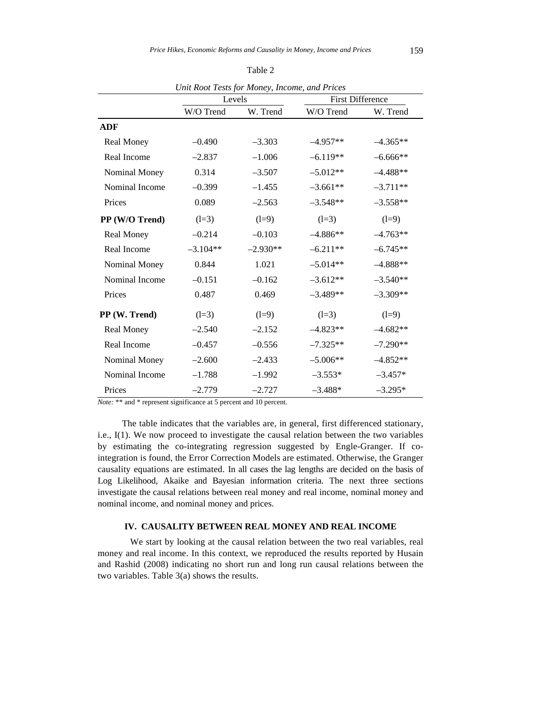|                   | Levels     |            | <b>First Difference</b> |            |
|-------------------|------------|------------|-------------------------|------------|
|                   | W/O Trend  | W. Trend   | W/O Trend               | W. Trend   |
| <b>ADF</b>        |            |            |                         |            |
| <b>Real Money</b> | $-0.490$   | $-3.303$   | $-4.957**$              | $-4.365**$ |
| Real Income       | $-2.837$   | $-1.006$   | $-6.119**$              | $-6.666**$ |
| Nominal Money     | 0.314      | $-3.507$   | $-5.012**$              | $-4.488**$ |
| Nominal Income    | $-0.399$   | $-1.455$   | $-3.661**$              | $-3.711**$ |
| Prices            | 0.089      | $-2.563$   | $-3.548**$              | $-3.558**$ |
| PP (W/O Trend)    | $(l=3)$    | $(l=9)$    | $(l=3)$                 | $(l=9)$    |
| Real Money        | $-0.214$   | $-0.103$   | $-4.886**$              | $-4.763**$ |
| Real Income       | $-3.104**$ | $-2.930**$ | $-6.211**$              | $-6.745**$ |
| Nominal Money     | 0.844      | 1.021      | $-5.014**$              | $-4.888**$ |
| Nominal Income    | $-0.151$   | $-0.162$   | $-3.612**$              | $-3.540**$ |
| Prices            | 0.487      | 0.469      | $-3.489**$              | $-3.309**$ |
| PP (W. Trend)     | $(l=3)$    | $(l=9)$    | $(l=3)$                 | $(l=9)$    |
| <b>Real Money</b> | $-2.540$   | $-2.152$   | $-4.823**$              | $-4.682**$ |
| Real Income       | $-0.457$   | $-0.556$   | $-7.325**$              | $-7.290**$ |
| Nominal Money     | $-2.600$   | $-2.433$   | $-5.006**$              | $-4.852**$ |
| Nominal Income    | $-1.788$   | $-1.992$   | $-3.553*$               | $-3.457*$  |
| Prices            | $-2.779$   | $-2.727$   | $-3.488*$               | $-3.295*$  |

Table 2

*Unit Root Tests for Money, Income, and Prices*

*Note:* \*\* and \* represent significance at 5 percent and 10 percent.

The table indicates that the variables are, in general, first differenced stationary, i.e., I(1). We now proceed to investigate the causal relation between the two variables by estimating the co-integrating regression suggested by Engle-Granger. If cointegration is found, the Error Correction Models are estimated. Otherwise, the Granger causality equations are estimated. In all cases the lag lengths are decided on the basis of Log Likelihood, Akaike and Bayesian information criteria. The next three sections investigate the causal relations between real money and real income, nominal money and nominal income, and nominal money and prices.

# **IV. CAUSALITY BETWEEN REAL MONEY AND REAL INCOME**

 We start by looking at the causal relation between the two real variables, real money and real income. In this context, we reproduced the results reported by Husain and Rashid (2008) indicating no short run and long run causal relations between the two variables. Table 3(a) shows the results.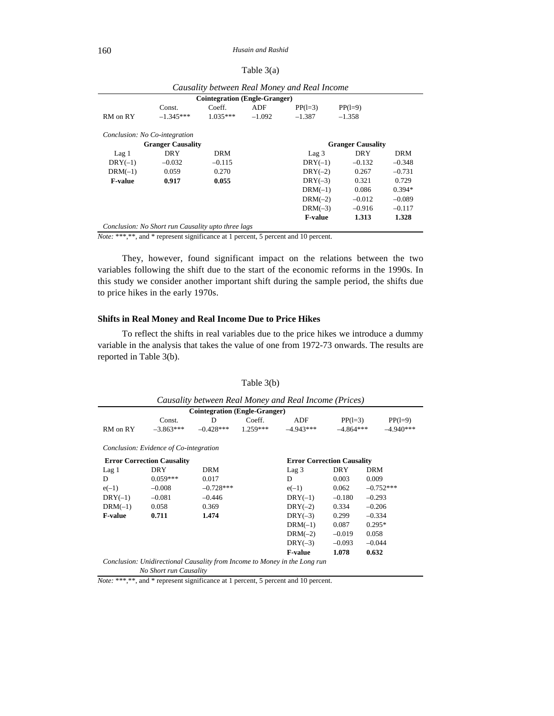| Table 3(a) |  |
|------------|--|
|------------|--|

|                               |                                                    |                                      |          | Causality between Real Money and Real Income |                          |            |
|-------------------------------|----------------------------------------------------|--------------------------------------|----------|----------------------------------------------|--------------------------|------------|
|                               |                                                    | <b>Cointegration (Engle-Granger)</b> |          |                                              |                          |            |
|                               | Const.                                             | Coeff.                               | ADF      | $PP(1=3)$                                    | $PP(1=9)$                |            |
| RM on RY                      | $-1.345***$                                        | $1.035***$                           | $-1.092$ | $-1.387$                                     | $-1.358$                 |            |
| Conclusion: No Co-integration |                                                    |                                      |          |                                              |                          |            |
|                               | <b>Granger Causality</b>                           |                                      |          |                                              | <b>Granger Causality</b> |            |
| Lag <sub>1</sub>              | DRY                                                | DRM                                  |          | $\text{Lag}~3$                               | DRY                      | <b>DRM</b> |
| $DRY(-1)$                     | $-0.032$                                           | $-0.115$                             |          | $DRY(-1)$                                    | $-0.132$                 | $-0.348$   |
| $DRM(-1)$                     | 0.059                                              | 0.270                                |          | $DRY(-2)$                                    | 0.267                    | $-0.731$   |
| <b>F-value</b>                | 0.917                                              | 0.055                                |          | $DRY(-3)$                                    | 0.321                    | 0.729      |
|                               |                                                    |                                      |          | $DRM(-1)$                                    | 0.086                    | $0.394*$   |
|                               |                                                    |                                      |          | $DRM(-2)$                                    | $-0.012$                 | $-0.089$   |
|                               |                                                    |                                      |          | $DRM(-3)$                                    | $-0.916$                 | $-0.117$   |
|                               |                                                    |                                      |          | <b>F-value</b>                               | 1.313                    | 1.328      |
|                               | Conclusion: No Short run Causality upto three lags |                                      |          |                                              |                          |            |

| Causality between Real Money and Real Income |  |  |  |
|----------------------------------------------|--|--|--|
|                                              |  |  |  |

*Note:* \*\*\*,\*\*, and \* represent significance at 1 percent, 5 percent and 10 percent.

They, however, found significant impact on the relations between the two variables following the shift due to the start of the economic reforms in the 1990s. In this study we consider another important shift during the sample period, the shifts due to price hikes in the early 1970s.

## **Shifts in Real Money and Real Income Due to Price Hikes**

To reflect the shifts in real variables due to the price hikes we introduce a dummy variable in the analysis that takes the value of one from 1972-73 onwards. The results are reported in Table 3(b).

|                |                                        | <b>Cointegration (Engle-Granger)</b> |            |                                   |             |             |
|----------------|----------------------------------------|--------------------------------------|------------|-----------------------------------|-------------|-------------|
|                | Const.                                 | D                                    | Coeff.     | ADF                               | $PP(1=3)$   | $PP(1=9)$   |
| RM on RY       | $-3.863***$                            | $-0.428***$                          | $1.259***$ | $-4.943***$                       | $-4.864***$ | $-4.940***$ |
|                | Conclusion: Evidence of Co-integration |                                      |            |                                   |             |             |
|                | <b>Error Correction Causality</b>      |                                      |            | <b>Error Correction Causality</b> |             |             |
| Lag1           | DRY                                    | <b>DRM</b>                           |            | Lag <sub>3</sub>                  | <b>DRY</b>  | DRM         |
| D              | $0.059***$                             | 0.017                                |            | D                                 | 0.003       | 0.009       |
| $e(-1)$        | $-0.008$                               | $-0.728***$                          |            | $e(-1)$                           | 0.062       | $-0.752***$ |
| $DRY(-1)$      | $-0.081$                               | $-0.446$                             |            | $DRY(-1)$                         | $-0.180$    | $-0.293$    |
| $DRM(-1)$      | 0.058                                  | 0.369                                |            | $DRY(-2)$                         | 0.334       | $-0.206$    |
| <b>F-value</b> | 0.711                                  | 1.474                                |            | $DRY(-3)$                         | 0.299       | $-0.334$    |
|                |                                        |                                      |            | $DRM(-1)$                         | 0.087       | $0.295*$    |
|                |                                        |                                      |            | $DRM(-2)$                         | $-0.019$    | 0.058       |
|                |                                        |                                      |            | $DRY(-3)$                         | $-0.093$    | $-0.044$    |
|                |                                        |                                      |            | <b>F-value</b>                    | 1.078       | 0.632       |

Table 3(b)

*Note:* \*\*\*,\*\*, and \* represent significance at 1 percent, 5 percent and 10 percent.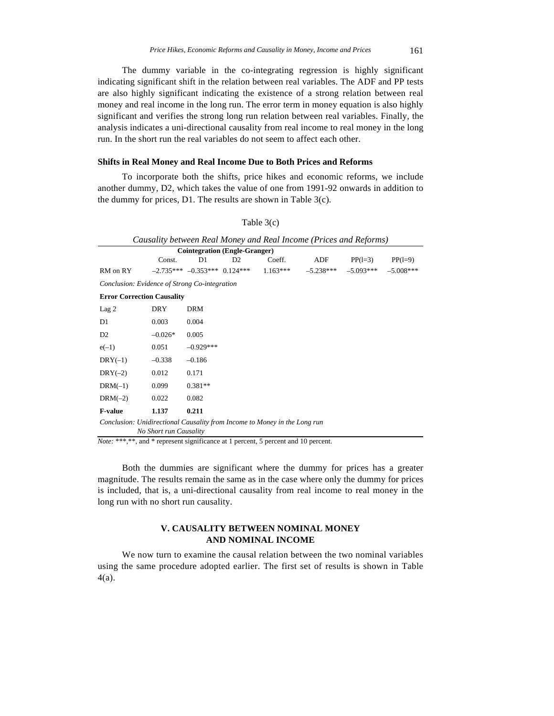The dummy variable in the co-integrating regression is highly significant indicating significant shift in the relation between real variables. The ADF and PP tests are also highly significant indicating the existence of a strong relation between real money and real income in the long run. The error term in money equation is also highly significant and verifies the strong long run relation between real variables. Finally, the analysis indicates a uni-directional causality from real income to real money in the long run. In the short run the real variables do not seem to affect each other.

#### **Shifts in Real Money and Real Income Due to Both Prices and Reforms**

To incorporate both the shifts, price hikes and economic reforms, we include another dummy, D2, which takes the value of one from 1991-92 onwards in addition to the dummy for prices, D1. The results are shown in Table 3(c).

Table 3(c)

|                                                                           |                        |                                      |                |            | Causality between Real Money and Real Income (Prices and Reforms) |             |             |
|---------------------------------------------------------------------------|------------------------|--------------------------------------|----------------|------------|-------------------------------------------------------------------|-------------|-------------|
|                                                                           |                        | <b>Cointegration (Engle-Granger)</b> |                |            |                                                                   |             |             |
|                                                                           | Const.                 | D1                                   | D <sub>2</sub> | Coeff.     | ADF                                                               | $PP(1=3)$   | $PP(1=9)$   |
| RM on RY                                                                  |                        | $-2.735***$ $-0.353***$ 0.124***     |                | $1.163***$ | $-5.238***$                                                       | $-5.093***$ | $-5.008***$ |
| Conclusion: Evidence of Strong Co-integration                             |                        |                                      |                |            |                                                                   |             |             |
| <b>Error Correction Causality</b>                                         |                        |                                      |                |            |                                                                   |             |             |
| Lag <sub>2</sub>                                                          | <b>DRY</b>             | <b>DRM</b>                           |                |            |                                                                   |             |             |
| D1                                                                        | 0.003                  | 0.004                                |                |            |                                                                   |             |             |
| D <sub>2</sub>                                                            | $-0.026*$              | 0.005                                |                |            |                                                                   |             |             |
| $e(-1)$                                                                   | 0.051                  | $-0.929***$                          |                |            |                                                                   |             |             |
| $DRY(-1)$                                                                 | $-0.338$               | $-0.186$                             |                |            |                                                                   |             |             |
| $DRY(-2)$                                                                 | 0.012                  | 0.171                                |                |            |                                                                   |             |             |
| $DRM(-1)$                                                                 | 0.099                  | $0.381**$                            |                |            |                                                                   |             |             |
| $DRM(-2)$                                                                 | 0.022                  | 0.082                                |                |            |                                                                   |             |             |
| <b>F-value</b>                                                            | 1.137                  | 0.211                                |                |            |                                                                   |             |             |
| Conclusion: Unidirectional Causality from Income to Money in the Long run |                        |                                      |                |            |                                                                   |             |             |
|                                                                           | No Short run Causality |                                      |                |            |                                                                   |             |             |

*Note:* \*\*\*,\*\*, and \* represent significance at 1 percent, 5 percent and 10 percent.

Both the dummies are significant where the dummy for prices has a greater magnitude. The results remain the same as in the case where only the dummy for prices is included, that is, a uni-directional causality from real income to real money in the long run with no short run causality.

# **V. CAUSALITY BETWEEN NOMINAL MONEY AND NOMINAL INCOME**

We now turn to examine the causal relation between the two nominal variables using the same procedure adopted earlier. The first set of results is shown in Table 4(a).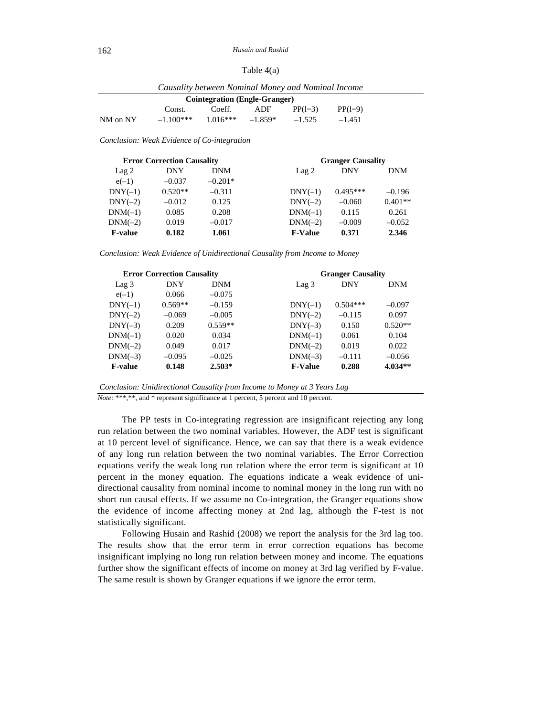| Table $4(a)$ |  |
|--------------|--|
|--------------|--|

|          |             | Causality between Nominal Money and Nominal Income |           |           |           |  |
|----------|-------------|----------------------------------------------------|-----------|-----------|-----------|--|
|          |             | <b>Cointegration (Engle-Granger)</b>               |           |           |           |  |
|          | Const.      | Coeff.                                             | ADF       | $PP(1=3)$ | $PP(1=9)$ |  |
| NM on NY | $-1.100***$ | $1.016***$                                         | $-1.859*$ | $-1.525$  | $-1.451$  |  |

*Conclusion: Weak Evidence of Co-integration* 

| <b>Error Correction Causality</b> |            |            | <b>Granger Causality</b> |            |            |
|-----------------------------------|------------|------------|--------------------------|------------|------------|
| Lag <sub>2</sub>                  | <b>DNY</b> | <b>DNM</b> | $\text{Lag} 2$           | <b>DNY</b> | <b>DNM</b> |
| $e(-1)$                           | $-0.037$   | $-0.201*$  |                          |            |            |
| $DNY(-1)$                         | $0.520**$  | $-0.311$   | $DNY(-1)$                | $0.495***$ | $-0.196$   |
| $DNY(-2)$                         | $-0.012$   | 0.125      | $DNY(-2)$                | $-0.060$   | $0.401**$  |
| $DNM(-1)$                         | 0.085      | 0.208      | $DNM(-1)$                | 0.115      | 0.261      |
| $DNM(-2)$                         | 0.019      | $-0.017$   | $DNM(-2)$                | $-0.009$   | $-0.052$   |
| <b>F-value</b>                    | 0.182      | 1.061      | <b>F-Value</b>           | 0.371      | 2.346      |

*Conclusion: Weak Evidence of Unidirectional Causality from Income to Money* 

|                | <b>Error Correction Causality</b> |            |                  | <b>Granger Causality</b> |            |
|----------------|-----------------------------------|------------|------------------|--------------------------|------------|
| Lag 3          | <b>DNY</b>                        | <b>DNM</b> | Lag <sub>3</sub> | <b>DNY</b>               | <b>DNM</b> |
| $e(-1)$        | 0.066                             | $-0.075$   |                  |                          |            |
| $DNY(-1)$      | $0.569**$                         | $-0.159$   | $DNY(-1)$        | $0.504***$               | $-0.097$   |
| $DNY(-2)$      | $-0.069$                          | $-0.005$   | $DNY(-2)$        | $-0.115$                 | 0.097      |
| $DNY(-3)$      | 0.209                             | $0.559**$  | $DNY(-3)$        | 0.150                    | $0.520**$  |
| $DNM(-1)$      | 0.020                             | 0.034      | $DNM(-1)$        | 0.061                    | 0.104      |
| $DNM(-2)$      | 0.049                             | 0.017      | $DNM(-2)$        | 0.019                    | 0.022      |
| $DNM(-3)$      | $-0.095$                          | $-0.025$   | $DNM(-3)$        | $-0.111$                 | $-0.056$   |
| <b>F-value</b> | 0.148                             | $2.503*$   | <b>F-Value</b>   | 0.288                    | $4.034**$  |

*Conclusion: Unidirectional Causality from Income to Money at 3 Years Lag* 

*Note:* \*\*\*,\*\*, and \* represent significance at 1 percent, 5 percent and 10 percent.

The PP tests in Co-integrating regression are insignificant rejecting any long run relation between the two nominal variables. However, the ADF test is significant at 10 percent level of significance. Hence, we can say that there is a weak evidence of any long run relation between the two nominal variables. The Error Correction equations verify the weak long run relation where the error term is significant at 10 percent in the money equation. The equations indicate a weak evidence of unidirectional causality from nominal income to nominal money in the long run with no short run causal effects. If we assume no Co-integration, the Granger equations show the evidence of income affecting money at 2nd lag, although the F-test is not statistically significant.

Following Husain and Rashid (2008) we report the analysis for the 3rd lag too. The results show that the error term in error correction equations has become insignificant implying no long run relation between money and income. The equations further show the significant effects of income on money at 3rd lag verified by F-value. The same result is shown by Granger equations if we ignore the error term.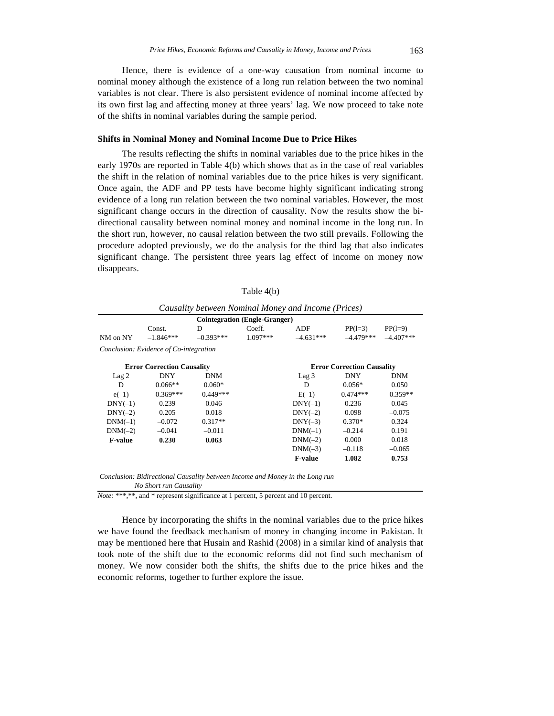Hence, there is evidence of a one-way causation from nominal income to nominal money although the existence of a long run relation between the two nominal variables is not clear. There is also persistent evidence of nominal income affected by its own first lag and affecting money at three years' lag. We now proceed to take note of the shifts in nominal variables during the sample period.

## **Shifts in Nominal Money and Nominal Income Due to Price Hikes**

The results reflecting the shifts in nominal variables due to the price hikes in the early 1970s are reported in Table 4(b) which shows that as in the case of real variables the shift in the relation of nominal variables due to the price hikes is very significant. Once again, the ADF and PP tests have become highly significant indicating strong evidence of a long run relation between the two nominal variables. However, the most significant change occurs in the direction of causality. Now the results show the bidirectional causality between nominal money and nominal income in the long run. In the short run, however, no causal relation between the two still prevails. Following the procedure adopted previously, we do the analysis for the third lag that also indicates significant change. The persistent three years lag effect of income on money now disappears.

|                  |                                        |             | <b>Cointegration (Engle-Granger)</b> |                  |                                   |             |
|------------------|----------------------------------------|-------------|--------------------------------------|------------------|-----------------------------------|-------------|
|                  | Const.                                 | D           | Coeff.                               | ADF              | $PP(1=3)$                         | $PP(1=9)$   |
| NM on NY         | $-1.846***$                            | $-0.393***$ | $1.097***$                           | $-4.631***$      | $-4.479***$                       | $-4.407***$ |
|                  | Conclusion: Evidence of Co-integration |             |                                      |                  |                                   |             |
|                  | <b>Error Correction Causality</b>      |             |                                      |                  | <b>Error Correction Causality</b> |             |
| Lag <sub>2</sub> | DNY                                    | <b>DNM</b>  |                                      | Lag <sub>3</sub> | <b>DNY</b>                        | DNM         |
| D                | $0.066**$                              | $0.060*$    |                                      | D                | $0.056*$                          | 0.050       |
| $e(-1)$          | $-0.369***$                            | $-0.449***$ |                                      | $E(-1)$          | $-0.474***$                       | $-0.359**$  |
| $DNY(-1)$        | 0.239                                  | 0.046       |                                      | $DNY(-1)$        | 0.236                             | 0.045       |
| $DNY(-2)$        | 0.205                                  | 0.018       |                                      | $DNY(-2)$        | 0.098                             | $-0.075$    |
| $DNM(-1)$        | $-0.072$                               | $0.317**$   |                                      | $DNY(-3)$        | $0.370*$                          | 0.324       |
| $DNM(-2)$        | $-0.041$                               | $-0.011$    |                                      | $DNM(-1)$        | $-0.214$                          | 0.191       |
| <b>F-value</b>   | 0.230                                  | 0.063       |                                      | $DNM(-2)$        | 0.000                             | 0.018       |
|                  |                                        |             |                                      | $DNM(-3)$        | $-0.118$                          | $-0.065$    |
|                  |                                        |             |                                      | <b>F-value</b>   | 1.082                             | 0.753       |

Table 4(b)

 *No Short run Causality* 

*Note:* \*\*\*,\*\*, and \* represent significance at 1 percent, 5 percent and 10 percent.

Hence by incorporating the shifts in the nominal variables due to the price hikes we have found the feedback mechanism of money in changing income in Pakistan. It may be mentioned here that Husain and Rashid (2008) in a similar kind of analysis that took note of the shift due to the economic reforms did not find such mechanism of money. We now consider both the shifts, the shifts due to the price hikes and the economic reforms, together to further explore the issue.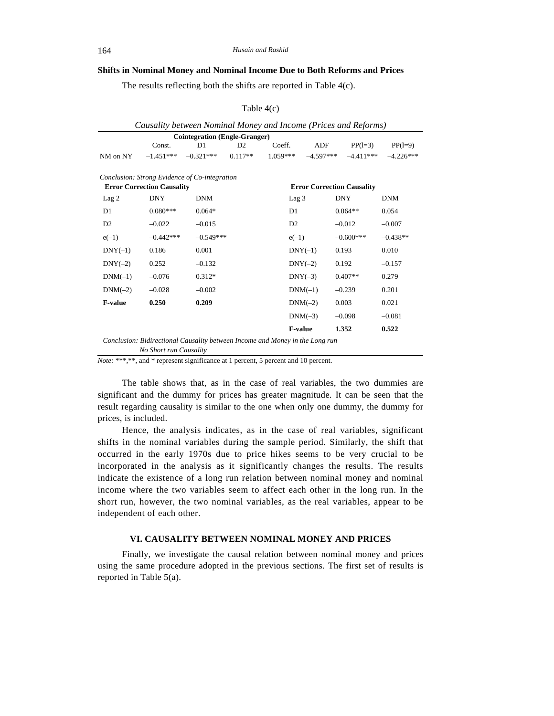# **Shifts in Nominal Money and Nominal Income Due to Both Reforms and Prices**

The results reflecting both the shifts are reported in Table 4(c).

| Causality between Nominal Money and Income (Prices and Reforms)              |             |                |           |                                   |                |             |             |  |
|------------------------------------------------------------------------------|-------------|----------------|-----------|-----------------------------------|----------------|-------------|-------------|--|
| <b>Cointegration (Engle-Granger)</b>                                         |             |                |           |                                   |                |             |             |  |
|                                                                              | Const.      | D <sub>1</sub> | D2        | Coeff.                            | ADF            | $PP(1=3)$   | $PP(1=9)$   |  |
| NM on NY                                                                     | $-1.451***$ | $-0.321***$    | $0.117**$ | $1.059***$                        | $-4.597***$    | $-4.411***$ | $-4.226***$ |  |
| Conclusion: Strong Evidence of Co-integration                                |             |                |           |                                   |                |             |             |  |
| <b>Error Correction Causality</b>                                            |             |                |           | <b>Error Correction Causality</b> |                |             |             |  |
| Lag <sub>2</sub>                                                             | <b>DNY</b>  | <b>DNM</b>     |           | Lag 3                             |                | <b>DNY</b>  | <b>DNM</b>  |  |
| D1                                                                           | $0.080***$  | $0.064*$       |           | D1                                |                | $0.064**$   | 0.054       |  |
| D2                                                                           | $-0.022$    | $-0.015$       |           | D2                                |                | $-0.012$    | $-0.007$    |  |
| $e(-1)$                                                                      | $-0.442***$ | $-0.549***$    |           | $e(-1)$                           |                | $-0.600***$ | $-0.438**$  |  |
| $DNY(-1)$                                                                    | 0.186       | 0.001          |           |                                   | $DNY(-1)$      | 0.193       | 0.010       |  |
| $DNY(-2)$                                                                    | 0.252       | $-0.132$       |           |                                   | $DNY(-2)$      | 0.192       | $-0.157$    |  |
| $DNM(-1)$                                                                    | $-0.076$    | $0.312*$       |           |                                   | $DNY(-3)$      | $0.407**$   | 0.279       |  |
| $DNM(-2)$                                                                    | $-0.028$    | $-0.002$       |           |                                   | $DNM(-1)$      | $-0.239$    | 0.201       |  |
| <b>F-value</b>                                                               | 0.250       | 0.209          |           |                                   | $DNM(-2)$      | 0.003       | 0.021       |  |
|                                                                              |             |                |           |                                   | $DNM(-3)$      | $-0.098$    | $-0.081$    |  |
|                                                                              |             |                |           |                                   | <b>F-value</b> | 1.352       | 0.522       |  |
| Conclusion: Bidirectional Causality between Income and Money in the Long run |             |                |           |                                   |                |             |             |  |
| No Short run Causality                                                       |             |                |           |                                   |                |             |             |  |

#### Table 4(c)

*Note:* \*\*\*,\*\*, and \* represent significance at 1 percent, 5 percent and 10 percent.

The table shows that, as in the case of real variables, the two dummies are significant and the dummy for prices has greater magnitude. It can be seen that the result regarding causality is similar to the one when only one dummy, the dummy for prices, is included.

Hence, the analysis indicates, as in the case of real variables, significant shifts in the nominal variables during the sample period. Similarly, the shift that occurred in the early 1970s due to price hikes seems to be very crucial to be incorporated in the analysis as it significantly changes the results. The results indicate the existence of a long run relation between nominal money and nominal income where the two variables seem to affect each other in the long run. In the short run, however, the two nominal variables, as the real variables, appear to be independent of each other.

#### **VI. CAUSALITY BETWEEN NOMINAL MONEY AND PRICES**

Finally, we investigate the causal relation between nominal money and prices using the same procedure adopted in the previous sections. The first set of results is reported in Table 5(a).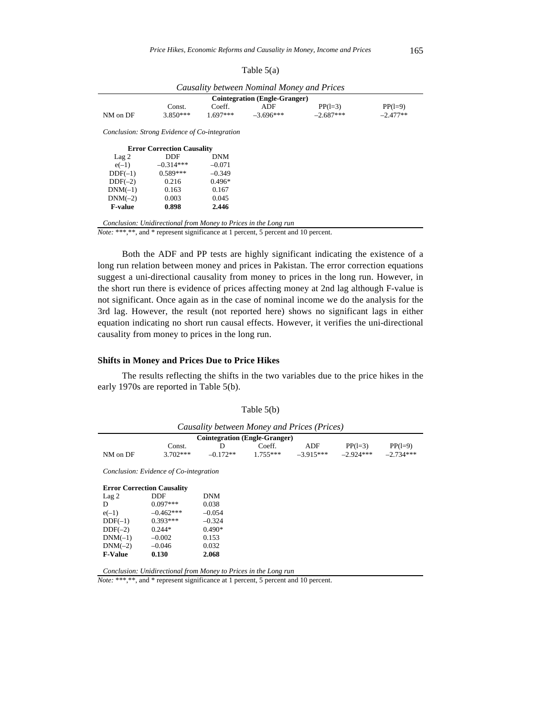| Causality between Nominal Money and Prices    |                                   |            |             |             |            |  |  |
|-----------------------------------------------|-----------------------------------|------------|-------------|-------------|------------|--|--|
| <b>Cointegration (Engle-Granger)</b>          |                                   |            |             |             |            |  |  |
|                                               | Const.                            | Coeff.     | ADF         | $PP(1=3)$   | $PP(1=9)$  |  |  |
| NM on DF                                      | $3.850***$                        | $1.697***$ | $-3.696***$ | $-2.687***$ | $-2.477**$ |  |  |
| Conclusion: Strong Evidence of Co-integration |                                   |            |             |             |            |  |  |
|                                               | <b>Error Correction Causality</b> |            |             |             |            |  |  |
| Lag <sub>2</sub>                              | DDF                               | <b>DNM</b> |             |             |            |  |  |
| $e(-1)$                                       | $-0.314***$                       | $-0.071$   |             |             |            |  |  |
| $DDF(-1)$                                     | $0.589***$                        | $-0.349$   |             |             |            |  |  |
| $DDF(-2)$                                     | 0.216                             | $0.496*$   |             |             |            |  |  |
| $DNM(-1)$                                     | 0.163                             | 0.167      |             |             |            |  |  |
| $DNM(-2)$                                     | 0.003                             | 0.045      |             |             |            |  |  |
| <b>F-value</b>                                | 0.898                             | 2.446      |             |             |            |  |  |

Table 5(a)

*Conclusion: Unidirectional from Money to Prices in the Long run* 

*Note:* \*\*\*,\*\*, and \* represent significance at 1 percent, 5 percent and 10 percent.

Both the ADF and PP tests are highly significant indicating the existence of a long run relation between money and prices in Pakistan. The error correction equations suggest a uni-directional causality from money to prices in the long run. However, in the short run there is evidence of prices affecting money at 2nd lag although F-value is not significant. Once again as in the case of nominal income we do the analysis for the 3rd lag. However, the result (not reported here) shows no significant lags in either equation indicating no short run causal effects. However, it verifies the uni-directional causality from money to prices in the long run.

#### **Shifts in Money and Prices Due to Price Hikes**

The results reflecting the shifts in the two variables due to the price hikes in the early 1970s are reported in Table 5(b).

| Causality between Money and Prices (Prices) |             |            |            |             |             |             |  |
|---------------------------------------------|-------------|------------|------------|-------------|-------------|-------------|--|
| <b>Cointegration (Engle-Granger)</b>        |             |            |            |             |             |             |  |
|                                             | Const.      | D          | Coeff.     | ADF         | $PP(1=3)$   | $PP(1=9)$   |  |
| NM on DF                                    | $3.702***$  | $-0.172**$ | $1.755***$ | $-3.915***$ | $-2.924***$ | $-2.734***$ |  |
| Conclusion: Evidence of Co-integration      |             |            |            |             |             |             |  |
| <b>Error Correction Causality</b>           |             |            |            |             |             |             |  |
| Lag <sub>2</sub>                            | DDF         | <b>DNM</b> |            |             |             |             |  |
| D                                           | $0.097***$  | 0.038      |            |             |             |             |  |
| $e(-1)$                                     | $-0.462***$ | $-0.054$   |            |             |             |             |  |
| $DDF(-1)$                                   | $0.393***$  | $-0.324$   |            |             |             |             |  |
| $DDF(-2)$                                   | $0.244*$    | $0.490*$   |            |             |             |             |  |
| $DNM(-1)$                                   | $-0.002$    | 0.153      |            |             |             |             |  |
| $DNM(-2)$                                   | $-0.046$    | 0.032      |            |             |             |             |  |
| <b>F-Value</b>                              | 0.130       | 2.068      |            |             |             |             |  |
|                                             |             |            |            |             |             |             |  |

Table 5(b)

*Conclusion: Unidirectional from Money to Prices in the Long run* 

*Note:* \*\*\*,\*\*, and \* represent significance at 1 percent, 5 percent and 10 percent.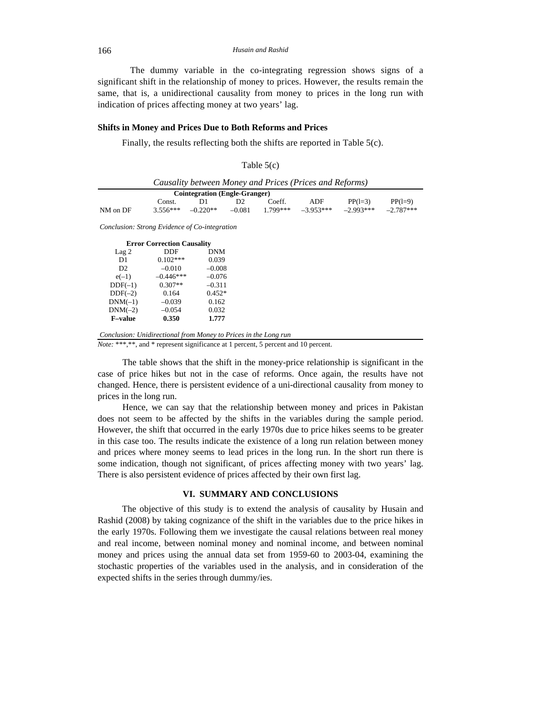The dummy variable in the co-integrating regression shows signs of a significant shift in the relationship of money to prices. However, the results remain the same, that is, a unidirectional causality from money to prices in the long run with indication of prices affecting money at two years' lag.

#### **Shifts in Money and Prices Due to Both Reforms and Prices**

Finally, the results reflecting both the shifts are reported in Table 5(c).

| able |  |
|------|--|
|      |  |

| <b>Cointegration</b> (Engle-Granger) |            |            |                |           |             |             |             |
|--------------------------------------|------------|------------|----------------|-----------|-------------|-------------|-------------|
|                                      | Const.     | D1         | D <sub>2</sub> | Coeff.    | ADF         | $PP(1=3)$   | $PP(1=9)$   |
| NM on DF                             | $3.556***$ | $-0.220**$ | $-0.081$       | $1799***$ | $-3.953***$ | $-2.993***$ | $-2.787***$ |

| <b>Error Correction Causality</b> |             |            |  |  |  |  |
|-----------------------------------|-------------|------------|--|--|--|--|
| Lag <sub>2</sub>                  | DDF         | <b>DNM</b> |  |  |  |  |
| D <sub>1</sub>                    | $0.102***$  | 0.039      |  |  |  |  |
| D2                                | $-0.010$    | $-0.008$   |  |  |  |  |
| $e(-1)$                           | $-0.446***$ | $-0.076$   |  |  |  |  |
| $DDF(-1)$                         | $0.307**$   | $-0.311$   |  |  |  |  |
| $DDF(-2)$                         | 0.164       | $0.452*$   |  |  |  |  |
| $DNM(-1)$                         | $-0.039$    | 0.162      |  |  |  |  |
| $DNM(-2)$                         | $-0.054$    | 0.032      |  |  |  |  |
| <b>F-value</b>                    | 0.350       | 1.777      |  |  |  |  |

*Conclusion: Unidirectional from Money to Prices in the Long run* 

*Note:* \*\*\*,\*\*, and \* represent significance at 1 percent, 5 percent and 10 percent.

The table shows that the shift in the money-price relationship is significant in the case of price hikes but not in the case of reforms. Once again, the results have not changed. Hence, there is persistent evidence of a uni-directional causality from money to prices in the long run.

Hence, we can say that the relationship between money and prices in Pakistan does not seem to be affected by the shifts in the variables during the sample period. However, the shift that occurred in the early 1970s due to price hikes seems to be greater in this case too. The results indicate the existence of a long run relation between money and prices where money seems to lead prices in the long run. In the short run there is some indication, though not significant, of prices affecting money with two years' lag. There is also persistent evidence of prices affected by their own first lag.

#### **VI. SUMMARY AND CONCLUSIONS**

The objective of this study is to extend the analysis of causality by Husain and Rashid (2008) by taking cognizance of the shift in the variables due to the price hikes in the early 1970s. Following them we investigate the causal relations between real money and real income, between nominal money and nominal income, and between nominal money and prices using the annual data set from 1959-60 to 2003-04, examining the stochastic properties of the variables used in the analysis, and in consideration of the expected shifts in the series through dummy/ies.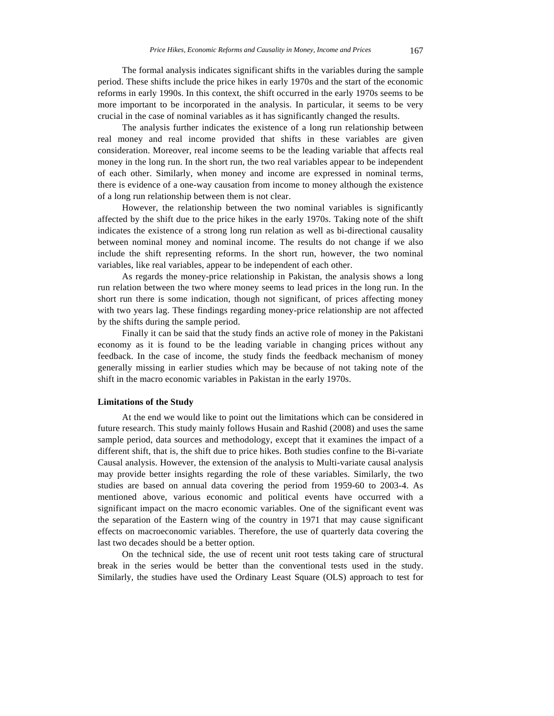The formal analysis indicates significant shifts in the variables during the sample period. These shifts include the price hikes in early 1970s and the start of the economic reforms in early 1990s. In this context, the shift occurred in the early 1970s seems to be more important to be incorporated in the analysis. In particular, it seems to be very crucial in the case of nominal variables as it has significantly changed the results.

The analysis further indicates the existence of a long run relationship between real money and real income provided that shifts in these variables are given consideration. Moreover, real income seems to be the leading variable that affects real money in the long run. In the short run, the two real variables appear to be independent of each other. Similarly, when money and income are expressed in nominal terms, there is evidence of a one-way causation from income to money although the existence of a long run relationship between them is not clear.

However, the relationship between the two nominal variables is significantly affected by the shift due to the price hikes in the early 1970s. Taking note of the shift indicates the existence of a strong long run relation as well as bi-directional causality between nominal money and nominal income. The results do not change if we also include the shift representing reforms. In the short run, however, the two nominal variables, like real variables, appear to be independent of each other.

As regards the money-price relationship in Pakistan, the analysis shows a long run relation between the two where money seems to lead prices in the long run. In the short run there is some indication, though not significant, of prices affecting money with two years lag. These findings regarding money-price relationship are not affected by the shifts during the sample period.

Finally it can be said that the study finds an active role of money in the Pakistani economy as it is found to be the leading variable in changing prices without any feedback. In the case of income, the study finds the feedback mechanism of money generally missing in earlier studies which may be because of not taking note of the shift in the macro economic variables in Pakistan in the early 1970s.

## **Limitations of the Study**

At the end we would like to point out the limitations which can be considered in future research. This study mainly follows Husain and Rashid (2008) and uses the same sample period, data sources and methodology, except that it examines the impact of a different shift, that is, the shift due to price hikes. Both studies confine to the Bi-variate Causal analysis. However, the extension of the analysis to Multi-variate causal analysis may provide better insights regarding the role of these variables. Similarly, the two studies are based on annual data covering the period from 1959-60 to 2003-4. As mentioned above, various economic and political events have occurred with a significant impact on the macro economic variables. One of the significant event was the separation of the Eastern wing of the country in 1971 that may cause significant effects on macroeconomic variables. Therefore, the use of quarterly data covering the last two decades should be a better option.

On the technical side, the use of recent unit root tests taking care of structural break in the series would be better than the conventional tests used in the study. Similarly, the studies have used the Ordinary Least Square (OLS) approach to test for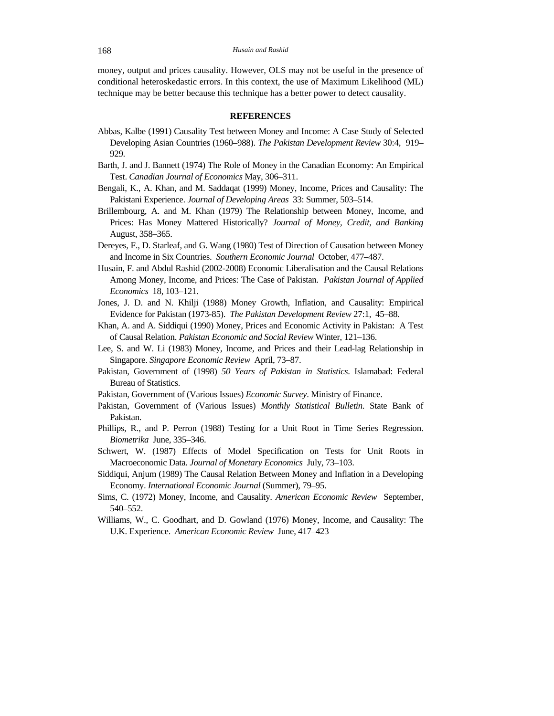money, output and prices causality. However, OLS may not be useful in the presence of conditional heteroskedastic errors. In this context, the use of Maximum Likelihood (ML) technique may be better because this technique has a better power to detect causality.

#### **REFERENCES**

- Abbas, Kalbe (1991) Causality Test between Money and Income: A Case Study of Selected Developing Asian Countries (1960–988). *The Pakistan Development Review* 30:4, 919– 929.
- Barth, J. and J. Bannett (1974) The Role of Money in the Canadian Economy: An Empirical Test. *Canadian Journal of Economics* May, 306–311.
- Bengali, K., A. Khan, and M. Saddaqat (1999) Money, Income, Prices and Causality: The Pakistani Experience. *Journal of Developing Areas* 33: Summer, 503–514.
- Brillembourg, A. and M. Khan (1979) The Relationship between Money, Income, and Prices: Has Money Mattered Historically? *Journal of Money, Credit, and Banking* August, 358–365.
- Dereyes, F., D. Starleaf, and G. Wang (1980) Test of Direction of Causation between Money and Income in Six Countries. *Southern Economic Journal* October, 477–487.
- Husain, F. and Abdul Rashid (2002-2008) Economic Liberalisation and the Causal Relations Among Money, Income, and Prices: The Case of Pakistan. *Pakistan Journal of Applied Economics* 18, 103–121.
- Jones, J. D. and N. Khilji (1988) Money Growth, Inflation, and Causality: Empirical Evidence for Pakistan (1973-85). *The Pakistan Development Review* 27:1, 45–88.
- Khan, A. and A. Siddiqui (1990) Money, Prices and Economic Activity in Pakistan: A Test of Causal Relation. *Pakistan Economic and Social Review* Winter, 121–136.
- Lee, S. and W. Li (1983) Money, Income, and Prices and their Lead-lag Relationship in Singapore. *Singapore Economic Review* April, 73–87.
- Pakistan, Government of (1998) *50 Years of Pakistan in Statistics*. Islamabad: Federal Bureau of Statistics.
- Pakistan, Government of (Various Issues) *Economic Survey*. Ministry of Finance.
- Pakistan, Government of (Various Issues) *Monthly Statistical Bulletin*. State Bank of Pakistan.
- Phillips, R., and P. Perron (1988) Testing for a Unit Root in Time Series Regression. *Biometrika* June, 335–346.
- Schwert, W. (1987) Effects of Model Specification on Tests for Unit Roots in Macroeconomic Data. *Journal of Monetary Economics* July, 73–103.
- Siddiqui, Anjum (1989) The Causal Relation Between Money and Inflation in a Developing Economy. *International Economic Journal* (Summer), 79–95.
- Sims, C. (1972) Money, Income, and Causality. *American Economic Review* September, 540–552.
- Williams, W., C. Goodhart, and D. Gowland (1976) Money, Income, and Causality: The U.K. Experience. *American Economic Review* June, 417–423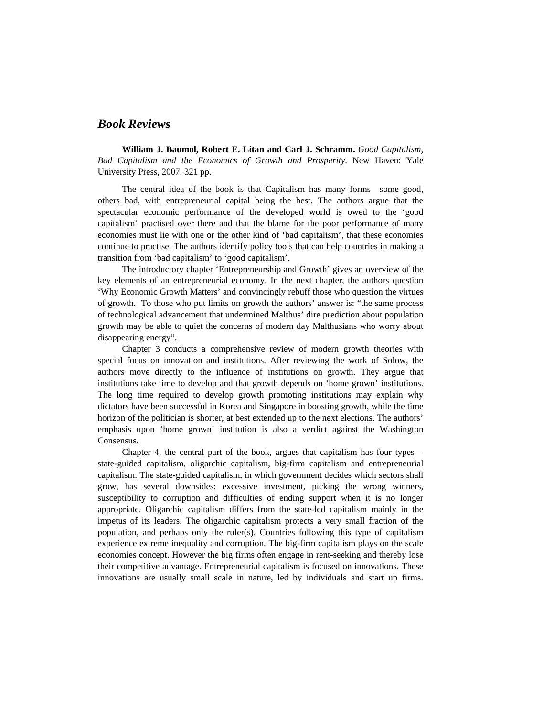# *Book Reviews*

**William J. Baumol, Robert E. Litan and Carl J. Schramm.** *Good Capitalism, Bad Capitalism and the Economics of Growth and Prosperity*. New Haven: Yale University Press, 2007. 321 pp.

The central idea of the book is that Capitalism has many forms—some good, others bad, with entrepreneurial capital being the best. The authors argue that the spectacular economic performance of the developed world is owed to the 'good capitalism' practised over there and that the blame for the poor performance of many economies must lie with one or the other kind of 'bad capitalism', that these economies continue to practise. The authors identify policy tools that can help countries in making a transition from 'bad capitalism' to 'good capitalism'.

The introductory chapter 'Entrepreneurship and Growth' gives an overview of the key elements of an entrepreneurial economy. In the next chapter, the authors question 'Why Economic Growth Matters' and convincingly rebuff those who question the virtues of growth. To those who put limits on growth the authors' answer is: "the same process of technological advancement that undermined Malthus' dire prediction about population growth may be able to quiet the concerns of modern day Malthusians who worry about disappearing energy".

Chapter 3 conducts a comprehensive review of modern growth theories with special focus on innovation and institutions. After reviewing the work of Solow, the authors move directly to the influence of institutions on growth. They argue that institutions take time to develop and that growth depends on 'home grown' institutions. The long time required to develop growth promoting institutions may explain why dictators have been successful in Korea and Singapore in boosting growth, while the time horizon of the politician is shorter, at best extended up to the next elections. The authors' emphasis upon 'home grown' institution is also a verdict against the Washington Consensus.

Chapter 4, the central part of the book, argues that capitalism has four types state-guided capitalism, oligarchic capitalism, big-firm capitalism and entrepreneurial capitalism. The state-guided capitalism, in which government decides which sectors shall grow, has several downsides: excessive investment, picking the wrong winners, susceptibility to corruption and difficulties of ending support when it is no longer appropriate. Oligarchic capitalism differs from the state-led capitalism mainly in the impetus of its leaders. The oligarchic capitalism protects a very small fraction of the population, and perhaps only the ruler(s). Countries following this type of capitalism experience extreme inequality and corruption. The big-firm capitalism plays on the scale economies concept. However the big firms often engage in rent-seeking and thereby lose their competitive advantage. Entrepreneurial capitalism is focused on innovations. These innovations are usually small scale in nature, led by individuals and start up firms.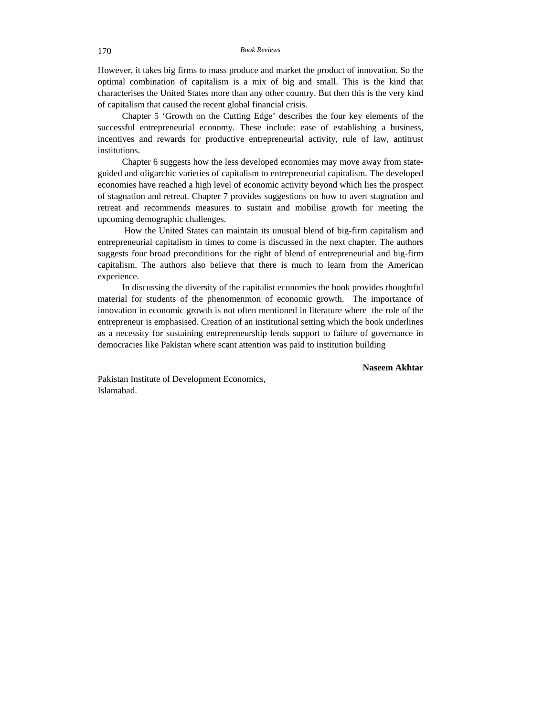However, it takes big firms to mass produce and market the product of innovation. So the optimal combination of capitalism is a mix of big and small. This is the kind that characterises the United States more than any other country. But then this is the very kind of capitalism that caused the recent global financial crisis.

Chapter 5 'Growth on the Cutting Edge' describes the four key elements of the successful entrepreneurial economy. These include: ease of establishing a business, incentives and rewards for productive entrepreneurial activity, rule of law, antitrust institutions.

Chapter 6 suggests how the less developed economies may move away from stateguided and oligarchic varieties of capitalism to entrepreneurial capitalism. The developed economies have reached a high level of economic activity beyond which lies the prospect of stagnation and retreat. Chapter 7 provides suggestions on how to avert stagnation and retreat and recommends measures to sustain and mobilise growth for meeting the upcoming demographic challenges.

 How the United States can maintain its unusual blend of big-firm capitalism and entrepreneurial capitalism in times to come is discussed in the next chapter. The authors suggests four broad preconditions for the right of blend of entrepreneurial and big-firm capitalism. The authors also believe that there is much to learn from the American experience.

In discussing the diversity of the capitalist economies the book provides thoughtful material for students of the phenomenmon of economic growth. The importance of innovation in economic growth is not often mentioned in literature where the role of the entrepreneur is emphasised. Creation of an institutional setting which the book underlines as a necessity for sustaining entrepreneurship lends support to failure of governance in democracies like Pakistan where scant attention was paid to institution building

**Naseem Akhtar** 

Pakistan Institute of Development Economics, Islamabad.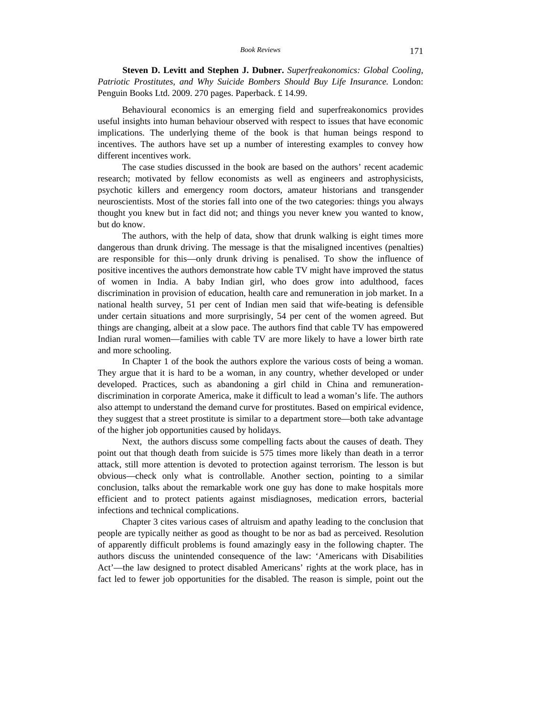**Steven D. Levitt and Stephen J. Dubner.** *Superfreakonomics: Global Cooling, Patriotic Prostitutes, and Why Suicide Bombers Should Buy Life Insurance.* London: Penguin Books Ltd. 2009. 270 pages. Paperback. £ 14.99.

Behavioural economics is an emerging field and superfreakonomics provides useful insights into human behaviour observed with respect to issues that have economic implications. The underlying theme of the book is that human beings respond to incentives. The authors have set up a number of interesting examples to convey how different incentives work.

The case studies discussed in the book are based on the authors' recent academic research; motivated by fellow economists as well as engineers and astrophysicists, psychotic killers and emergency room doctors, amateur historians and transgender neuroscientists. Most of the stories fall into one of the two categories: things you always thought you knew but in fact did not; and things you never knew you wanted to know, but do know.

The authors, with the help of data, show that drunk walking is eight times more dangerous than drunk driving. The message is that the misaligned incentives (penalties) are responsible for this—only drunk driving is penalised. To show the influence of positive incentives the authors demonstrate how cable TV might have improved the status of women in India. A baby Indian girl, who does grow into adulthood, faces discrimination in provision of education, health care and remuneration in job market. In a national health survey, 51 per cent of Indian men said that wife-beating is defensible under certain situations and more surprisingly, 54 per cent of the women agreed. But things are changing, albeit at a slow pace. The authors find that cable TV has empowered Indian rural women—families with cable TV are more likely to have a lower birth rate and more schooling.

In Chapter 1 of the book the authors explore the various costs of being a woman. They argue that it is hard to be a woman, in any country, whether developed or under developed. Practices, such as abandoning a girl child in China and remunerationdiscrimination in corporate America, make it difficult to lead a woman's life. The authors also attempt to understand the demand curve for prostitutes. Based on empirical evidence, they suggest that a street prostitute is similar to a department store—both take advantage of the higher job opportunities caused by holidays.

Next, the authors discuss some compelling facts about the causes of death. They point out that though death from suicide is 575 times more likely than death in a terror attack, still more attention is devoted to protection against terrorism. The lesson is but obvious—check only what is controllable. Another section, pointing to a similar conclusion, talks about the remarkable work one guy has done to make hospitals more efficient and to protect patients against misdiagnoses, medication errors, bacterial infections and technical complications.

Chapter 3 cites various cases of altruism and apathy leading to the conclusion that people are typically neither as good as thought to be nor as bad as perceived. Resolution of apparently difficult problems is found amazingly easy in the following chapter. The authors discuss the unintended consequence of the law: 'Americans with Disabilities Act'—the law designed to protect disabled Americans' rights at the work place, has in fact led to fewer job opportunities for the disabled. The reason is simple, point out the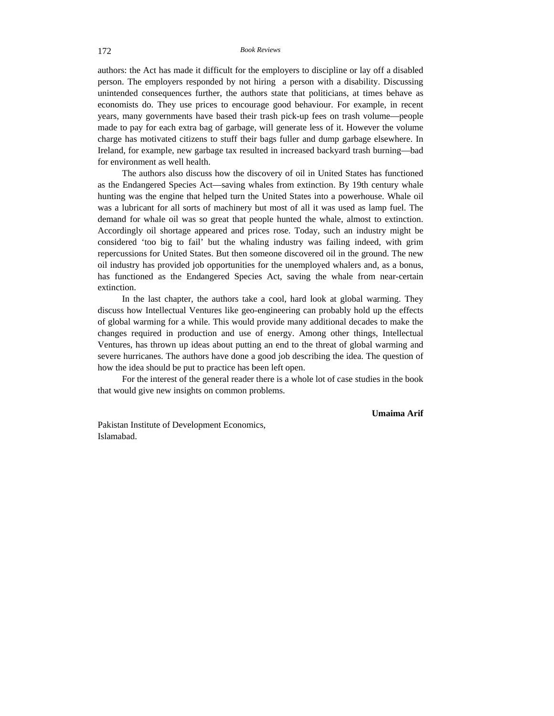authors: the Act has made it difficult for the employers to discipline or lay off a disabled person. The employers responded by not hiring a person with a disability. Discussing unintended consequences further, the authors state that politicians, at times behave as economists do. They use prices to encourage good behaviour. For example, in recent years, many governments have based their trash pick-up fees on trash volume—people made to pay for each extra bag of garbage, will generate less of it. However the volume charge has motivated citizens to stuff their bags fuller and dump garbage elsewhere. In Ireland, for example, new garbage tax resulted in increased backyard trash burning—bad for environment as well health.

The authors also discuss how the discovery of oil in United States has functioned as the Endangered Species Act—saving whales from extinction. By 19th century whale hunting was the engine that helped turn the United States into a powerhouse. Whale oil was a lubricant for all sorts of machinery but most of all it was used as lamp fuel. The demand for whale oil was so great that people hunted the whale, almost to extinction. Accordingly oil shortage appeared and prices rose. Today, such an industry might be considered 'too big to fail' but the whaling industry was failing indeed, with grim repercussions for United States. But then someone discovered oil in the ground. The new oil industry has provided job opportunities for the unemployed whalers and, as a bonus, has functioned as the Endangered Species Act, saving the whale from near-certain extinction.

In the last chapter, the authors take a cool, hard look at global warming. They discuss how Intellectual Ventures like geo-engineering can probably hold up the effects of global warming for a while. This would provide many additional decades to make the changes required in production and use of energy. Among other things, Intellectual Ventures, has thrown up ideas about putting an end to the threat of global warming and severe hurricanes. The authors have done a good job describing the idea. The question of how the idea should be put to practice has been left open.

For the interest of the general reader there is a whole lot of case studies in the book that would give new insights on common problems.

**Umaima Arif**

Pakistan Institute of Development Economics, Islamabad.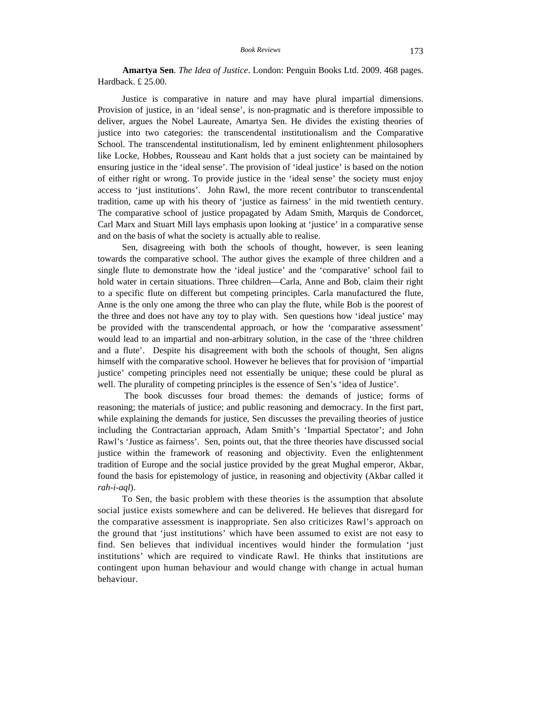**Amartya Sen**. *The Idea of Justice*. London: Penguin Books Ltd. 2009. 468 pages. Hardback. £ 25.00.

Justice is comparative in nature and may have plural impartial dimensions. Provision of justice, in an 'ideal sense', is non-pragmatic and is therefore impossible to deliver, argues the Nobel Laureate, Amartya Sen. He divides the existing theories of justice into two categories: the transcendental institutionalism and the Comparative School. The transcendental institutionalism, led by eminent enlightenment philosophers like Locke, Hobbes, Rousseau and Kant holds that a just society can be maintained by ensuring justice in the 'ideal sense'. The provision of 'ideal justice' is based on the notion of either right or wrong. To provide justice in the 'ideal sense' the society must enjoy access to 'just institutions'. John Rawl, the more recent contributor to transcendental tradition, came up with his theory of 'justice as fairness' in the mid twentieth century. The comparative school of justice propagated by Adam Smith, Marquis de Condorcet, Carl Marx and Stuart Mill lays emphasis upon looking at 'justice' in a comparative sense and on the basis of what the society is actually able to realise.

Sen, disagreeing with both the schools of thought, however, is seen leaning towards the comparative school. The author gives the example of three children and a single flute to demonstrate how the 'ideal justice' and the 'comparative' school fail to hold water in certain situations. Three children—Carla, Anne and Bob, claim their right to a specific flute on different but competing principles. Carla manufactured the flute, Anne is the only one among the three who can play the flute, while Bob is the poorest of the three and does not have any toy to play with. Sen questions how 'ideal justice' may be provided with the transcendental approach, or how the 'comparative assessment' would lead to an impartial and non-arbitrary solution, in the case of the 'three children and a flute'. Despite his disagreement with both the schools of thought, Sen aligns himself with the comparative school. However he believes that for provision of 'impartial justice' competing principles need not essentially be unique; these could be plural as well. The plurality of competing principles is the essence of Sen's 'idea of Justice'.

 The book discusses four broad themes: the demands of justice; forms of reasoning; the materials of justice; and public reasoning and democracy. In the first part, while explaining the demands for justice, Sen discusses the prevailing theories of justice including the Contractarian approach, Adam Smith's 'Impartial Spectator'; and John Rawl's 'Justice as fairness'. Sen, points out, that the three theories have discussed social justice within the framework of reasoning and objectivity. Even the enlightenment tradition of Europe and the social justice provided by the great Mughal emperor, Akbar, found the basis for epistemology of justice, in reasoning and objectivity (Akbar called it *rah-i-aql*).

To Sen, the basic problem with these theories is the assumption that absolute social justice exists somewhere and can be delivered. He believes that disregard for the comparative assessment is inappropriate. Sen also criticizes Rawl's approach on the ground that 'just institutions' which have been assumed to exist are not easy to find. Sen believes that individual incentives would hinder the formulation 'just institutions' which are required to vindicate Rawl. He thinks that institutions are contingent upon human behaviour and would change with change in actual human behaviour.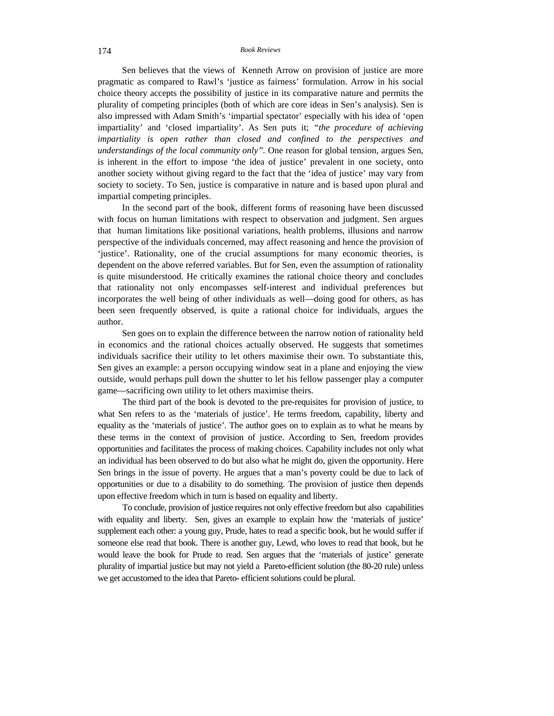#### 174 *Book Reviews*

Sen believes that the views of Kenneth Arrow on provision of justice are more pragmatic as compared to Rawl's 'justice as fairness' formulation. Arrow in his social choice theory accepts the possibility of justice in its comparative nature and permits the plurality of competing principles (both of which are core ideas in Sen's analysis). Sen is also impressed with Adam Smith's 'impartial spectator' especially with his idea of 'open impartiality' and 'closed impartiality'. As Sen puts it; *"the procedure of achieving impartiality is open rather than closed and confined to the perspectives and understandings of the local community only".* One reason for global tension, argues Sen, is inherent in the effort to impose 'the idea of justice' prevalent in one society, onto another society without giving regard to the fact that the 'idea of justice' may vary from society to society. To Sen, justice is comparative in nature and is based upon plural and impartial competing principles.

In the second part of the book, different forms of reasoning have been discussed with focus on human limitations with respect to observation and judgment. Sen argues that human limitations like positional variations, health problems, illusions and narrow perspective of the individuals concerned, may affect reasoning and hence the provision of 'justice'. Rationality, one of the crucial assumptions for many economic theories, is dependent on the above referred variables. But for Sen, even the assumption of rationality is quite misunderstood. He critically examines the rational choice theory and concludes that rationality not only encompasses self-interest and individual preferences but incorporates the well being of other individuals as well—doing good for others, as has been seen frequently observed, is quite a rational choice for individuals, argues the author.

Sen goes on to explain the difference between the narrow notion of rationality held in economics and the rational choices actually observed. He suggests that sometimes individuals sacrifice their utility to let others maximise their own. To substantiate this, Sen gives an example: a person occupying window seat in a plane and enjoying the view outside, would perhaps pull down the shutter to let his fellow passenger play a computer game—sacrificing own utility to let others maximise theirs.

The third part of the book is devoted to the pre-requisites for provision of justice, to what Sen refers to as the 'materials of justice'. He terms freedom, capability, liberty and equality as the 'materials of justice'. The author goes on to explain as to what he means by these terms in the context of provision of justice. According to Sen, freedom provides opportunities and facilitates the process of making choices. Capability includes not only what an individual has been observed to do but also what he might do, given the opportunity. Here Sen brings in the issue of poverty. He argues that a man's poverty could be due to lack of opportunities or due to a disability to do something. The provision of justice then depends upon effective freedom which in turn is based on equality and liberty.

To conclude, provision of justice requires not only effective freedom but also capabilities with equality and liberty. Sen, gives an example to explain how the 'materials of justice' supplement each other: a young guy, Prude, hates to read a specific book, but he would suffer if someone else read that book. There is another guy, Lewd, who loves to read that book, but he would leave the book for Prude to read. Sen argues that the 'materials of justice' generate plurality of impartial justice but may not yield a Pareto-efficient solution (the 80-20 rule) unless we get accustomed to the idea that Pareto- efficient solutions could be plural.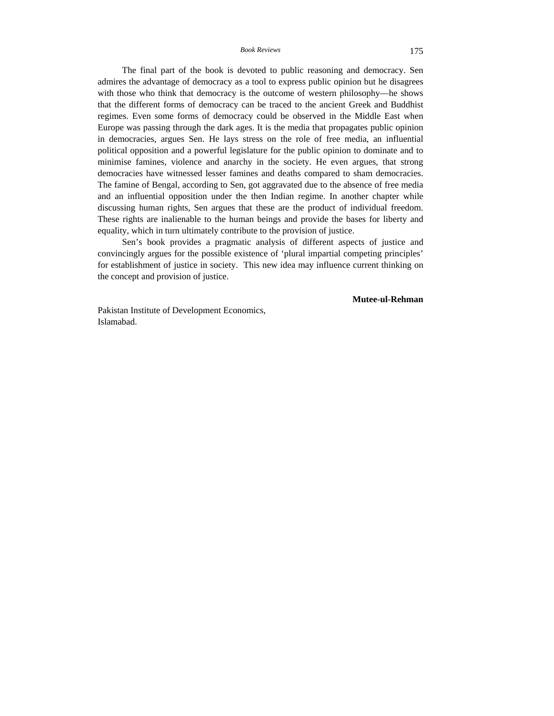*Book Reviews* 175

The final part of the book is devoted to public reasoning and democracy. Sen admires the advantage of democracy as a tool to express public opinion but he disagrees with those who think that democracy is the outcome of western philosophy—he shows that the different forms of democracy can be traced to the ancient Greek and Buddhist regimes. Even some forms of democracy could be observed in the Middle East when Europe was passing through the dark ages. It is the media that propagates public opinion in democracies, argues Sen. He lays stress on the role of free media, an influential political opposition and a powerful legislature for the public opinion to dominate and to minimise famines, violence and anarchy in the society. He even argues, that strong democracies have witnessed lesser famines and deaths compared to sham democracies. The famine of Bengal, according to Sen, got aggravated due to the absence of free media and an influential opposition under the then Indian regime. In another chapter while discussing human rights, Sen argues that these are the product of individual freedom. These rights are inalienable to the human beings and provide the bases for liberty and equality, which in turn ultimately contribute to the provision of justice.

Sen's book provides a pragmatic analysis of different aspects of justice and convincingly argues for the possible existence of 'plural impartial competing principles' for establishment of justice in society. This new idea may influence current thinking on the concept and provision of justice.

**Mutee-ul-Rehman** 

Pakistan Institute of Development Economics, Islamabad.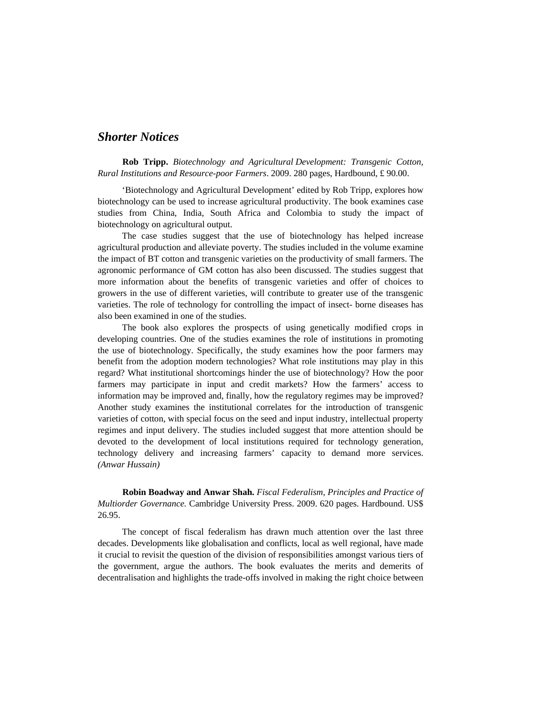# *Shorter Notices*

**Rob Tripp.** *Biotechnology and Agricultural Development: Transgenic Cotton, Rural Institutions and Resource-poor Farmers*. 2009. 280 pages, Hardbound, £ 90.00.

'Biotechnology and Agricultural Development' edited by Rob Tripp, explores how biotechnology can be used to increase agricultural productivity. The book examines case studies from China, India, South Africa and Colombia to study the impact of biotechnology on agricultural output.

The case studies suggest that the use of biotechnology has helped increase agricultural production and alleviate poverty. The studies included in the volume examine the impact of BT cotton and transgenic varieties on the productivity of small farmers. The agronomic performance of GM cotton has also been discussed. The studies suggest that more information about the benefits of transgenic varieties and offer of choices to growers in the use of different varieties, will contribute to greater use of the transgenic varieties. The role of technology for controlling the impact of insect- borne diseases has also been examined in one of the studies.

The book also explores the prospects of using genetically modified crops in developing countries. One of the studies examines the role of institutions in promoting the use of biotechnology. Specifically, the study examines how the poor farmers may benefit from the adoption modern technologies? What role institutions may play in this regard? What institutional shortcomings hinder the use of biotechnology? How the poor farmers may participate in input and credit markets? How the farmers' access to information may be improved and, finally, how the regulatory regimes may be improved? Another study examines the institutional correlates for the introduction of transgenic varieties of cotton, with special focus on the seed and input industry, intellectual property regimes and input delivery. The studies included suggest that more attention should be devoted to the development of local institutions required for technology generation, technology delivery and increasing farmers' capacity to demand more services. *(Anwar Hussain)*

**Robin Boadway and Anwar Shah.** *Fiscal Federalism, Principles and Practice of Multiorder Governance.* Cambridge University Press. 2009. 620 pages. Hardbound. US\$ 26.95.

The concept of fiscal federalism has drawn much attention over the last three decades. Developments like globalisation and conflicts, local as well regional, have made it crucial to revisit the question of the division of responsibilities amongst various tiers of the government, argue the authors. The book evaluates the merits and demerits of decentralisation and highlights the trade-offs involved in making the right choice between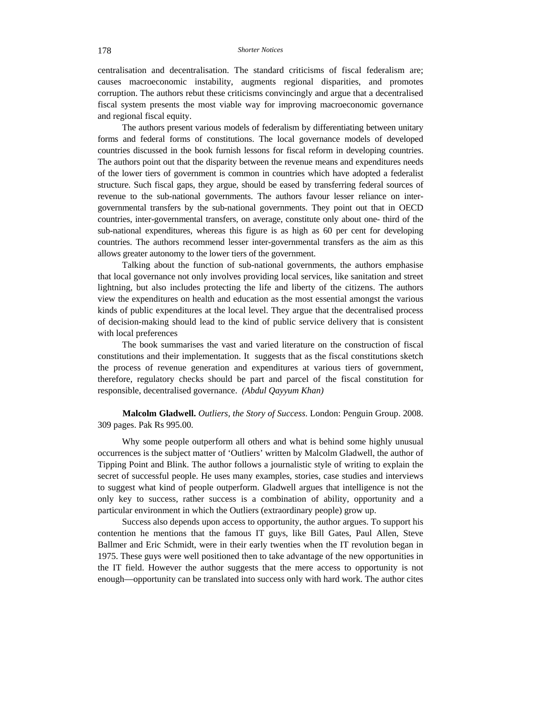centralisation and decentralisation. The standard criticisms of fiscal federalism are; causes macroeconomic instability, augments regional disparities, and promotes corruption. The authors rebut these criticisms convincingly and argue that a decentralised fiscal system presents the most viable way for improving macroeconomic governance and regional fiscal equity.

The authors present various models of federalism by differentiating between unitary forms and federal forms of constitutions. The local governance models of developed countries discussed in the book furnish lessons for fiscal reform in developing countries. The authors point out that the disparity between the revenue means and expenditures needs of the lower tiers of government is common in countries which have adopted a federalist structure. Such fiscal gaps, they argue, should be eased by transferring federal sources of revenue to the sub-national governments. The authors favour lesser reliance on intergovernmental transfers by the sub-national governments. They point out that in OECD countries, inter-governmental transfers, on average, constitute only about one- third of the sub-national expenditures, whereas this figure is as high as 60 per cent for developing countries. The authors recommend lesser inter-governmental transfers as the aim as this allows greater autonomy to the lower tiers of the government.

Talking about the function of sub-national governments, the authors emphasise that local governance not only involves providing local services, like sanitation and street lightning, but also includes protecting the life and liberty of the citizens. The authors view the expenditures on health and education as the most essential amongst the various kinds of public expenditures at the local level. They argue that the decentralised process of decision-making should lead to the kind of public service delivery that is consistent with local preferences

The book summarises the vast and varied literature on the construction of fiscal constitutions and their implementation. It suggests that as the fiscal constitutions sketch the process of revenue generation and expenditures at various tiers of government, therefore, regulatory checks should be part and parcel of the fiscal constitution for responsible, decentralised governance. *(Abdul Qayyum Khan)*

**Malcolm Gladwell.** *Outliers, the Story of Success*. London: Penguin Group. 2008. 309 pages. Pak Rs 995.00.

Why some people outperform all others and what is behind some highly unusual occurrences is the subject matter of 'Outliers' written by Malcolm Gladwell, the author of Tipping Point and Blink. The author follows a journalistic style of writing to explain the secret of successful people. He uses many examples, stories, case studies and interviews to suggest what kind of people outperform. Gladwell argues that intelligence is not the only key to success, rather success is a combination of ability, opportunity and a particular environment in which the Outliers (extraordinary people) grow up.

Success also depends upon access to opportunity, the author argues. To support his contention he mentions that the famous IT guys, like Bill Gates, Paul Allen, Steve Ballmer and Eric Schmidt, were in their early twenties when the IT revolution began in 1975. These guys were well positioned then to take advantage of the new opportunities in the IT field. However the author suggests that the mere access to opportunity is not enough—opportunity can be translated into success only with hard work. The author cites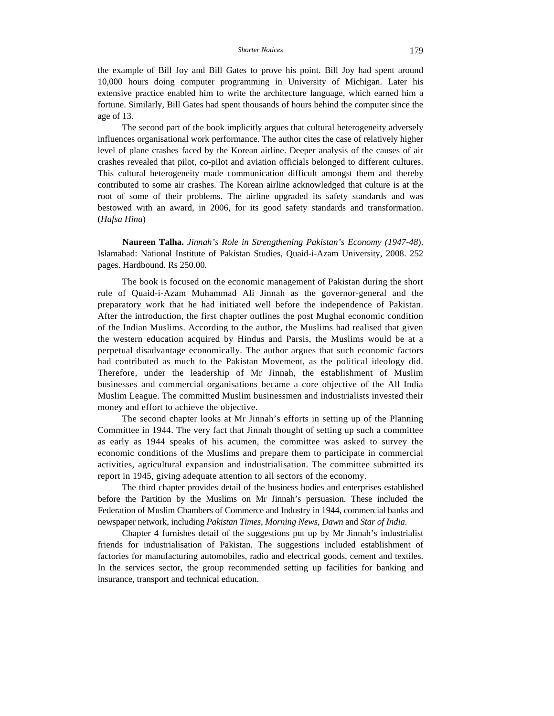the example of Bill Joy and Bill Gates to prove his point. Bill Joy had spent around 10,000 hours doing computer programming in University of Michigan. Later his extensive practice enabled him to write the architecture language, which earned him a fortune. Similarly, Bill Gates had spent thousands of hours behind the computer since the age of 13.

The second part of the book implicitly argues that cultural heterogeneity adversely influences organisational work performance. The author cites the case of relatively higher level of plane crashes faced by the Korean airline. Deeper analysis of the causes of air crashes revealed that pilot, co-pilot and aviation officials belonged to different cultures. This cultural heterogeneity made communication difficult amongst them and thereby contributed to some air crashes. The Korean airline acknowledged that culture is at the root of some of their problems. The airline upgraded its safety standards and was bestowed with an award, in 2006, for its good safety standards and transformation. (*Hafsa Hina*)

**Naureen Talha.** *Jinnah's Role in Strengthening Pakistan's Economy (1947-48*). Islamabad: National Institute of Pakistan Studies, Quaid-i-Azam University, 2008. 252 pages. Hardbound. Rs 250.00.

The book is focused on the economic management of Pakistan during the short rule of Quaid-i-Azam Muhammad Ali Jinnah as the governor-general and the preparatory work that he had initiated well before the independence of Pakistan. After the introduction, the first chapter outlines the post Mughal economic condition of the Indian Muslims. According to the author, the Muslims had realised that given the western education acquired by Hindus and Parsis, the Muslims would be at a perpetual disadvantage economically. The author argues that such economic factors had contributed as much to the Pakistan Movement, as the political ideology did. Therefore, under the leadership of Mr Jinnah, the establishment of Muslim businesses and commercial organisations became a core objective of the All India Muslim League. The committed Muslim businessmen and industrialists invested their money and effort to achieve the objective.

The second chapter looks at Mr Jinnah's efforts in setting up of the Planning Committee in 1944. The very fact that Jinnah thought of setting up such a committee as early as 1944 speaks of his acumen, the committee was asked to survey the economic conditions of the Muslims and prepare them to participate in commercial activities, agricultural expansion and industrialisation. The committee submitted its report in 1945, giving adequate attention to all sectors of the economy.

The third chapter provides detail of the business bodies and enterprises established before the Partition by the Muslims on Mr Jinnah's persuasion. These included the Federation of Muslim Chambers of Commerce and Industry in 1944, commercial banks and newspaper network, including *Pakistan Times*, *Morning News*, *Dawn* and *Star of India*.

Chapter 4 furnishes detail of the suggestions put up by Mr Jinnah's industrialist friends for industrialisation of Pakistan. The suggestions included establishment of factories for manufacturing automobiles, radio and electrical goods, cement and textiles. In the services sector, the group recommended setting up facilities for banking and insurance, transport and technical education.